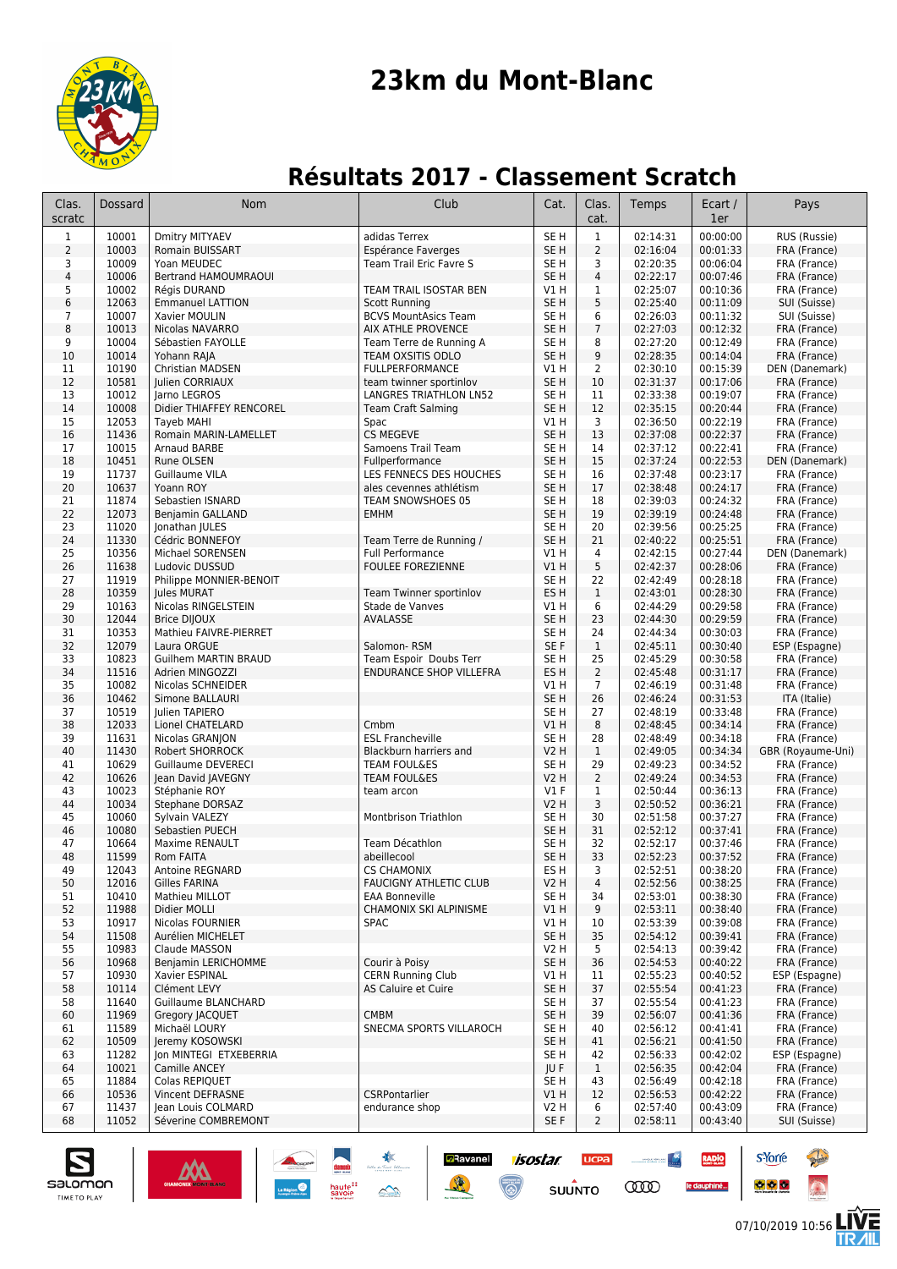

# **23km du Mont-Blanc**

## **Résultats 2017 - Classement Scratch**

| Clas.<br>scratc         | Dossard        | Nom                                           | Club                                                | Cat.                    | Clas.<br>cat.      | Temps                | Ecart /<br>1er       | Pays                          |
|-------------------------|----------------|-----------------------------------------------|-----------------------------------------------------|-------------------------|--------------------|----------------------|----------------------|-------------------------------|
| $\mathbf 1$             | 10001          | Dmitry MITYAEV                                | adidas Terrex                                       | SE <sub>H</sub>         | $\mathbf{1}$       | 02:14:31             | 00:00:00             | RUS (Russie)                  |
| $\overline{2}$          | 10003          | Romain BUISSART                               | Espérance Faverges                                  | SE H                    | $\overline{2}$     | 02:16:04             | 00:01:33             | FRA (France)                  |
| 3                       | 10009          | Yoan MEUDEC                                   | Team Trail Eric Favre S                             | SE <sub>H</sub>         | 3                  | 02:20:35             | 00:06:04             | FRA (France)                  |
| $\overline{\mathbf{4}}$ | 10006          | Bertrand HAMOUMRAOUI                          |                                                     | SE <sub>H</sub>         | 4                  | 02:22:17             | 00:07:46             | FRA (France)                  |
| 5                       | 10002          | Réais DURAND                                  | TEAM TRAIL ISOSTAR BEN                              | V1 H                    | 1                  | 02:25:07             | 00:10:36             | FRA (France)                  |
| 6<br>$\overline{7}$     | 12063<br>10007 | <b>Emmanuel LATTION</b><br>Xavier MOULIN      | <b>Scott Running</b><br><b>BCVS MountAsics Team</b> | SE <sub>H</sub><br>SE H | 5<br>6             | 02:25:40<br>02:26:03 | 00:11:09<br>00:11:32 | SUI (Suisse)<br>SUI (Suisse)  |
| 8                       | 10013          | Nicolas NAVARRO                               | AIX ATHLE PROVENCE                                  | SE <sub>H</sub>         | $\overline{7}$     | 02:27:03             | 00:12:32             | FRA (France)                  |
| 9                       | 10004          | Sébastien FAYOLLE                             | Team Terre de Running A                             | SE <sub>H</sub>         | 8                  | 02:27:20             | 00:12:49             | FRA (France)                  |
| 10                      | 10014          | Yohann RAJA                                   | TEAM OXSITIS ODLO                                   | SE <sub>H</sub>         | 9                  | 02:28:35             | 00:14:04             | FRA (France)                  |
| 11                      | 10190          | Christian MADSEN                              | <b>FULLPERFORMANCE</b>                              | VIH                     | 2                  | 02:30:10             | 00:15:39             | DEN (Danemark)                |
| 12                      | 10581          | Julien CORRIAUX                               | team twinner sportinlov                             | SE H                    | 10                 | 02:31:37             | 00:17:06             | FRA (France)                  |
| 13                      | 10012          | larno LEGROS                                  | LANGRES TRIATHLON LN52                              | SE H                    | 11                 | 02:33:38             | 00:19:07             | FRA (France)                  |
| 14                      | 10008          | Didier THIAFFEY RENCOREL                      | <b>Team Craft Salming</b>                           | SE <sub>H</sub>         | 12                 | 02:35:15             | 00:20:44             | FRA (France)                  |
| 15                      | 12053          | Tayeb MAHI                                    | Spac                                                | V1 H                    | 3                  | 02:36:50             | 00:22:19             | FRA (France)                  |
| 16<br>17                | 11436<br>10015 | Romain MARIN-LAMELLET<br>Arnaud BARBE         | <b>CS MEGEVE</b><br>Samoens Trail Team              | SE <sub>H</sub><br>SE H | 13<br>14           | 02:37:08<br>02:37:12 | 00:22:37<br>00:22:41 | FRA (France)<br>FRA (France)  |
| 18                      | 10451          | Rune OLSEN                                    | Fullperformance                                     | SE <sub>H</sub>         | 15                 | 02:37:24             | 00:22:53             | DEN (Danemark)                |
| 19                      | 11737          | Guillaume VILA                                | LES FENNECS DES HOUCHES                             | SE H                    | 16                 | 02:37:48             | 00:23:17             | FRA (France)                  |
| 20                      | 10637          | Yoann ROY                                     | ales cevennes athlétism                             | SE <sub>H</sub>         | 17                 | 02:38:48             | 00:24:17             | FRA (France)                  |
| 21                      | 11874          | Sebastien ISNARD                              | TEAM SNOWSHOES 05                                   | SE <sub>H</sub>         | 18                 | 02:39:03             | 00:24:32             | FRA (France)                  |
| 22                      | 12073          | Benjamin GALLAND                              | <b>EMHM</b>                                         | SE <sub>H</sub>         | 19                 | 02:39:19             | 00:24:48             | FRA (France)                  |
| 23                      | 11020          | Jonathan JULES                                |                                                     | SE <sub>H</sub>         | 20                 | 02:39:56             | 00:25:25             | FRA (France)                  |
| 24                      | 11330          | Cédric BONNEFOY                               | Team Terre de Running /                             | SE <sub>H</sub>         | 21                 | 02:40:22             | 00:25:51             | FRA (France)                  |
| 25                      | 10356          | Michael SORENSEN                              | <b>Full Performance</b>                             | V1 H                    | 4                  | 02:42:15             | 00:27:44             | DEN (Danemark)                |
| 26<br>27                | 11638<br>11919 | Ludovic DUSSUD                                | <b>FOULEE FOREZIENNE</b>                            | VIH                     | 5                  | 02:42:37<br>02:42:49 | 00:28:06             | FRA (France)                  |
| 28                      | 10359          | Philippe MONNIER-BENOIT<br><b>Jules MURAT</b> | Team Twinner sportinlov                             | SE H<br>ES H            | 22<br>$\mathbf{1}$ | 02:43:01             | 00:28:18<br>00:28:30 | FRA (France)<br>FRA (France)  |
| 29                      | 10163          | Nicolas RINGELSTEIN                           | Stade de Vanves                                     | V1 H                    | 6                  | 02:44:29             | 00:29:58             | FRA (France)                  |
| 30                      | 12044          | <b>Brice DIJOUX</b>                           | AVALASSE                                            | SE <sub>H</sub>         | 23                 | 02:44:30             | 00:29:59             | FRA (France)                  |
| 31                      | 10353          | Mathieu FAIVRE-PIERRET                        |                                                     | SE H                    | 24                 | 02:44:34             | 00:30:03             | FRA (France)                  |
| 32                      | 12079          | Laura ORGUE                                   | Salomon-RSM                                         | SE F                    | $\mathbf{1}$       | 02:45:11             | 00:30:40             | ESP (Espagne)                 |
| 33                      | 10823          | <b>Guilhem MARTIN BRAUD</b>                   | Team Espoir Doubs Terr                              | SE <sub>H</sub>         | 25                 | 02:45:29             | 00:30:58             | FRA (France)                  |
| 34                      | 11516          | Adrien MINGOZZI                               | <b>ENDURANCE SHOP VILLEFRA</b>                      | ES <sub>H</sub>         | $\overline{2}$     | 02:45:48             | 00:31:17             | FRA (France)                  |
| 35                      | 10082          | Nicolas SCHNEIDER                             |                                                     | V1 H                    | $\overline{7}$     | 02:46:19             | 00:31:48             | FRA (France)                  |
| 36<br>37                | 10462<br>10519 | Simone BALLAURI<br>Julien TAPIERO             |                                                     | SE <sub>H</sub><br>SE H | 26<br>27           | 02:46:24<br>02:48:19 | 00:31:53<br>00:33:48 | ITA (Italie)<br>FRA (France)  |
| 38                      | 12033          | Lionel CHATELARD                              | Cmbm                                                | VIH                     | 8                  | 02:48:45             | 00:34:14             | FRA (France)                  |
| 39                      | 11631          | Nicolas GRANJON                               | <b>ESL Francheville</b>                             | SE H                    | 28                 | 02:48:49             | 00:34:18             | FRA (France)                  |
| 40                      | 11430          | Robert SHORROCK                               | Blackburn harriers and                              | <b>V2 H</b>             | $\mathbf{1}$       | 02:49:05             | 00:34:34             | GBR (Royaume-Uni)             |
| 41                      | 10629          | Guillaume DEVERECI                            | <b>TEAM FOUL&amp;ES</b>                             | SE H                    | 29                 | 02:49:23             | 00:34:52             | FRA (France)                  |
| 42                      | 10626          | Jean David JAVEGNY                            | <b>TEAM FOUL&amp;ES</b>                             | <b>V2 H</b>             | $\overline{2}$     | 02:49:24             | 00:34:53             | FRA (France)                  |
| 43                      | 10023          | Stéphanie ROY                                 | team arcon                                          | $VI$ F                  | 1                  | 02:50:44             | 00:36:13             | FRA (France)                  |
| 44                      | 10034          | Stephane DORSAZ                               |                                                     | <b>V2 H</b>             | 3                  | 02:50:52             | 00:36:21             | FRA (France)                  |
| 45                      | 10060          | Sylvain VALEZY                                | Montbrison Triathlon                                | SE H                    | 30                 | 02:51:58             | 00:37:27             | FRA (France)                  |
| 46<br>47                | 10080<br>10664 | Sebastien PUECH<br><b>Maxime RENAULT</b>      | Team Décathlon                                      | SE <sub>H</sub><br>SE H | 31<br>32           | 02:52:12<br>02:52:17 | 00:37:41<br>00:37:46 | FRA (France)<br>FRA (France)  |
| 48                      | 11599          | Rom FAITA                                     | abeillecool                                         | SE <sub>H</sub>         | 33                 | 02:52:23             | 00:37:52             | FRA (France)                  |
| 49                      | 12043          | Antoine REGNARD                               | <b>CS CHAMONIX</b>                                  | ES H                    | 3                  | 02:52:51             | 00:38:20             | FRA (France)                  |
| 50                      | 12016          | Gilles FARINA                                 | <b>FAUCIGNY ATHLETIC CLUB</b>                       | V2H                     | 4                  | 02:52:56             | 00:38:25             | FRA (France)                  |
| 51                      | 10410          | Mathieu MILLOT                                | <b>EAA Bonneville</b>                               | SE H                    | 34                 | 02:53:01             | 00:38:30             | FRA (France)                  |
| 52                      | 11988          | Didier MOLLI                                  | CHAMONIX SKI ALPINISME                              | V1 H                    | 9                  | 02:53:11             | 00:38:40             | FRA (France)                  |
| 53                      | 10917          | Nicolas FOURNIER                              | <b>SPAC</b>                                         | V1 H                    | 10                 | 02:53:39             | 00:39:08             | FRA (France)                  |
| 54                      | 11508          | Aurélien MICHELET                             |                                                     | SE <sub>H</sub>         | 35                 | 02:54:12             | 00:39:41             | FRA (France)                  |
| 55                      | 10983          | Claude MASSON                                 | Courir à Poisy                                      | V2 H                    | 5                  | 02:54:13             | 00:39:42             | FRA (France)                  |
| 56<br>57                | 10968<br>10930 | Benjamin LERICHOMME<br>Xavier ESPINAL         | <b>CERN Running Club</b>                            | SE H<br>V1 H            | 36<br>11           | 02:54:53<br>02:55:23 | 00:40:22<br>00:40:52 | FRA (France)<br>ESP (Espagne) |
| 58                      | 10114          | Clément LEVY                                  | AS Caluire et Cuire                                 | SE H                    | 37                 | 02:55:54             | 00:41:23             | FRA (France)                  |
| 58                      | 11640          | Guillaume BLANCHARD                           |                                                     | SE H                    | 37                 | 02:55:54             | 00:41:23             | FRA (France)                  |
| 60                      | 11969          | Gregory JACQUET                               | <b>CMBM</b>                                         | SE <sub>H</sub>         | 39                 | 02:56:07             | 00:41:36             | FRA (France)                  |
| 61                      | 11589          | Michaël LOURY                                 | SNECMA SPORTS VILLAROCH                             | SE H                    | 40                 | 02:56:12             | 00:41:41             | FRA (France)                  |
| 62                      | 10509          | Jeremy KOSOWSKI                               |                                                     | SE H                    | 41                 | 02:56:21             | 00:41:50             | FRA (France)                  |
| 63                      | 11282          | Jon MINTEGI ETXEBERRIA                        |                                                     | SE H                    | 42                 | 02:56:33             | 00:42:02             | ESP (Espagne)                 |
| 64                      | 10021          | Camille ANCEY                                 |                                                     | JU F                    | $\mathbf{1}$       | 02:56:35             | 00:42:04             | FRA (France)                  |
| 65<br>66                | 11884<br>10536 | Colas REPIQUET<br>Vincent DEFRASNE            | CSRPontarlier                                       | SE H<br>V1H             | 43<br>12           | 02:56:49<br>02:56:53 | 00:42:18<br>00:42:22 | FRA (France)<br>FRA (France)  |
| 67                      | 11437          | Jean Louis COLMARD                            | endurance shop                                      | V2 H                    | 6                  | 02:57:40             | 00:43:09             | FRA (France)                  |
| 68                      | 11052          | Séverine COMBREMONT                           |                                                     | SE F                    | $\overline{2}$     | 02:58:11             | 00:43:40             | SUI (Suisse)                  |
|                         |                |                                               |                                                     |                         |                    |                      |                      |                               |

**Ravanel** *isostar* 

 $\odot$ 

**SUUNTO** 

**COOD** 

增



s'Yorre

 $\bullet$   $\bullet$   $\bullet$ 

**RADIO** 

le dauphiné...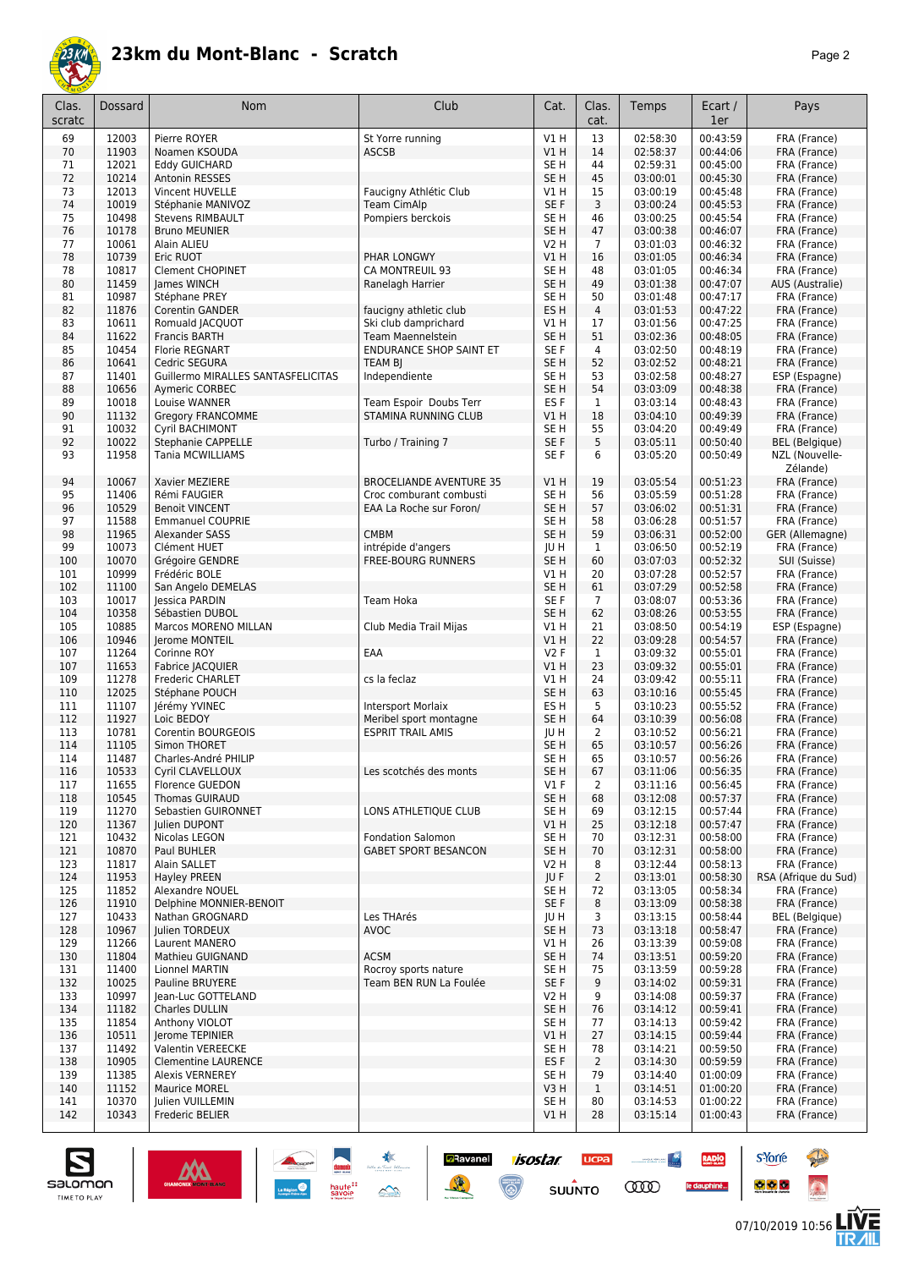

| Clas.<br>scratc | Dossard        | Nom                                             | Club                                | Cat.                               | Clas.<br>cat.        | Temps                | Ecart /<br>1er       | Pays                         |
|-----------------|----------------|-------------------------------------------------|-------------------------------------|------------------------------------|----------------------|----------------------|----------------------|------------------------------|
| 69              | 12003          | Pierre ROYER                                    | St Yorre running                    | V1 H                               | 13                   | 02:58:30             | 00:43:59             | FRA (France)                 |
| 70              | 11903          | Noamen KSOUDA                                   | <b>ASCSB</b>                        | VIH                                | 14                   | 02:58:37             | 00:44:06             | FRA (France)                 |
| 71              | 12021          | <b>Eddy GUICHARD</b>                            |                                     | SE <sub>H</sub>                    | 44                   | 02:59:31             | 00:45:00             | FRA (France)                 |
| 72              | 10214          | <b>Antonin RESSES</b>                           |                                     | SE <sub>H</sub>                    | 45                   | 03:00:01             | 00:45:30             | FRA (France)                 |
| 73              | 12013          | Vincent HUVELLE                                 | Faucigny Athlétic Club              | V1 H                               | 15                   | 03:00:19             | 00:45:48             | FRA (France)                 |
| 74              | 10019          | Stéphanie MANIVOZ                               | <b>Team CimAlp</b>                  | SE <sub>F</sub>                    | 3                    | 03:00:24             | 00:45:53             | FRA (France)                 |
| 75<br>76        | 10498<br>10178 | <b>Stevens RIMBAULT</b><br><b>Bruno MEUNIER</b> | Pompiers berckois                   | SE <sub>H</sub><br>SE <sub>H</sub> | 46<br>47             | 03:00:25<br>03:00:38 | 00:45:54<br>00:46:07 | FRA (France)<br>FRA (France) |
| 77              | 10061          | Alain ALIEU                                     |                                     | V2 H                               | $\overline{7}$       | 03:01:03             | 00:46:32             | FRA (France)                 |
| 78              | 10739          | Eric RUOT                                       | PHAR LONGWY                         | VIH                                | 16                   | 03:01:05             | 00:46:34             | FRA (France)                 |
| 78              | 10817          | <b>Clement CHOPINET</b>                         | CA MONTREUIL 93                     | SE <sub>H</sub>                    | 48                   | 03:01:05             | 00:46:34             | FRA (France)                 |
| 80              | 11459          | James WINCH                                     | Ranelagh Harrier                    | SE <sub>H</sub>                    | 49                   | 03:01:38             | 00:47:07             | AUS (Australie)              |
| 81              | 10987          | Stéphane PREY                                   |                                     | SE H                               | 50                   | 03:01:48             | 00:47:17             | FRA (France)                 |
| 82              | 11876          | Corentin GANDER                                 | faucigny athletic club              | ES H                               | $\overline{4}$       | 03:01:53             | 00:47:22             | FRA (France)                 |
| 83              | 10611          | Romuald JACQUOT                                 | Ski club damprichard                | V1 H                               | 17                   | 03:01:56             | 00:47:25             | FRA (France)                 |
| 84              | 11622          | <b>Francis BARTH</b>                            | Team Maennelstein                   | SE <sub>H</sub>                    | 51                   | 03:02:36             | 00:48:05             | FRA (France)                 |
| 85              | 10454          | <b>Florie REGNART</b>                           | <b>ENDURANCE SHOP SAINT ET</b>      | SE <sub>F</sub>                    | 4                    | 03:02:50             | 00:48:19             | FRA (France)                 |
| 86              | 10641          | Cedric SEGURA                                   | TEAM BJ                             | SE <sub>H</sub>                    | 52                   | 03:02:52             | 00:48:21             | FRA (France)                 |
| 87              | 11401          | Guillermo MIRALLES SANTASFELICITAS              | Independiente                       | SE <sub>H</sub>                    | 53                   | 03:02:58             | 00:48:27             | ESP (Espagne)                |
| 88<br>89        | 10656<br>10018 | Aymeric CORBEC<br>Louise WANNER                 | Team Espoir Doubs Terr              | SE <sub>H</sub><br>ES <sub>F</sub> | 54<br>$\mathbf{1}$   | 03:03:09<br>03:03:14 | 00:48:38<br>00:48:43 | FRA (France)<br>FRA (France) |
| 90              | 11132          | <b>Gregory FRANCOMME</b>                        | <b>STAMINA RUNNING CLUB</b>         | VIH                                | 18                   | 03:04:10             | 00:49:39             | FRA (France)                 |
| 91              | 10032          | Cyril BACHIMONT                                 |                                     | SE <sub>H</sub>                    | 55                   | 03:04:20             | 00:49:49             | FRA (France)                 |
| 92              | 10022          | <b>Stephanie CAPPELLE</b>                       | Turbo / Training 7                  | SE F                               | 5                    | 03:05:11             | 00:50:40             | <b>BEL</b> (Belgique)        |
| 93              | 11958          | <b>Tania MCWILLIAMS</b>                         |                                     | SE F                               | 6                    | 03:05:20             | 00:50:49             | NZL (Nouvelle-               |
|                 |                |                                                 |                                     |                                    |                      |                      |                      | Zélande)                     |
| 94              | 10067          | Xavier MEZIERE                                  | <b>BROCELIANDE AVENTURE 35</b>      | VIH                                | 19                   | 03:05:54             | 00:51:23             | FRA (France)                 |
| 95              | 11406          | Rémi FAUGIER                                    | Croc comburant combusti             | SE <sub>H</sub>                    | 56                   | 03:05:59             | 00:51:28             | FRA (France)                 |
| 96              | 10529          | <b>Benoit VINCENT</b>                           | EAA La Roche sur Foron/             | SE <sub>H</sub>                    | 57                   | 03:06:02             | 00:51:31             | FRA (France)                 |
| 97              | 11588          | <b>Emmanuel COUPRIE</b>                         |                                     | SE <sub>H</sub>                    | 58                   | 03:06:28             | 00:51:57             | FRA (France)                 |
| 98              | 11965          | Alexander SASS                                  | <b>CMBM</b>                         | SE <sub>H</sub>                    | 59                   | 03:06:31             | 00:52:00             | GER (Allemagne)              |
| 99              | 10073          | Clément HUET                                    | intrépide d'angers                  | JU H                               | $\mathbf{1}$         | 03:06:50             | 00:52:19             | FRA (France)                 |
| 100             | 10070          | Grégoire GENDRE                                 | <b>FREE-BOURG RUNNERS</b>           | SE <sub>H</sub>                    | 60                   | 03:07:03             | 00:52:32             | SUI (Suisse)                 |
| 101             | 10999          | Frédéric BOLE                                   |                                     | V1 H                               | 20                   | 03:07:28             | 00:52:57             | FRA (France)                 |
| 102             | 11100<br>10017 | San Angelo DEMELAS                              |                                     | SE <sub>H</sub><br>SE F            | 61<br>$\overline{7}$ | 03:07:29             | 00:52:58<br>00:53:36 | FRA (France)                 |
| 103<br>104      | 10358          | lessica PARDIN<br>Sébastien DUBOL               | Team Hoka                           | SE <sub>H</sub>                    | 62                   | 03:08:07<br>03:08:26 | 00:53:55             | FRA (France)<br>FRA (France) |
| 105             | 10885          | Marcos MORENO MILLAN                            | Club Media Trail Mijas              | V1 H                               | 21                   | 03:08:50             | 00:54:19             | ESP (Espagne)                |
| 106             | 10946          | Jerome MONTEIL                                  |                                     | VIH                                | 22                   | 03:09:28             | 00:54:57             | FRA (France)                 |
| 107             | 11264          | Corinne ROY                                     | EAA                                 | <b>V2F</b>                         | 1                    | 03:09:32             | 00:55:01             | FRA (France)                 |
| 107             | 11653          | Fabrice JACQUIER                                |                                     | V1H                                | 23                   | 03:09:32             | 00:55:01             | FRA (France)                 |
| 109             | 11278          | <b>Frederic CHARLET</b>                         | cs la feclaz                        | V1 H                               | 24                   | 03:09:42             | 00:55:11             | FRA (France)                 |
| 110             | 12025          | Stéphane POUCH                                  |                                     | SE <sub>H</sub>                    | 63                   | 03:10:16             | 00:55:45             | FRA (France)                 |
| 111             | 11107          | Jérémy YVINEC                                   | <b>Intersport Morlaix</b>           | ES <sub>H</sub>                    | 5                    | 03:10:23             | 00:55:52             | FRA (France)                 |
| 112             | 11927          | Loic BEDOY                                      | Meribel sport montagne              | SE <sub>H</sub>                    | 64                   | 03:10:39             | 00:56:08             | FRA (France)                 |
| 113             | 10781          | <b>Corentin BOURGEOIS</b>                       | <b>ESPRIT TRAIL AMIS</b>            | JU H                               | 2                    | 03:10:52             | 00:56:21             | FRA (France)                 |
| 114             | 11105          | Simon THORET                                    |                                     | SE <sub>H</sub>                    | 65                   | 03:10:57             | 00:56:26             | FRA (France)                 |
| 114             | 11487          | Charles-André PHILIP                            |                                     | SE H                               | 65                   | 03:10:57             | 00:56:26             | FRA (France)                 |
| 116<br>117      | 10533<br>11655 | Cyril CLAVELLOUX<br>Florence GUEDON             | Les scotchés des monts              | SE H<br>$VI$ F                     | 67<br>2              | 03:11:06<br>03:11:16 | 00:56:35<br>00:56:45 | FRA (France)<br>FRA (France) |
| 118             | 10545          | Thomas GUIRAUD                                  |                                     | SE <sub>H</sub>                    | 68                   | 03:12:08             | 00:57:37             | FRA (France)                 |
| 119             | 11270          | Sebastien GUIRONNET                             | LONS ATHLETIQUE CLUB                | SE H                               | 69                   | 03:12:15             | 00:57:44             | FRA (France)                 |
| 120             | 11367          | Julien DUPONT                                   |                                     | V1H                                | 25                   | 03:12:18             | 00:57:47             | FRA (France)                 |
| 121             | 10432          | Nicolas LEGON                                   | <b>Fondation Salomon</b>            | SE <sub>H</sub>                    | 70                   | 03:12:31             | 00:58:00             | FRA (France)                 |
| 121             | 10870          | Paul BUHLER                                     | <b>GABET SPORT BESANCON</b>         | SE <sub>H</sub>                    | 70                   | 03:12:31             | 00:58:00             | FRA (France)                 |
| 123             | 11817          | Alain SALLET                                    |                                     | V2 H                               | 8                    | 03:12:44             | 00:58:13             | FRA (France)                 |
| 124             | 11953          | <b>Hayley PREEN</b>                             |                                     | JU F                               | $\overline{2}$       | 03:13:01             | 00:58:30             | RSA (Afrique du Sud)         |
| 125             | 11852          | Alexandre NOUEL                                 |                                     | SE <sub>H</sub>                    | 72                   | 03:13:05             | 00:58:34             | FRA (France)                 |
| 126             | 11910          | Delphine MONNIER-BENOIT                         |                                     | SE F                               | 8                    | 03:13:09             | 00:58:38             | FRA (France)                 |
| 127             | 10433          | Nathan GROGNARD                                 | Les THArés                          | JU H                               | 3                    | 03:13:15             | 00:58:44             | <b>BEL</b> (Belgique)        |
| 128             | 10967          | Julien TORDEUX                                  | <b>AVOC</b>                         | SE H                               | 73                   | 03:13:18             | 00:58:47             | FRA (France)                 |
| 129             | 11266          | Laurent MANERO                                  |                                     | V1 H                               | 26                   | 03:13:39             | 00:59:08             | FRA (France)                 |
| 130<br>131      | 11804<br>11400 | <b>Mathieu GUIGNAND</b><br>Lionnel MARTIN       | <b>ACSM</b><br>Rocroy sports nature | SE H<br>SE H                       | 74<br>75             | 03:13:51<br>03:13:59 | 00:59:20<br>00:59:28 | FRA (France)<br>FRA (France) |
| 132             | 10025          | Pauline BRUYERE                                 | Team BEN RUN La Foulée              | SE F                               | 9                    | 03:14:02             | 00:59:31             | FRA (France)                 |
| 133             | 10997          | Jean-Luc GOTTELAND                              |                                     | V2 H                               | 9                    | 03:14:08             | 00:59:37             | FRA (France)                 |
| 134             | 11182          | Charles DULLIN                                  |                                     | SE <sub>H</sub>                    | 76                   | 03:14:12             | 00:59:41             | FRA (France)                 |
| 135             | 11854          | Anthony VIOLOT                                  |                                     | SE <sub>H</sub>                    | 77                   | 03:14:13             | 00:59:42             | FRA (France)                 |
| 136             | 10511          | Jerome TEPINIER                                 |                                     | V1H                                | 27                   | 03:14:15             | 00:59:44             | FRA (France)                 |
| 137             | 11492          | Valentin VEREECKE                               |                                     | SE <sub>H</sub>                    | 78                   | 03:14:21             | 00:59:50             | FRA (France)                 |
| 138             | 10905          | <b>Clementine LAURENCE</b>                      |                                     | ES <sub>F</sub>                    | $\overline{2}$       | 03:14:30             | 00:59:59             | FRA (France)                 |
| 139             | 11385          | <b>Alexis VERNEREY</b>                          |                                     | SE <sub>H</sub>                    | 79                   | 03:14:40             | 01:00:09             | FRA (France)                 |
| 140             | 11152          | Maurice MOREL                                   |                                     | V3 H                               | $\mathbf{1}$         | 03:14:51             | 01:00:20             | FRA (France)                 |
| 141             | 10370          | Julien VUILLEMIN                                |                                     | SE H                               | 80                   | 03:14:53             | 01:00:22             | FRA (France)                 |
| 142             | 10343          | Frederic BELIER                                 |                                     | V1H                                | 28                   | 03:15:14             | 01:00:43             | FRA (France)                 |



 $M$ 

an<br>ta ka Taari Wara

 $\triangle$ 

haute<sup>11</sup><br>savoie

**isostar** 

 $\overline{\odot}$ 

 $ucpa$ 

 $s$ UUNTO

**Constitution** 

**COO** 

**Z**Ravanel

送



RADIO

le dauphiné...

**s**Yorre

 $\bullet$   $\bullet$   $\bullet$ 

**There** 

 $\ddot{\Omega}$ 

**LIVE<br>TR***A***IL**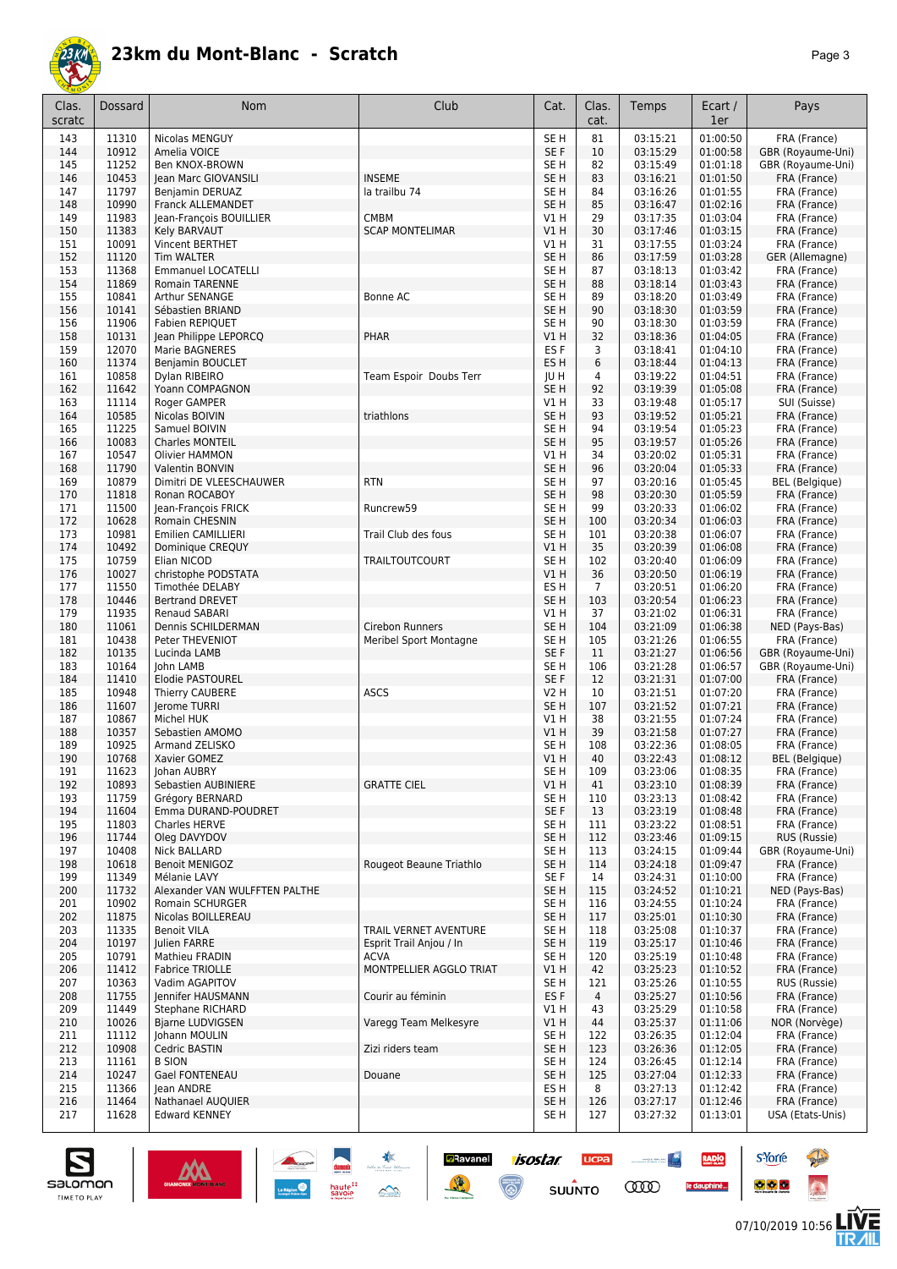

| Clas.<br>scratc | Dossard        | Nom                                                | Club                                   | Cat.                    | Clas.<br>cat.  | Temps                | Ecart /<br>1er       | Pays                                  |
|-----------------|----------------|----------------------------------------------------|----------------------------------------|-------------------------|----------------|----------------------|----------------------|---------------------------------------|
| 143             | 11310          | Nicolas MENGUY                                     |                                        | SE <sub>H</sub>         | 81             | 03:15:21             | 01:00:50             | FRA (France)                          |
| 144             | 10912          | Amelia VOICE                                       |                                        | SE <sub>F</sub>         | 10             | 03:15:29             | 01:00:58             | GBR (Royaume-Uni)                     |
| 145             | 11252          | Ben KNOX-BROWN                                     |                                        | SE H                    | 82             | 03:15:49             | 01:01:18             | GBR (Royaume-Uni)                     |
| 146             | 10453          | Jean Marc GIOVANSILI                               | <b>INSEME</b>                          | SE <sub>H</sub>         | 83             | 03:16:21             | 01:01:50             | FRA (France)                          |
| 147<br>148      | 11797<br>10990 | <b>Benjamin DERUAZ</b><br><b>Franck ALLEMANDET</b> | la trailbu 74                          | SE H<br>SE H            | 84<br>85       | 03:16:26<br>03:16:47 | 01:01:55<br>01:02:16 | FRA (France)<br>FRA (France)          |
| 149             | 11983          | Jean-François BOUILLIER                            | <b>CMBM</b>                            | V1 H                    | 29             | 03:17:35             | 01:03:04             | FRA (France)                          |
| 150             | 11383          | Kely BARVAUT                                       | <b>SCAP MONTELIMAR</b>                 | V1H                     | 30             | 03:17:46             | 01:03:15             | FRA (France)                          |
| 151             | 10091          | Vincent BERTHET                                    |                                        | V1 H                    | 31             | 03:17:55             | 01:03:24             | FRA (France)                          |
| 152             | 11120          | <b>Tim WALTER</b>                                  |                                        | SE <sub>H</sub>         | 86             | 03:17:59             | 01:03:28             | GER (Allemagne)                       |
| 153             | 11368          | <b>Emmanuel LOCATELLI</b>                          |                                        | SE H                    | 87             | 03:18:13             | 01:03:42             | FRA (France)                          |
| 154             | 11869          | Romain TARENNE                                     |                                        | SE H                    | 88             | 03:18:14             | 01:03:43             | FRA (France)                          |
| 155<br>156      | 10841<br>10141 | Arthur SENANGE<br>Sébastien BRIAND                 | Bonne AC                               | SE H<br>SE <sub>H</sub> | 89             | 03:18:20<br>03:18:30 | 01:03:49<br>01:03:59 | FRA (France)                          |
| 156             | 11906          | Fabien REPIQUET                                    |                                        | SE H                    | 90<br>90       | 03:18:30             | 01:03:59             | FRA (France)<br>FRA (France)          |
| 158             | 10131          | Jean Philippe LEPORCQ                              | PHAR                                   | V1 H                    | 32             | 03:18:36             | 01:04:05             | FRA (France)                          |
| 159             | 12070          | Marie BAGNERES                                     |                                        | ES <sub>F</sub>         | 3              | 03:18:41             | 01:04:10             | FRA (France)                          |
| 160             | 11374          | Benjamin BOUCLET                                   |                                        | ES <sub>H</sub>         | 6              | 03:18:44             | 01:04:13             | FRA (France)                          |
| 161             | 10858          | Dylan RIBEIRO                                      | Team Espoir Doubs Terr                 | JU H                    | 4              | 03:19:22             | 01:04:51             | FRA (France)                          |
| 162             | 11642          | Yoann COMPAGNON                                    |                                        | SE H                    | 92             | 03:19:39             | 01:05:08             | FRA (France)                          |
| 163             | 11114          | Roger GAMPER                                       |                                        | V1 H                    | 33             | 03:19:48             | 01:05:17             | SUI (Suisse)                          |
| 164<br>165      | 10585<br>11225 | Nicolas BOIVIN<br>Samuel BOIVIN                    | triathlons                             | SE <sub>H</sub><br>SE H | 93<br>94       | 03:19:52<br>03:19:54 | 01:05:21<br>01:05:23 | FRA (France)<br>FRA (France)          |
| 166             | 10083          | Charles MONTEIL                                    |                                        | SE H                    | 95             | 03:19:57             | 01:05:26             | FRA (France)                          |
| 167             | 10547          | Olivier HAMMON                                     |                                        | V1 H                    | 34             | 03:20:02             | 01:05:31             | FRA (France)                          |
| 168             | 11790          | Valentin BONVIN                                    |                                        | SE <sub>H</sub>         | 96             | 03:20:04             | 01:05:33             | FRA (France)                          |
| 169             | 10879          | Dimitri DE VLEESCHAUWER                            | <b>RTN</b>                             | SE H                    | 97             | 03:20:16             | 01:05:45             | BEL (Belgique)                        |
| 170             | 11818          | Ronan ROCABOY                                      |                                        | SE <sub>H</sub>         | 98             | 03:20:30             | 01:05:59             | FRA (France)                          |
| 171             | 11500          | Jean-François FRICK                                | Runcrew59                              | SE H                    | 99             | 03:20:33             | 01:06:02             | FRA (France)                          |
| 172             | 10628          | Romain CHESNIN                                     |                                        | SE H                    | 100            | 03:20:34             | 01:06:03             | FRA (France)                          |
| 173<br>174      | 10981<br>10492 | Emilien CAMILLIERI                                 | Trail Club des fous                    | SE H<br>V1H             | 101<br>35      | 03:20:38<br>03:20:39 | 01:06:07<br>01:06:08 | FRA (France)                          |
| 175             | 10759          | Dominique CREQUY<br>Elian NICOD                    | <b>TRAILTOUTCOURT</b>                  | SE H                    | 102            | 03:20:40             | 01:06:09             | FRA (France)<br>FRA (France)          |
| 176             | 10027          | christophe PODSTATA                                |                                        | V1 H                    | 36             | 03:20:50             | 01:06:19             | FRA (France)                          |
| 177             | 11550          | Timothée DELABY                                    |                                        | ES H                    | $\overline{7}$ | 03:20:51             | 01:06:20             | FRA (France)                          |
| 178             | 10446          | <b>Bertrand DREVET</b>                             |                                        | SE <sub>H</sub>         | 103            | 03:20:54             | 01:06:23             | FRA (France)                          |
| 179             | 11935          | Renaud SABARI                                      |                                        | V1 H                    | 37             | 03:21:02             | 01:06:31             | FRA (France)                          |
| 180             | 11061          | Dennis SCHILDERMAN                                 | Cirebon Runners                        | SE <sub>H</sub>         | 104            | 03:21:09             | 01:06:38             | NED (Pays-Bas)                        |
| 181<br>182      | 10438<br>10135 | Peter THEVENIOT<br>Lucinda LAMB                    | Meribel Sport Montagne                 | SE <sub>H</sub><br>SE F | 105<br>11      | 03:21:26<br>03:21:27 | 01:06:55<br>01:06:56 | FRA (France)<br>GBR (Royaume-Uni)     |
| 183             | 10164          | John LAMB                                          |                                        | SE H                    | 106            | 03:21:28             | 01:06:57             | GBR (Royaume-Uni)                     |
| 184             | 11410          | <b>Elodie PASTOUREL</b>                            |                                        | SE <sub>F</sub>         | 12             | 03:21:31             | 01:07:00             | FRA (France)                          |
| 185             | 10948          | Thierry CAUBERE                                    | ASCS                                   | V2 H                    | 10             | 03:21:51             | 01:07:20             | FRA (France)                          |
| 186             | 11607          | Jerome TURRI                                       |                                        | SE H                    | 107            | 03:21:52             | 01:07:21             | FRA (France)                          |
| 187             | 10867          | Michel HUK                                         |                                        | V1 H                    | 38             | 03:21:55             | 01:07:24             | FRA (France)                          |
| 188             | 10357          | Sebastien AMOMO                                    |                                        | V1 H                    | 39             | 03:21:58             | 01:07:27             | FRA (France)                          |
| 189<br>190      | 10925<br>10768 | Armand ZELISKO<br>Xavier GOMEZ                     |                                        | SE H<br>VIH             | 108<br>40      | 03:22:36<br>03:22:43 | 01:08:05<br>01:08:12 | FRA (France)<br><b>BEL</b> (Belgique) |
| 191             | 11623          | Johan AUBRY                                        |                                        | SE H                    | 109            | 03:23:06             | 01:08:35             | FRA (France)                          |
| 192             | 10893          | Sebastien AUBINIERE                                | <b>GRATTE CIEL</b>                     | V1 H                    | 41             | 03:23:10             | 01:08:39             | FRA (France)                          |
| 193             | 11759          | Grégory BERNARD                                    |                                        | SE <sub>H</sub>         | 110            | 03:23:13             | 01:08:42             | FRA (France)                          |
| 194             | 11604          | Emma DURAND-POUDRET                                |                                        | SE F                    | 13             | 03:23:19             | 01:08:48             | FRA (France)                          |
| 195             | 11803          | <b>Charles HERVE</b>                               |                                        | SE H                    | 111            | 03:23:22             | 01:08:51             | FRA (France)                          |
| 196             | 11744          | Oleg DAVYDOV                                       |                                        | SE H                    | 112            | 03:23:46             | 01:09:15             | RUS (Russie)                          |
| 197<br>198      | 10408<br>10618 | Nick BALLARD<br><b>Benoit MENIGOZ</b>              | Rougeot Beaune Triathlo                | SE H<br>SE H            | 113<br>114     | 03:24:15<br>03:24:18 | 01:09:44<br>01:09:47 | GBR (Royaume-Uni)<br>FRA (France)     |
| 199             | 11349          | Mélanie LAVY                                       |                                        | SE F                    | 14             | 03:24:31             | 01:10:00             | FRA (France)                          |
| 200             | 11732          | Alexander VAN WULFFTEN PALTHE                      |                                        | SE H                    | 115            | 03:24:52             | 01:10:21             | NED (Pays-Bas)                        |
| 201             | 10902          | Romain SCHURGER                                    |                                        | SE H                    | 116            | 03:24:55             | 01:10:24             | FRA (France)                          |
| 202             | 11875          | Nicolas BOILLEREAU                                 |                                        | SE <sub>H</sub>         | 117            | 03:25:01             | 01:10:30             | FRA (France)                          |
| 203             | 11335          | <b>Benoit VILA</b>                                 | TRAIL VERNET AVENTURE                  | SE H                    | 118            | 03:25:08             | 01:10:37             | FRA (France)                          |
| 204             | 10197          | Julien FARRE                                       | Esprit Trail Anjou / In                | SE H                    | 119            | 03:25:17             | 01:10:46             | FRA (France)                          |
| 205<br>206      | 10791<br>11412 | Mathieu FRADIN<br><b>Fabrice TRIOLLE</b>           | <b>ACVA</b><br>MONTPELLIER AGGLO TRIAT | SE H<br>V1 H            | 120<br>42      | 03:25:19<br>03:25:23 | 01:10:48<br>01:10:52 | FRA (France)<br>FRA (France)          |
| 207             | 10363          | Vadim AGAPITOV                                     |                                        | SE H                    | 121            | 03:25:26             | 01:10:55             | RUS (Russie)                          |
| 208             | 11755          | Jennifer HAUSMANN                                  | Courir au féminin                      | ES F                    | 4              | 03:25:27             | 01:10:56             | FRA (France)                          |
| 209             | 11449          | Stephane RICHARD                                   |                                        | V1 H                    | 43             | 03:25:29             | 01:10:58             | FRA (France)                          |
| 210             | 10026          | <b>Bjarne LUDVIGSEN</b>                            | Varegg Team Melkesyre                  | V1 H                    | 44             | 03:25:37             | 01:11:06             | NOR (Norvège)                         |
| 211             | 11112          | Johann MOULIN                                      |                                        | SE H                    | 122            | 03:26:35             | 01:12:04             | FRA (France)                          |
| 212             | 10908          | Cedric BASTIN                                      | Zizi riders team                       | SE H                    | 123            | 03:26:36             | 01:12:05             | FRA (France)                          |
| 213<br>214      | 11161<br>10247 | <b>B SION</b><br>Gael FONTENEAU                    | Douane                                 | SE H<br>SE H            | 124<br>125     | 03:26:45<br>03:27:04 | 01:12:14<br>01:12:33 | FRA (France)<br>FRA (France)          |
| 215             | 11366          | Jean ANDRE                                         |                                        | ES H                    | 8              | 03:27:13             | 01:12:42             | FRA (France)                          |
| 216             | 11464          | Nathanael AUQUIER                                  |                                        | SE H                    | 126            | 03:27:17             | 01:12:46             | FRA (France)                          |
| 217             | 11628          | <b>Edward KENNEY</b>                               |                                        | SE H                    | 127            | 03:27:32             | 01:13:01             | USA (Etats-Unis)                      |

 $\sum_{i=1}^{n}$ 

haute<sup>::</sup><br>savoie

 $M$ 

isostar.

 $\overline{\mathbb{G}}$ 

 $ucpa$ 

 $s$ UUNTO

 $\begin{picture}(20,10) \put(0,0){\line(1,0){10}} \put(0,0){\line(1,0){10}} \put(0,0){\line(1,0){10}} \put(0,0){\line(1,0){10}} \put(0,0){\line(1,0){10}} \put(0,0){\line(1,0){10}} \put(0,0){\line(1,0){10}} \put(0,0){\line(1,0){10}} \put(0,0){\line(1,0){10}} \put(0,0){\line(1,0){10}} \put(0,0){\line(1,0){10}} \put(0,0){\line(1,0){10}} \put(0,$ 

**COO** 

RADIO

le dauphiné...

**Z**Ravanel

養



**s**Yorre

 $\bullet$   $\bullet$   $\bullet$ 

**There** 

 $\ddot{\Omega}$ 

**LIVE<br>TR***A***IL**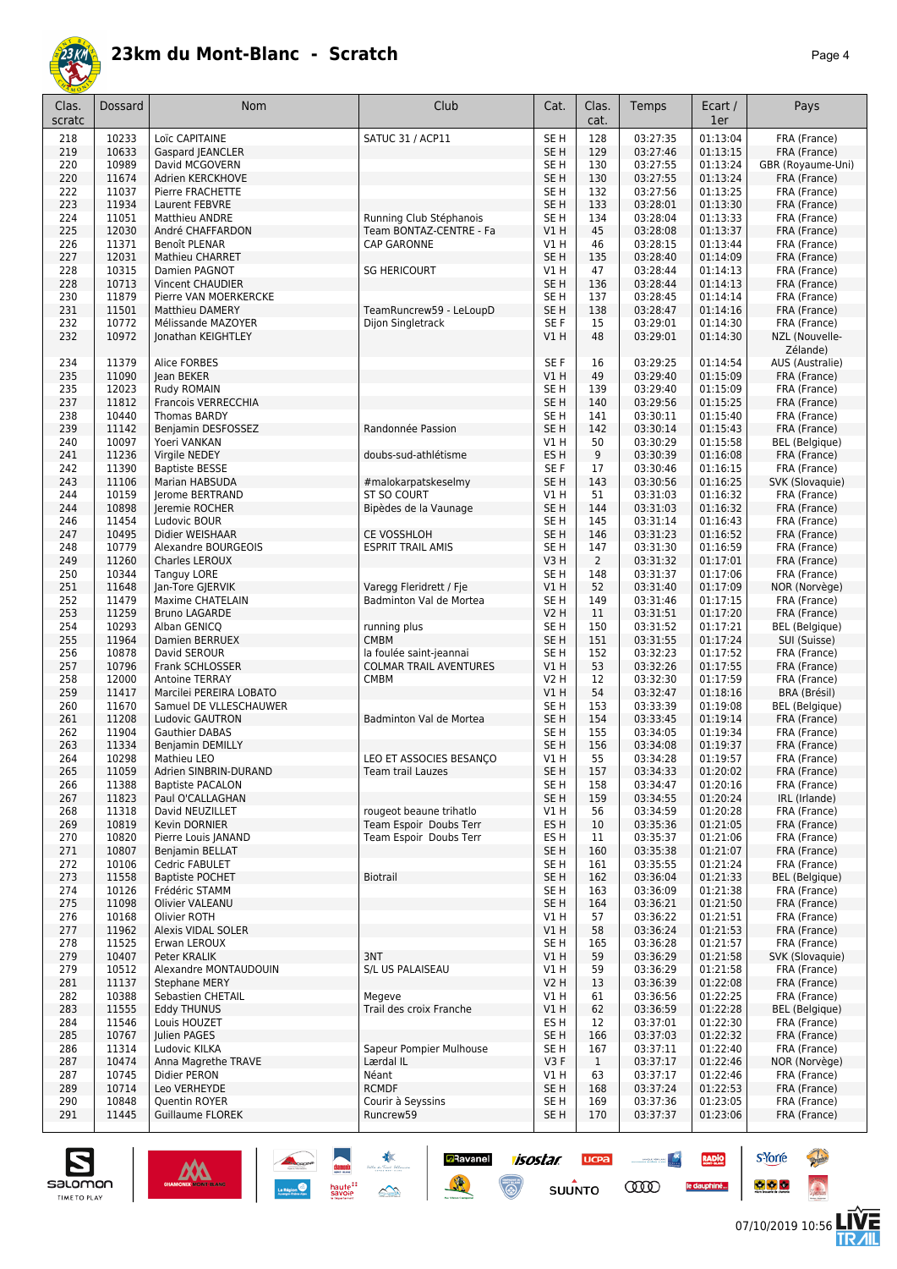

|--|--|

| Clas.<br>scratc | Dossard        | <b>Nom</b>                                | Club                                 | Cat.                               | Clas.<br>cat.  | Temps                | Ecart /<br>1er       | Pays                                  |
|-----------------|----------------|-------------------------------------------|--------------------------------------|------------------------------------|----------------|----------------------|----------------------|---------------------------------------|
| 218             | 10233          | Loïc CAPITAINE                            | <b>SATUC 31 / ACP11</b>              | SE <sub>H</sub>                    | 128            | 03:27:35             | 01:13:04             | FRA (France)                          |
| 219             | 10633          | Gaspard JEANCLER                          |                                      | SE <sub>H</sub>                    | 129            | 03:27:46             | 01:13:15             | FRA (France)                          |
| 220             | 10989<br>11674 | David MCGOVERN                            |                                      | SE <sub>H</sub>                    | 130            | 03:27:55             | 01:13:24             | GBR (Royaume-Uni)<br>FRA (France)     |
| 220<br>222      | 11037          | Adrien KERCKHOVE<br>Pierre FRACHETTE      |                                      | SE <sub>H</sub><br>SE <sub>H</sub> | 130<br>132     | 03:27:55<br>03:27:56 | 01:13:24<br>01:13:25 | FRA (France)                          |
| 223             | 11934          | Laurent FEBVRE                            |                                      | SE <sub>H</sub>                    | 133            | 03:28:01             | 01:13:30             | FRA (France)                          |
| 224             | 11051          | <b>Matthieu ANDRE</b>                     | Running Club Stéphanois              | SE <sub>H</sub>                    | 134            | 03:28:04             | 01:13:33             | FRA (France)                          |
| 225             | 12030          | André CHAFFARDON                          | Team BONTAZ-CENTRE - Fa              | V1H                                | 45             | 03:28:08             | 01:13:37             | FRA (France)                          |
| 226             | 11371          | Benoît PLENAR                             | CAP GARONNE                          | V1 H                               | 46             | 03:28:15             | 01:13:44             | FRA (France)                          |
| 227             | 12031          | Mathieu CHARRET                           |                                      | SE <sub>H</sub>                    | 135            | 03:28:40             | 01:14:09             | FRA (France)                          |
| 228<br>228      | 10315<br>10713 | Damien PAGNOT<br>Vincent CHAUDIER         | <b>SG HERICOURT</b>                  | V1 H<br>SE <sub>H</sub>            | 47<br>136      | 03:28:44<br>03:28:44 | 01:14:13<br>01:14:13 | FRA (France)<br>FRA (France)          |
| 230             | 11879          | Pierre VAN MOERKERCKE                     |                                      | SE <sub>H</sub>                    | 137            | 03:28:45             | 01:14:14             | FRA (France)                          |
| 231             | 11501          | <b>Matthieu DAMERY</b>                    | TeamRuncrew59 - LeLoupD              | SE <sub>H</sub>                    | 138            | 03:28:47             | 01:14:16             | FRA (France)                          |
| 232             | 10772          | Mélissande MAZOYER                        | Dijon Singletrack                    | SE F                               | 15             | 03:29:01             | 01:14:30             | FRA (France)                          |
| 232             | 10972          | Jonathan KEIGHTLEY                        |                                      | V1H                                | 48             | 03:29:01             | 01:14:30             | NZL (Nouvelle-<br>Zélande)            |
| 234             | 11379          | Alice FORBES                              |                                      | SE F                               | 16             | 03:29:25             | 01:14:54             | AUS (Australie)                       |
| 235<br>235      | 11090<br>12023 | lean BEKER<br>Rudy ROMAIN                 |                                      | VIH<br>SE <sub>H</sub>             | 49<br>139      | 03:29:40<br>03:29:40 | 01:15:09<br>01:15:09 | FRA (France)<br>FRA (France)          |
| 237             | 11812          | Francois VERRECCHIA                       |                                      | SE <sub>H</sub>                    | 140            | 03:29:56             | 01:15:25             | FRA (France)                          |
| 238             | 10440          | Thomas BARDY                              |                                      | SE <sub>H</sub>                    | 141            | 03:30:11             | 01:15:40             | FRA (France)                          |
| 239             | 11142          | Benjamin DESFOSSEZ                        | Randonnée Passion                    | SE <sub>H</sub>                    | 142            | 03:30:14             | 01:15:43             | FRA (France)                          |
| 240             | 10097          | Yoeri VANKAN                              |                                      | V1 H                               | 50             | 03:30:29             | 01:15:58             | <b>BEL</b> (Belgique)                 |
| 241             | 11236          | Virgile NEDEY                             | doubs-sud-athlétisme                 | ES H                               | 9              | 03:30:39             | 01:16:08             | FRA (France)                          |
| 242             | 11390          | <b>Baptiste BESSE</b>                     |                                      | SE F                               | 17             | 03:30:46             | 01:16:15             | FRA (France)                          |
| 243             | 11106          | Marian HABSUDA                            | #malokarpatskeselmy                  | SE <sub>H</sub>                    | 143            | 03:30:56             | 01:16:25             | SVK (Slovaquie)                       |
| 244<br>244      | 10159<br>10898 | Jerome BERTRAND<br>Jeremie ROCHER         | ST SO COURT<br>Bipèdes de la Vaunage | V1H<br>SE <sub>H</sub>             | 51<br>144      | 03:31:03<br>03:31:03 | 01:16:32<br>01:16:32 | FRA (France)<br>FRA (France)          |
| 246             | 11454          | Ludovic BOUR                              |                                      | SE <sub>H</sub>                    | 145            | 03:31:14             | 01:16:43             | FRA (France)                          |
| 247             | 10495          | Didier WEISHAAR                           | <b>CE VOSSHLOH</b>                   | SE <sub>H</sub>                    | 146            | 03:31:23             | 01:16:52             | FRA (France)                          |
| 248             | 10779          | Alexandre BOURGEOIS                       | <b>ESPRIT TRAIL AMIS</b>             | SE <sub>H</sub>                    | 147            | 03:31:30             | 01:16:59             | FRA (France)                          |
| 249             | 11260          | Charles LEROUX                            |                                      | V3H                                | $\overline{2}$ | 03:31:32             | 01:17:01             | FRA (France)                          |
| 250             | 10344          | <b>Tanguy LORE</b>                        |                                      | SE <sub>H</sub>                    | 148            | 03:31:37             | 01:17:06             | FRA (France)                          |
| 251             | 11648          | Jan-Tore GJERVIK                          | Varegg Fleridrett / Fje              | VIH                                | 52             | 03:31:40             | 01:17:09             | NOR (Norvège)                         |
| 252             | 11479          | Maxime CHATELAIN                          | Badminton Val de Mortea              | SE H                               | 149            | 03:31:46             | 01:17:15             | FRA (France)                          |
| 253<br>254      | 11259<br>10293 | <b>Bruno LAGARDE</b><br>Alban GENICQ      | running plus                         | V2 H<br>SE <sub>H</sub>            | 11<br>150      | 03:31:51<br>03:31:52 | 01:17:20<br>01:17:21 | FRA (France)<br><b>BEL</b> (Belgique) |
| 255             | 11964          | Damien BERRUEX                            | <b>CMBM</b>                          | SE <sub>H</sub>                    | 151            | 03:31:55             | 01:17:24             | SUI (Suisse)                          |
| 256             | 10878          | David SEROUR                              | la foulée saint-jeannai              | SE <sub>H</sub>                    | 152            | 03:32:23             | 01:17:52             | FRA (France)                          |
| 257             | 10796          | Frank SCHLOSSER                           | <b>COLMAR TRAIL AVENTURES</b>        | V1H                                | 53             | 03:32:26             | 01:17:55             | FRA (France)                          |
| 258             | 12000          | <b>Antoine TERRAY</b>                     | <b>CMBM</b>                          | <b>V2 H</b>                        | 12             | 03:32:30             | 01:17:59             | FRA (France)                          |
| 259             | 11417          | Marcilei PEREIRA LOBATO                   |                                      | V1H                                | 54             | 03:32:47             | 01:18:16             | BRA (Brésil)                          |
| 260<br>261      | 11670<br>11208 | Samuel DE VLLESCHAUWER<br>Ludovic GAUTRON | Badminton Val de Mortea              | SE <sub>H</sub><br>SE <sub>H</sub> | 153<br>154     | 03:33:39<br>03:33:45 | 01:19:08<br>01:19:14 | <b>BEL</b> (Belgique)<br>FRA (France) |
| 262             | 11904          | Gauthier DABAS                            |                                      | SE <sub>H</sub>                    | 155            | 03:34:05             | 01:19:34             | FRA (France)                          |
| 263             | 11334          | <b>Benjamin DEMILLY</b>                   |                                      | SE <sub>H</sub>                    | 156            | 03:34:08             | 01:19:37             | FRA (France)                          |
| 264             | 10298          | Mathieu LEO                               | LEO ET ASSOCIES BESANÇO              | VIH                                | 55             | 03:34:28             | 01:19:57             | FRA (France)                          |
| 265             | 11059          | Adrien SINBRIN-DURAND                     | Team trail Lauzes                    | SE H                               | 157            | 03:34:33             | 01:20:02             | FRA (France)                          |
| 266             | 11388          | <b>Baptiste PACALON</b>                   |                                      | SE <sub>H</sub>                    | 158            | 03:34:47             | 01:20:16             | FRA (France)                          |
| 267<br>268      | 11823<br>11318 | Paul O'CALLAGHAN<br>David NEUZILLET       | rougeot beaune trihatlo              | SE <sub>H</sub><br>V1H             | 159<br>56      | 03:34:55<br>03:34:59 | 01:20:24<br>01:20:28 | IRL (Irlande)<br>FRA (France)         |
| 269             | 10819          | Kevin DORNIER                             | Team Espoir Doubs Terr               | ES H                               | 10             | 03:35:36             | 01:21:05             | FRA (France)                          |
| 270             | 10820          | Pierre Louis JANAND                       | Team Espoir Doubs Terr               | ES H                               | 11             | 03:35:37             | 01:21:06             | FRA (France)                          |
| 271             | 10807          | <b>Benjamin BELLAT</b>                    |                                      | SE <sub>H</sub>                    | 160            | 03:35:38             | 01:21:07             | FRA (France)                          |
| 272             | 10106          | Cedric FABULET                            |                                      | SE <sub>H</sub>                    | 161            | 03:35:55             | 01:21:24             | FRA (France)                          |
| 273             | 11558          | <b>Baptiste POCHET</b>                    | <b>Biotrail</b>                      | SE <sub>H</sub>                    | 162            | 03:36:04             | 01:21:33             | <b>BEL</b> (Belgique)                 |
| 274             | 10126          | Frédéric STAMM                            |                                      | SE H                               | 163            | 03:36:09             | 01:21:38             | FRA (France)                          |
| 275<br>276      | 11098<br>10168 | <b>Olivier VALEANU</b><br>Olivier ROTH    |                                      | SE H<br>VIH                        | 164<br>57      | 03:36:21<br>03:36:22 | 01:21:50<br>01:21:51 | FRA (France)<br>FRA (France)          |
| 277             | 11962          | Alexis VIDAL SOLER                        |                                      | V1 H                               | 58             | 03:36:24             | 01:21:53             | FRA (France)                          |
| 278             | 11525          | Erwan LEROUX                              |                                      | SE H                               | 165            | 03:36:28             | 01:21:57             | FRA (France)                          |
| 279             | 10407          | Peter KRALIK                              | 3NT                                  | V1H                                | 59             | 03:36:29             | 01:21:58             | SVK (Slovaquie)                       |
| 279             | 10512          | Alexandre MONTAUDOUIN                     | S/L US PALAISEAU                     | V1 H                               | 59             | 03:36:29             | 01:21:58             | FRA (France)                          |
| 281             | 11137          | <b>Stephane MERY</b>                      |                                      | <b>V2 H</b>                        | 13             | 03:36:39             | 01:22:08             | FRA (France)                          |
| 282             | 10388          | Sebastien CHETAIL                         | Megeve                               | V1 H                               | 61             | 03:36:56             | 01:22:25             | FRA (France)                          |
| 283<br>284      | 11555<br>11546 | <b>Eddy THUNUS</b><br>Louis HOUZET        | Trail des croix Franche              | V1H<br>ES <sub>H</sub>             | 62<br>12       | 03:36:59<br>03:37:01 | 01:22:28<br>01:22:30 | <b>BEL</b> (Belgique)<br>FRA (France) |
| 285             | 10767          | Julien PAGES                              |                                      | SE <sub>H</sub>                    | 166            | 03:37:03             | 01:22:32             | FRA (France)                          |
| 286             | 11314          | Ludovic KILKA                             | Sapeur Pompier Mulhouse              | SE H                               | 167            | 03:37:11             | 01:22:40             | FRA (France)                          |
| 287             | 10474          | Anna Magrethe TRAVE                       | Lærdal IL                            | V3F                                | $\mathbf{1}$   | 03:37:17             | 01:22:46             | NOR (Norvège)                         |
| 287             | 10745          | Didier PERON                              | Néant                                | VIH                                | 63             | 03:37:17             | 01:22:46             | FRA (France)                          |
| 289             | 10714          | Leo VERHEYDE                              | <b>RCMDF</b>                         | SE <sub>H</sub>                    | 168            | 03:37:24             | 01:22:53             | FRA (France)                          |
| 290             | 10848          | Quentin ROYER                             | Courir à Seyssins                    | SE H                               | 169            | 03:37:36             | 01:23:05             | FRA (France)                          |
| 291             | 11445          | Guillaume FLOREK                          | Runcrew59                            | SE H                               | 170            | 03:37:37             | 01:23:06             | FRA (France)                          |

**Example 1505tar ucea and 1505tar ucea and 1505tar ucea and 1505tar ucea and 150 million comparation of the Comparation of the Comparation of the Comparation of the Comparation of the Comparation of the Comparation of the** 





**s**Yorre

 $\bullet$   $\bullet$   $\bullet$ 

RADIO

le dauphiné...

**PARTIES** 

 $\ddot{\Omega}$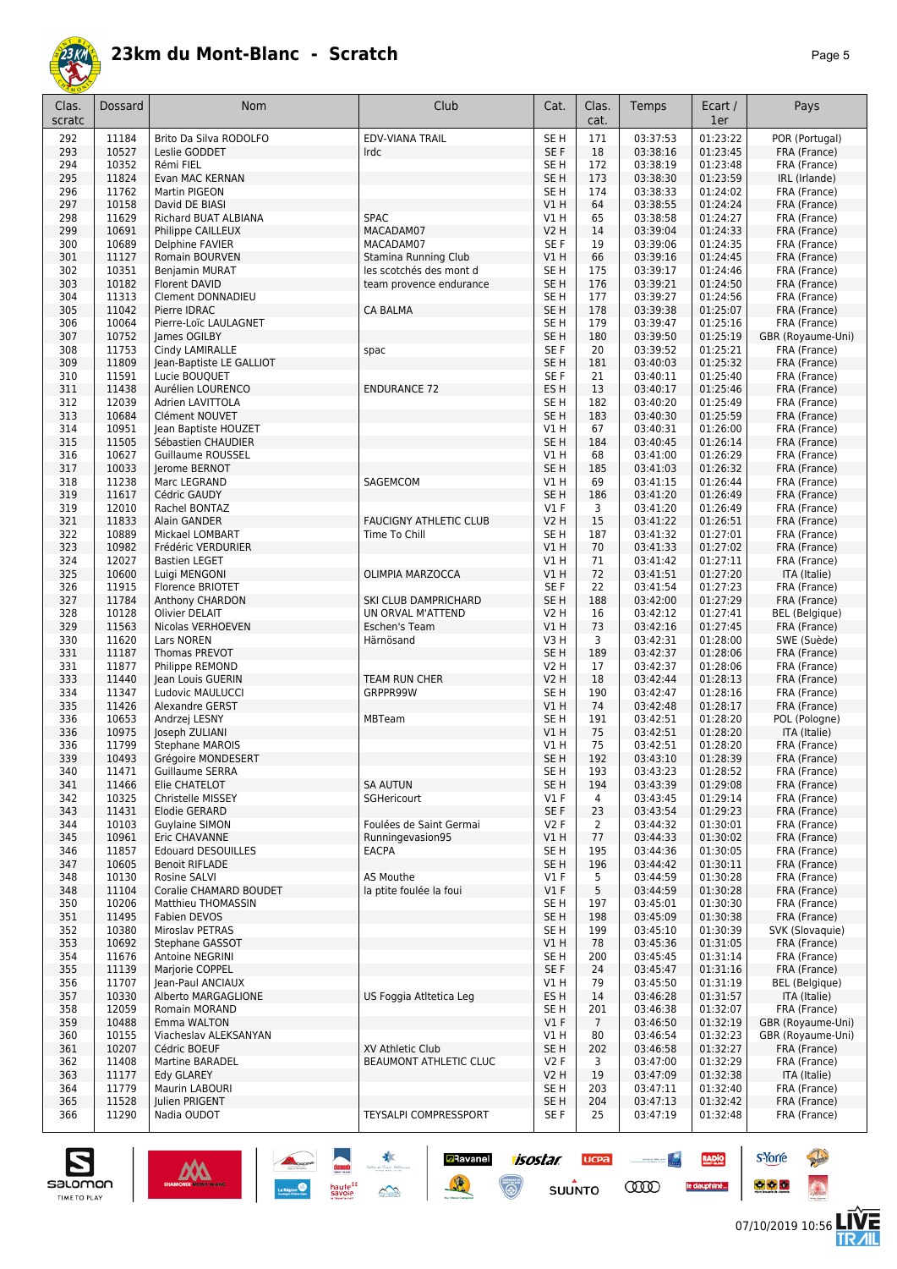

| Clas.<br>scratc | Dossard        | Nom                                         | Club                                               | Cat.                               | Clas.<br>cat.   | Temps                | Ecart /<br>1er       | Pays                                  |
|-----------------|----------------|---------------------------------------------|----------------------------------------------------|------------------------------------|-----------------|----------------------|----------------------|---------------------------------------|
| 292             | 11184          | Brito Da Silva RODOLFO                      | <b>EDV-VIANA TRAIL</b>                             | SE <sub>H</sub>                    | 171             | 03:37:53             | 01:23:22             | POR (Portugal)                        |
| 293             | 10527          | Leslie GODDET                               | Irdc                                               | SE F                               | 18              | 03:38:16             | 01:23:45             | FRA (France)                          |
| 294             | 10352<br>11824 | Rémi FIEL                                   |                                                    | SE <sub>H</sub><br>SE <sub>H</sub> | 172             | 03:38:19<br>03:38:30 | 01:23:48<br>01:23:59 | FRA (France)                          |
| 295<br>296      | 11762          | Evan MAC KERNAN<br>Martin PIGEON            |                                                    | SE <sub>H</sub>                    | 173<br>174      | 03:38:33             | 01:24:02             | IRL (Irlande)<br>FRA (France)         |
| 297             | 10158          | David DE BIASI                              |                                                    | VIH                                | 64              | 03:38:55             | 01:24:24             | FRA (France)                          |
| 298             | 11629          | Richard BUAT ALBIANA                        | <b>SPAC</b>                                        | V1H                                | 65              | 03:38:58             | 01:24:27             | FRA (France)                          |
| 299             | 10691          | Philippe CAILLEUX                           | MACADAM07                                          | <b>V2 H</b>                        | 14              | 03:39:04             | 01:24:33             | FRA (France)                          |
| 300             | 10689          | Delphine FAVIER                             | MACADAM07                                          | SE F                               | 19              | 03:39:06             | 01:24:35             | FRA (France)                          |
| 301             | 11127<br>10351 | Romain BOURVEN                              | Stamina Running Club                               | V1 H<br>SE <sub>H</sub>            | 66<br>175       | 03:39:16<br>03:39:17 | 01:24:45<br>01:24:46 | FRA (France)                          |
| 302<br>303      | 10182          | <b>Benjamin MURAT</b><br>Florent DAVID      | les scotchés des mont d<br>team provence endurance | SE <sub>H</sub>                    | 176             | 03:39:21             | 01:24:50             | FRA (France)<br>FRA (France)          |
| 304             | 11313          | <b>Clement DONNADIEU</b>                    |                                                    | SE <sub>H</sub>                    | 177             | 03:39:27             | 01:24:56             | FRA (France)                          |
| 305             | 11042          | Pierre IDRAC                                | <b>CA BALMA</b>                                    | SE <sub>H</sub>                    | 178             | 03:39:38             | 01:25:07             | FRA (France)                          |
| 306             | 10064          | Pierre-Loïc LAULAGNET                       |                                                    | SE <sub>H</sub>                    | 179             | 03:39:47             | 01:25:16             | FRA (France)                          |
| 307             | 10752          | James OGILBY                                |                                                    | SE <sub>H</sub>                    | 180             | 03:39:50             | 01:25:19             | GBR (Royaume-Uni)                     |
| 308<br>309      | 11753<br>11809 | Cindy LAMIRALLE<br>Jean-Baptiste LE GALLIOT | spac                                               | SE F<br>SE <sub>H</sub>            | 20<br>181       | 03:39:52<br>03:40:03 | 01:25:21<br>01:25:32 | FRA (France)<br>FRA (France)          |
| 310             | 11591          | Lucie BOUQUET                               |                                                    | SE F                               | 21              | 03:40:11             | 01:25:40             | FRA (France)                          |
| 311             | 11438          | Aurélien LOURENCO                           | <b>ENDURANCE 72</b>                                | ES <sub>H</sub>                    | 13              | 03:40:17             | 01:25:46             | FRA (France)                          |
| 312             | 12039          | Adrien LAVITTOLA                            |                                                    | SE <sub>H</sub>                    | 182             | 03:40:20             | 01:25:49             | FRA (France)                          |
| 313             | 10684          | Clément NOUVET                              |                                                    | SE <sub>H</sub>                    | 183             | 03:40:30             | 01:25:59             | FRA (France)                          |
| 314             | 10951          | Jean Baptiste HOUZET                        |                                                    | V1H                                | 67              | 03:40:31             | 01:26:00             | FRA (France)                          |
| 315             | 11505          | Sébastien CHAUDIER                          |                                                    | SE <sub>H</sub>                    | 184             | 03:40:45             | 01:26:14             | FRA (France)                          |
| 316<br>317      | 10627<br>10033 | Guillaume ROUSSEL<br>Jerome BERNOT          |                                                    | V1H<br>SE <sub>H</sub>             | 68<br>185       | 03:41:00<br>03:41:03 | 01:26:29<br>01:26:32 | FRA (France)<br>FRA (France)          |
| 318             | 11238          | Marc LEGRAND                                | SAGEMCOM                                           | V1 H                               | 69              | 03:41:15             | 01:26:44             | FRA (France)                          |
| 319             | 11617          | Cédric GAUDY                                |                                                    | SE <sub>H</sub>                    | 186             | 03:41:20             | 01:26:49             | FRA (France)                          |
| 319             | 12010          | Rachel BONTAZ                               |                                                    | $VI$ F                             | 3               | 03:41:20             | 01:26:49             | FRA (France)                          |
| 321             | 11833          | Alain GANDER                                | <b>FAUCIGNY ATHLETIC CLUB</b>                      | <b>V2 H</b>                        | 15              | 03:41:22             | 01:26:51             | FRA (France)                          |
| 322             | 10889          | Mickael LOMBART                             | Time To Chill                                      | SE <sub>H</sub>                    | 187             | 03:41:32             | 01:27:01             | FRA (France)                          |
| 323             | 10982          | Frédéric VERDURIER                          |                                                    | V1 H                               | 70              | 03:41:33             | 01:27:02             | FRA (France)                          |
| 324             | 12027          | <b>Bastien LEGET</b>                        |                                                    | V1H                                | 71              | 03:41:42             | 01:27:11             | FRA (France)                          |
| 325<br>326      | 10600<br>11915 | Luigi MENGONI<br>Florence BRIOTET           | <b>OLIMPIA MARZOCCA</b>                            | VIH<br>SE F                        | 72<br>22        | 03:41:51<br>03:41:54 | 01:27:20<br>01:27:23 | ITA (Italie)<br>FRA (France)          |
| 327             | 11784          | Anthony CHARDON                             | SKI CLUB DAMPRICHARD                               | SE <sub>H</sub>                    | 188             | 03:42:00             | 01:27:29             | FRA (France)                          |
| 328             | 10128          | Olivier DELAIT                              | UN ORVAL M'ATTEND                                  | V2 H                               | 16              | 03:42:12             | 01:27:41             | <b>BEL</b> (Belgique)                 |
| 329             | 11563          | Nicolas VERHOEVEN                           | Eschen's Team                                      | V1H                                | 73              | 03:42:16             | 01:27:45             | FRA (France)                          |
| 330             | 11620          | Lars NOREN                                  | Härnösand                                          | V3H                                | 3               | 03:42:31             | 01:28:00             | SWE (Suède)                           |
| 331             | 11187          | Thomas PREVOT                               |                                                    | SE <sub>H</sub>                    | 189             | 03:42:37             | 01:28:06             | FRA (France)                          |
| 331             | 11877          | Philippe REMOND                             |                                                    | V2 H                               | 17              | 03:42:37             | 01:28:06             | FRA (France)<br>FRA (France)          |
| 333<br>334      | 11440<br>11347 | Jean Louis GUERIN<br>Ludovic MAULUCCI       | <b>TEAM RUN CHER</b><br>GRPPR99W                   | <b>V2 H</b><br>SE <sub>H</sub>     | 18<br>190       | 03:42:44<br>03:42:47 | 01:28:13<br>01:28:16 | FRA (France)                          |
| 335             | 11426          | Alexandre GERST                             |                                                    | VIH                                | 74              | 03:42:48             | 01:28:17             | FRA (France)                          |
| 336             | 10653          | Andrzej LESNY                               | <b>MBTeam</b>                                      | SE <sub>H</sub>                    | 191             | 03:42:51             | 01:28:20             | POL (Pologne)                         |
| 336             | 10975          | Joseph ZULIANI                              |                                                    | V1 H                               | 75              | 03:42:51             | 01:28:20             | ITA (Italie)                          |
| 336             | 11799          | <b>Stephane MAROIS</b>                      |                                                    | V1 H                               | 75              | 03:42:51             | 01:28:20             | FRA (France)                          |
| 339             | 10493          | Grégoire MONDESERT                          |                                                    | SE <sub>H</sub>                    | 192             | 03:43:10             | 01:28:39             | FRA (France)                          |
| 340<br>341      | 11471<br>11466 | Guillaume SERRA<br>Elie CHATELOT            | <b>SA AUTUN</b>                                    | SE H<br>SE <sub>H</sub>            | 193<br>194      | 03:43:23<br>03:43:39 | 01:28:52<br>01:29:08 | FRA (France)<br>FRA (France)          |
| 342             | 10325          | Christelle MISSEY                           | SGHericourt                                        | $VI$ F                             | $\overline{4}$  | 03:43:45             | 01:29:14             | FRA (France)                          |
| 343             | 11431          | Elodie GERARD                               |                                                    | SE F                               | 23              | 03:43:54             | 01:29:23             | FRA (France)                          |
| 344             | 10103          | <b>Guylaine SIMON</b>                       | Foulées de Saint Germai                            | V2F                                | $\overline{2}$  | 03:44:32             | 01:30:01             | FRA (France)                          |
| 345             | 10961          | Eric CHAVANNE                               | Runningevasion95                                   | V1 H                               | 77              | 03:44:33             | 01:30:02             | FRA (France)                          |
| 346             | 11857          | <b>Edouard DESOUILLES</b>                   | <b>EACPA</b>                                       | SE <sub>H</sub>                    | 195             | 03:44:36             | 01:30:05             | FRA (France)                          |
| 347<br>348      | 10605<br>10130 | <b>Benoit RIFLADE</b><br>Rosine SALVI       | AS Mouthe                                          | SE H<br>$VI$ F                     | 196<br>5        | 03:44:42<br>03:44:59 | 01:30:11<br>01:30:28 | FRA (France)<br>FRA (France)          |
| 348             | 11104          | Coralie CHAMARD BOUDET                      | la ptite foulée la foui                            | $VI$ F                             | 5               | 03:44:59             | 01:30:28             | FRA (France)                          |
| 350             | 10206          | Matthieu THOMASSIN                          |                                                    | SE H                               | 197             | 03:45:01             | 01:30:30             | FRA (France)                          |
| 351             | 11495          | Fabien DEVOS                                |                                                    | SE <sub>H</sub>                    | 198             | 03:45:09             | 01:30:38             | FRA (France)                          |
| 352             | 10380          | Miroslav PETRAS                             |                                                    | SE H                               | 199             | 03:45:10             | 01:30:39             | SVK (Slovaquie)                       |
| 353             | 10692          | Stephane GASSOT                             |                                                    | V1 H                               | 78              | 03:45:36             | 01:31:05             | FRA (France)                          |
| 354             | 11676          | Antoine NEGRINI                             |                                                    | SE <sub>H</sub>                    | 200             | 03:45:45             | 01:31:14             | FRA (France)                          |
| 355<br>356      | 11139<br>11707 | Marjorie COPPEL<br>Jean-Paul ANCIAUX        |                                                    | SE F<br>V1 H                       | 24<br>79        | 03:45:47<br>03:45:50 | 01:31:16<br>01:31:19 | FRA (France)<br><b>BEL</b> (Belgique) |
| 357             | 10330          | Alberto MARGAGLIONE                         | US Foggia Atltetica Leg                            | ES <sub>H</sub>                    | 14              | 03:46:28             | 01:31:57             | ITA (Italie)                          |
| 358             | 12059          | Romain MORAND                               |                                                    | SE H                               | 201             | 03:46:38             | 01:32:07             | FRA (France)                          |
| 359             | 10488          | Emma WALTON                                 |                                                    | $VI$ F                             | $7\overline{ }$ | 03:46:50             | 01:32:19             | GBR (Royaume-Uni)                     |
| 360             | 10155          | Viacheslav ALEKSANYAN                       |                                                    | V1 H                               | 80              | 03:46:54             | 01:32:23             | GBR (Royaume-Uni)                     |
| 361             | 10207          | Cédric BOEUF                                | XV Athletic Club                                   | SE <sub>H</sub>                    | 202             | 03:46:58             | 01:32:27             | FRA (France)                          |
| 362             | 11408          | <b>Martine BARADEL</b>                      | <b>BEAUMONT ATHLETIC CLUC</b>                      | V2F                                | 3<br>19         | 03:47:00             | 01:32:29             | FRA (France)                          |
| 363<br>364      | 11177<br>11779 | Edy GLAREY<br>Maurin LABOURI                |                                                    | V2 H<br>SE H                       | 203             | 03:47:09<br>03:47:11 | 01:32:38<br>01:32:40 | ITA (Italie)<br>FRA (France)          |
| 365             | 11528          | Julien PRIGENT                              |                                                    | SE <sub>H</sub>                    | 204             | 03:47:13             | 01:32:42             | FRA (France)                          |
| 366             | 11290          | Nadia OUDOT                                 | <b>TEYSALPI COMPRESSPORT</b>                       | SE F                               | 25              | 03:47:19             | 01:32:48             | FRA (France)                          |
|                 |                |                                             |                                                    |                                    |                 |                      |                      |                                       |

**Example 1505tar ucea and 1505tar ucea and 1505tar ucea and 1505tar ucea and 150 million comparation of the Comparation of the Comparation of the Comparation of the Comparation of the Comparation of the Comparation of the** 



**s**Yorre

 $\bullet$   $\bullet$   $\bullet$ 

RADIO

le dauphiné...

**PARTIES** 

 $\ddot{\Omega}$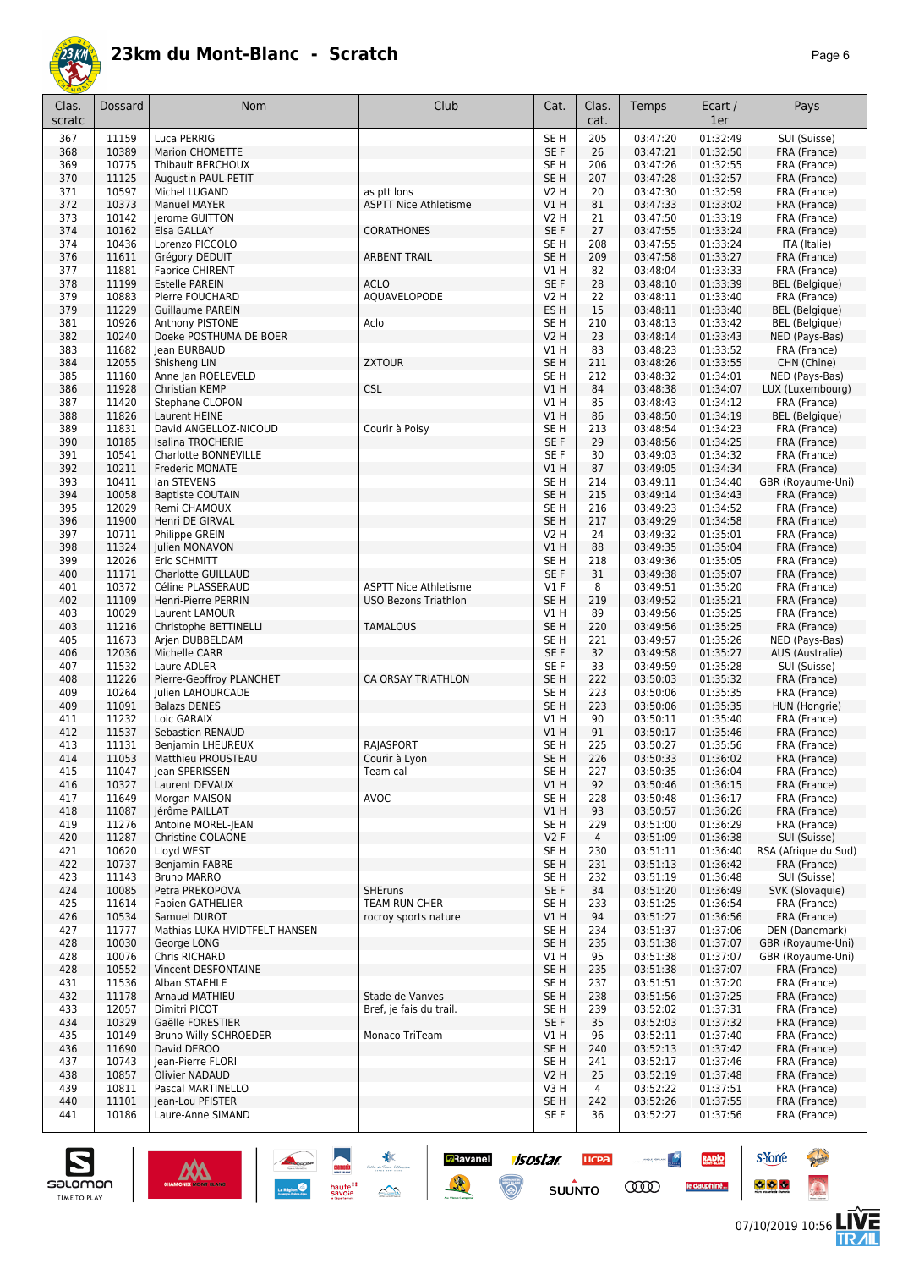

|--|--|

| Clas.<br>scratc | Dossard        | Nom                                   | Club                                        | Cat.                               | Clas.<br>cat.  | Temps                | Ecart /<br>1er       | Pays                            |
|-----------------|----------------|---------------------------------------|---------------------------------------------|------------------------------------|----------------|----------------------|----------------------|---------------------------------|
| 367             | 11159          | Luca PERRIG                           |                                             | SE <sub>H</sub>                    | 205            | 03:47:20             | 01:32:49             | SUI (Suisse)                    |
| 368             | 10389          | <b>Marion CHOMETTE</b>                |                                             | SE F                               | 26             | 03:47:21             | 01:32:50             | FRA (France)                    |
| 369             | 10775          | Thibault BERCHOUX                     |                                             | SE <sub>H</sub>                    | 206            | 03:47:26             | 01:32:55             | FRA (France)                    |
| 370             | 11125          | Augustin PAUL-PETIT                   |                                             | SE <sub>H</sub>                    | 207            | 03:47:28             | 01:32:57             | FRA (France)                    |
| 371<br>372      | 10597<br>10373 | Michel LUGAND<br>Manuel MAYER         | as ptt lons<br><b>ASPTT Nice Athletisme</b> | V2 H<br>VIH                        | 20<br>81       | 03:47:30<br>03:47:33 | 01:32:59<br>01:33:02 | FRA (France)<br>FRA (France)    |
| 373             | 10142          | Jerome GUITTON                        |                                             | V2 H                               | 21             | 03:47:50             | 01:33:19             | FRA (France)                    |
| 374             | 10162          | Elsa GALLAY                           | <b>CORATHONES</b>                           | SE F                               | 27             | 03:47:55             | 01:33:24             | FRA (France)                    |
| 374             | 10436          | Lorenzo PICCOLO                       |                                             | SE <sub>H</sub>                    | 208            | 03:47:55             | 01:33:24             | ITA (Italie)                    |
| 376             | 11611          | Grégory DEDUIT                        | <b>ARBENT TRAIL</b>                         | SE <sub>H</sub>                    | 209            | 03:47:58             | 01:33:27             | FRA (France)                    |
| 377             | 11881          | <b>Fabrice CHIRENT</b>                |                                             | V1 H                               | 82             | 03:48:04             | 01:33:33             | FRA (France)                    |
| 378             | 11199          | <b>Estelle PAREIN</b>                 | <b>ACLO</b>                                 | SE F                               | 28             | 03:48:10             | 01:33:39             | <b>BEL</b> (Belgique)           |
| 379             | 10883          | Pierre FOUCHARD                       | AQUAVELOPODE                                | V2 H                               | 22             | 03:48:11             | 01:33:40             | FRA (France)                    |
| 379             | 11229          | <b>Guillaume PAREIN</b>               |                                             | ES <sub>H</sub>                    | 15             | 03:48:11             | 01:33:40             | <b>BEL</b> (Belgique)           |
| 381             | 10926          | Anthony PISTONE                       | Aclo                                        | SE H                               | 210            | 03:48:13             | 01:33:42             | <b>BEL</b> (Belgique)           |
| 382             | 10240          | Doeke POSTHUMA DE BOER                |                                             | <b>V2 H</b>                        | 23             | 03:48:14             | 01:33:43             | NED (Pays-Bas)                  |
| 383             | 11682          | lean BURBAUD                          |                                             | V1H                                | 83             | 03:48:23             | 01:33:52             | FRA (France)                    |
| 384<br>385      | 12055<br>11160 | Shisheng LIN<br>Anne Jan ROELEVELD    | <b>ZXTOUR</b>                               | SE <sub>H</sub><br>SE <sub>H</sub> | 211<br>212     | 03:48:26<br>03:48:32 | 01:33:55<br>01:34:01 | CHN (Chine)<br>NED (Pays-Bas)   |
| 386             | 11928          | Christian KEMP                        | <b>CSL</b>                                  | V1H                                | 84             | 03:48:38             | 01:34:07             | LUX (Luxembourg)                |
| 387             | 11420          | Stephane CLOPON                       |                                             | V1 H                               | 85             | 03:48:43             | 01:34:12             | FRA (France)                    |
| 388             | 11826          | Laurent HEINE                         |                                             | V1H                                | 86             | 03:48:50             | 01:34:19             | <b>BEL</b> (Belgique)           |
| 389             | 11831          | David ANGELLOZ-NICOUD                 | Courir à Poisy                              | SE <sub>H</sub>                    | 213            | 03:48:54             | 01:34:23             | FRA (France)                    |
| 390             | 10185          | Isalina TROCHERIE                     |                                             | SE F                               | 29             | 03:48:56             | 01:34:25             | FRA (France)                    |
| 391             | 10541          | Charlotte BONNEVILLE                  |                                             | SE F                               | 30             | 03:49:03             | 01:34:32             | FRA (France)                    |
| 392             | 10211          | Frederic MONATE                       |                                             | VIH                                | 87             | 03:49:05             | 01:34:34             | FRA (France)                    |
| 393             | 10411          | lan STEVENS                           |                                             | SE <sub>H</sub>                    | 214            | 03:49:11             | 01:34:40             | GBR (Royaume-Uni)               |
| 394             | 10058          | <b>Baptiste COUTAIN</b>               |                                             | SE <sub>H</sub>                    | 215            | 03:49:14             | 01:34:43             | FRA (France)                    |
| 395             | 12029          | Remi CHAMOUX                          |                                             | SE <sub>H</sub>                    | 216            | 03:49:23             | 01:34:52             | FRA (France)                    |
| 396             | 11900          | Henri DE GIRVAL                       |                                             | SE <sub>H</sub>                    | 217            | 03:49:29             | 01:34:58             | FRA (France)                    |
| 397<br>398      | 10711<br>11324 | Philippe GREIN<br>Julien MONAVON      |                                             | V <sub>2</sub> H<br>V1H            | 24<br>88       | 03:49:32<br>03:49:35 | 01:35:01<br>01:35:04 | FRA (France)<br>FRA (France)    |
| 399             | 12026          | Eric SCHMITT                          |                                             | SE <sub>H</sub>                    | 218            | 03:49:36             | 01:35:05             | FRA (France)                    |
| 400             | 11171          | Charlotte GUILLAUD                    |                                             | SE F                               | 31             | 03:49:38             | 01:35:07             | FRA (France)                    |
| 401             | 10372          | Céline PLASSERAUD                     | <b>ASPTT Nice Athletisme</b>                | $VI$ F                             | 8              | 03:49:51             | 01:35:20             | FRA (France)                    |
| 402             | 11109          | Henri-Pierre PERRIN                   | <b>USO Bezons Triathlon</b>                 | SE <sub>H</sub>                    | 219            | 03:49:52             | 01:35:21             | FRA (France)                    |
| 403             | 10029          | Laurent LAMOUR                        |                                             | V1 H                               | 89             | 03:49:56             | 01:35:25             | FRA (France)                    |
| 403             | 11216          | Christophe BETTINELLI                 | <b>TAMALOUS</b>                             | SE <sub>H</sub>                    | 220            | 03:49:56             | 01:35:25             | FRA (France)                    |
| 405             | 11673          | Arjen DUBBELDAM                       |                                             | SE <sub>H</sub>                    | 221            | 03:49:57             | 01:35:26             | NED (Pays-Bas)                  |
| 406             | 12036          | Michelle CARR                         |                                             | SE F                               | 32             | 03:49:58             | 01:35:27             | AUS (Australie)                 |
| 407             | 11532          | Laure ADLER                           |                                             | SE F                               | 33             | 03:49:59             | 01:35:28             | SUI (Suisse)                    |
| 408             | 11226          | Pierre-Geoffroy PLANCHET              | CA ORSAY TRIATHLON                          | SE <sub>H</sub>                    | 222            | 03:50:03             | 01:35:32             | FRA (France)                    |
| 409<br>409      | 10264<br>11091 | Julien LAHOURCADE                     |                                             | SE <sub>H</sub><br>SE <sub>H</sub> | 223<br>223     | 03:50:06<br>03:50:06 | 01:35:35<br>01:35:35 | FRA (France)                    |
| 411             | 11232          | <b>Balazs DENES</b><br>Loic GARAIX    |                                             | V1 H                               | 90             | 03:50:11             | 01:35:40             | HUN (Hongrie)<br>FRA (France)   |
| 412             | 11537          | Sebastien RENAUD                      |                                             | V1H                                | 91             | 03:50:17             | 01:35:46             | FRA (France)                    |
| 413             | 11131          | Benjamin LHEUREUX                     | RAJASPORT                                   | SE <sub>H</sub>                    | 225            | 03:50:27             | 01:35:56             | FRA (France)                    |
| 414             | 11053          | Matthieu PROUSTEAU                    | Courir à Lyon                               | SE <sub>H</sub>                    | 226            | 03:50:33             | 01:36:02             | FRA (France)                    |
| 415             | 11047          | Jean SPERISSEN                        | Team cal                                    | SE <sub>H</sub>                    | 227            | 03:50:35             | 01:36:04             | FRA (France)                    |
| 416             | 10327          | Laurent DEVAUX                        |                                             | V1H                                | 92             | 03:50:46             | 01:36:15             | FRA (France)                    |
| 417             | 11649          | Morgan MAISON                         | <b>AVOC</b>                                 | SE <sub>H</sub>                    | 228            | 03:50:48             | 01:36:17             | FRA (France)                    |
| 418             | 11087          | Jérôme PAILLAT                        |                                             | V1 H                               | 93             | 03:50:57             | 01:36:26             | FRA (France)                    |
| 419             | 11276          | Antoine MOREL-JEAN                    |                                             | SE H                               | 229            | 03:51:00             | 01:36:29             | FRA (France)                    |
| 420             | 11287          | <b>Christine COLAONE</b>              |                                             | V2F                                | $\overline{4}$ | 03:51:09             | 01:36:38             | SUI (Suisse)                    |
| 421             | 10620          | Lloyd WEST                            |                                             | SE H                               | 230            | 03:51:11             | 01:36:40             | RSA (Afrique du Sud)            |
| 422             | 10737          | Benjamin FABRE                        |                                             | SE <sub>H</sub>                    | 231            | 03:51:13             | 01:36:42             | FRA (France)                    |
| 423<br>424      | 11143<br>10085 | <b>Bruno MARRO</b><br>Petra PREKOPOVA | <b>SHEruns</b>                              | SE <sub>H</sub><br>SE F            | 232<br>34      | 03:51:19<br>03:51:20 | 01:36:48<br>01:36:49 | SUI (Suisse)<br>SVK (Slovaquie) |
| 425             | 11614          | <b>Fabien GATHELIER</b>               | TEAM RUN CHER                               | SE <sub>H</sub>                    | 233            | 03:51:25             | 01:36:54             | FRA (France)                    |
| 426             | 10534          | Samuel DUROT                          | rocroy sports nature                        | V1 H                               | 94             | 03:51:27             | 01:36:56             | FRA (France)                    |
| 427             | 11777          | Mathias LUKA HVIDTFELT HANSEN         |                                             | SE <sub>H</sub>                    | 234            | 03:51:37             | 01:37:06             | DEN (Danemark)                  |
| 428             | 10030          | George LONG                           |                                             | SE <sub>H</sub>                    | 235            | 03:51:38             | 01:37:07             | GBR (Royaume-Uni)               |
| 428             | 10076          | Chris RICHARD                         |                                             | V1 H                               | 95             | 03:51:38             | 01:37:07             | GBR (Royaume-Uni)               |
| 428             | 10552          | Vincent DESFONTAINE                   |                                             | SE H                               | 235            | 03:51:38             | 01:37:07             | FRA (France)                    |
| 431             | 11536          | Alban STAEHLE                         |                                             | SE H                               | 237            | 03:51:51             | 01:37:20             | FRA (France)                    |
| 432             | 11178          | Arnaud MATHIEU                        | Stade de Vanves                             | SE H                               | 238            | 03:51:56             | 01:37:25             | FRA (France)                    |
| 433             | 12057          | Dimitri PICOT                         | Bref, je fais du trail.                     | SE H                               | 239            | 03:52:02             | 01:37:31             | FRA (France)                    |
| 434             | 10329          | Gaëlle FORESTIER                      |                                             | SE F                               | 35             | 03:52:03             | 01:37:32             | FRA (France)                    |
| 435             | 10149<br>11690 | <b>Bruno Willy SCHROEDER</b>          | Monaco TriTeam                              | V1 H<br>SE <sub>H</sub>            | 96             | 03:52:11<br>03:52:13 | 01:37:40             | FRA (France)                    |
| 436<br>437      | 10743          | David DEROO<br>lean-Pierre FLORI      |                                             | SE <sub>H</sub>                    | 240<br>241     | 03:52:17             | 01:37:42<br>01:37:46 | FRA (France)<br>FRA (France)    |
| 438             | 10857          | Olivier NADAUD                        |                                             | <b>V2 H</b>                        | 25             | 03:52:19             | 01:37:48             | FRA (France)                    |
| 439             | 10811          | Pascal MARTINELLO                     |                                             | V3 H                               | 4              | 03:52:22             | 01:37:51             | FRA (France)                    |
| 440             | 11101          | Jean-Lou PFISTER                      |                                             | SE <sub>H</sub>                    | 242            | 03:52:26             | 01:37:55             | FRA (France)                    |
| 441             | 10186          | Laure-Anne SIMAND                     |                                             | SE F                               | 36             | 03:52:27             | 01:37:56             | FRA (France)                    |
|                 |                |                                       |                                             |                                    |                |                      |                      |                                 |

**Example 1505tar ucea and 1505tar ucea and 1505tar ucea and 1505tar ucea and 150 million comparation of the Comparation of the Comparation of the Comparation of the Comparation of the Comparation of the Comparation of the** 



**s**Yorre

 $\bullet$   $\bullet$   $\bullet$ 

RADIO

le dauphiné...

**PARTIES** 

 $\ddot{\Omega}$ 

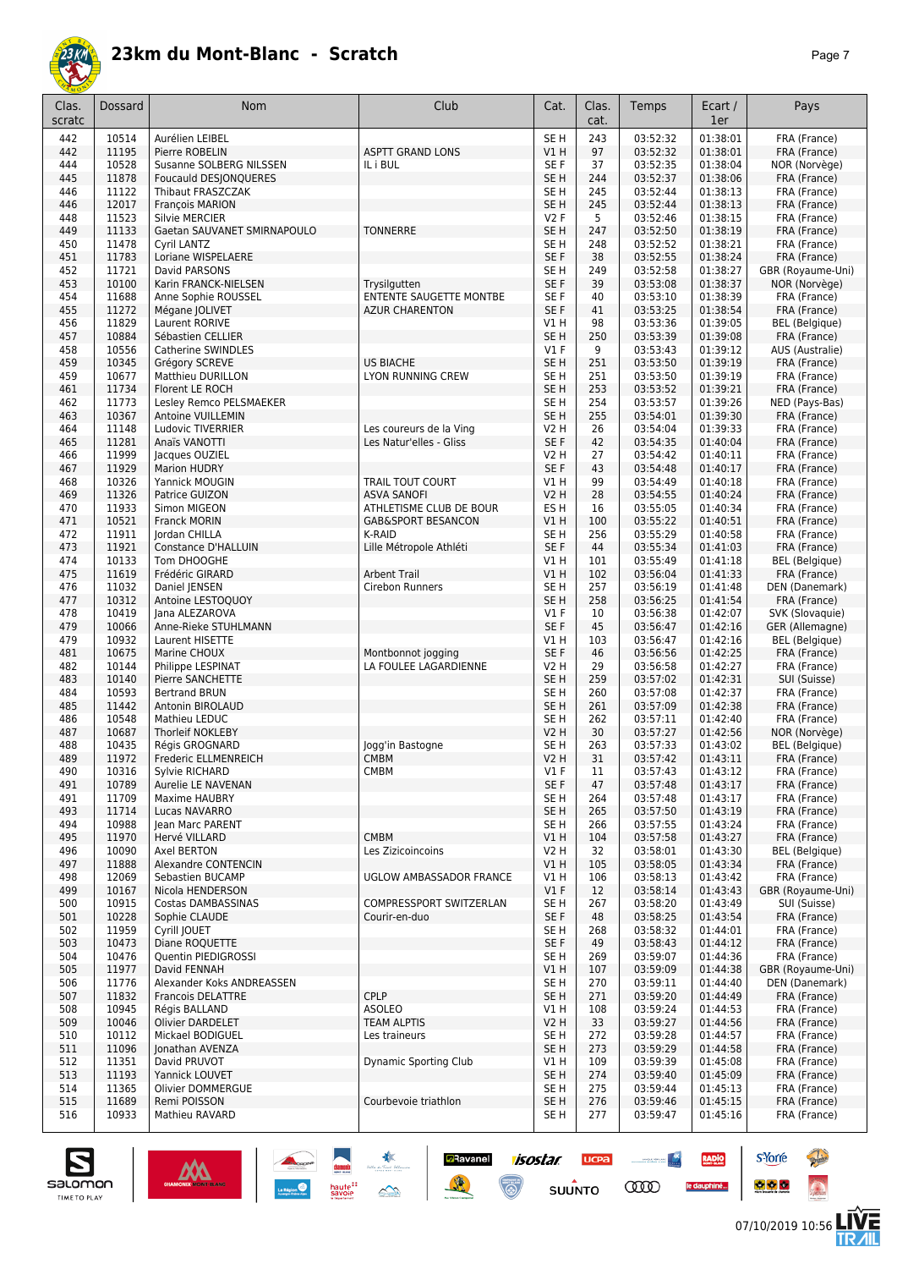

|--|--|

| Clas.<br>scratc | Dossard        | Nom                                       | Club                                               | Cat.                               | Clas.<br>cat. | Temps                | Ecart /<br>1er       | Pays                                  |
|-----------------|----------------|-------------------------------------------|----------------------------------------------------|------------------------------------|---------------|----------------------|----------------------|---------------------------------------|
| 442             | 10514          | Aurélien LEIBEL                           |                                                    | SE <sub>H</sub>                    | 243           | 03:52:32             | 01:38:01             | FRA (France)                          |
| 442             | 11195          | Pierre ROBELIN                            | <b>ASPTT GRAND LONS</b>                            | V1H                                | 97            | 03:52:32             | 01:38:01             | FRA (France)                          |
| 444             | 10528          | Susanne SOLBERG NILSSEN                   | IL i BUL                                           | SE <sub>F</sub>                    | 37            | 03:52:35             | 01:38:04             | NOR (Norvège)                         |
| 445             | 11878          | Foucauld DESJONQUERES                     |                                                    | SE <sub>H</sub>                    | 244           | 03:52:37             | 01:38:06             | FRA (France)                          |
| 446             | 11122<br>12017 | Thibaut FRASZCZAK                         |                                                    | SE <sub>H</sub><br>SE <sub>H</sub> | 245<br>245    | 03:52:44<br>03:52:44 | 01:38:13<br>01:38:13 | FRA (France)<br>FRA (France)          |
| 446<br>448      | 11523          | François MARION<br><b>Silvie MERCIER</b>  |                                                    | V2F                                | 5             | 03:52:46             | 01:38:15             | FRA (France)                          |
| 449             | 11133          | Gaetan SAUVANET SMIRNAPOULO               | <b>TONNERRE</b>                                    | SE <sub>H</sub>                    | 247           | 03:52:50             | 01:38:19             | FRA (France)                          |
| 450             | 11478          | Cyril LANTZ                               |                                                    | SE <sub>H</sub>                    | 248           | 03:52:52             | 01:38:21             | FRA (France)                          |
| 451             | 11783          | Loriane WISPELAERE                        |                                                    | SE F                               | 38            | 03:52:55             | 01:38:24             | FRA (France)                          |
| 452             | 11721          | David PARSONS                             |                                                    | SE <sub>H</sub>                    | 249           | 03:52:58             | 01:38:27             | GBR (Royaume-Uni)                     |
| 453             | 10100          | Karin FRANCK-NIELSEN                      | Trysilgutten                                       | SE F                               | 39            | 03:53:08             | 01:38:37             | NOR (Norvège)                         |
| 454             | 11688          | Anne Sophie ROUSSEL                       | <b>ENTENTE SAUGETTE MONTBE</b>                     | SE <sub>F</sub>                    | 40            | 03:53:10             | 01:38:39             | FRA (France)                          |
| 455<br>456      | 11272<br>11829 | Mégane JOLIVET<br>Laurent RORIVE          | <b>AZUR CHARENTON</b>                              | SE <sub>F</sub><br>V1H             | 41<br>98      | 03:53:25<br>03:53:36 | 01:38:54<br>01:39:05 | FRA (France)<br><b>BEL</b> (Belgique) |
| 457             | 10884          | Sébastien CELLIER                         |                                                    | SE <sub>H</sub>                    | 250           | 03:53:39             | 01:39:08             | FRA (France)                          |
| 458             | 10556          | Catherine SWINDLES                        |                                                    | $VI$ F                             | 9             | 03:53:43             | 01:39:12             | AUS (Australie)                       |
| 459             | 10345          | Grégory SCREVE                            | <b>US BIACHE</b>                                   | SE <sub>H</sub>                    | 251           | 03:53:50             | 01:39:19             | FRA (France)                          |
| 459             | 10677          | <b>Matthieu DURILLON</b>                  | LYON RUNNING CREW                                  | SE <sub>H</sub>                    | 251           | 03:53:50             | 01:39:19             | FRA (France)                          |
| 461             | 11734          | Florent LE ROCH                           |                                                    | SE <sub>H</sub>                    | 253           | 03:53:52             | 01:39:21             | FRA (France)                          |
| 462             | 11773          | Lesley Remco PELSMAEKER                   |                                                    | SE <sub>H</sub>                    | 254           | 03:53:57             | 01:39:26             | NED (Pays-Bas)                        |
| 463             | 10367          | <b>Antoine VUILLEMIN</b>                  |                                                    | SE <sub>H</sub>                    | 255           | 03:54:01             | 01:39:30             | FRA (France)                          |
| 464<br>465      | 11148<br>11281 | Ludovic TIVERRIER<br>Anaïs VANOTTI        | Les coureurs de la Ving<br>Les Natur'elles - Gliss | V2 H<br>SE F                       | 26<br>42      | 03:54:04<br>03:54:35 | 01:39:33<br>01:40:04 | FRA (France)<br>FRA (France)          |
| 466             | 11999          | Jacques OUZIEL                            |                                                    | <b>V2 H</b>                        | 27            | 03:54:42             | 01:40:11             | FRA (France)                          |
| 467             | 11929          | <b>Marion HUDRY</b>                       |                                                    | SE F                               | 43            | 03:54:48             | 01:40:17             | FRA (France)                          |
| 468             | 10326          | Yannick MOUGIN                            | <b>TRAIL TOUT COURT</b>                            | V1H                                | 99            | 03:54:49             | 01:40:18             | FRA (France)                          |
| 469             | 11326          | Patrice GUIZON                            | <b>ASVA SANOFI</b>                                 | <b>V2 H</b>                        | 28            | 03:54:55             | 01:40:24             | FRA (France)                          |
| 470             | 11933          | Simon MIGEON                              | ATHLETISME CLUB DE BOUR                            | ES <sub>H</sub>                    | 16            | 03:55:05             | 01:40:34             | FRA (France)                          |
| 471             | 10521          | <b>Franck MORIN</b>                       | <b>GAB&amp;SPORT BESANCON</b>                      | V1H                                | 100           | 03:55:22             | 01:40:51             | FRA (France)                          |
| 472             | 11911<br>11921 | Jordan CHILLA<br>Constance D'HALLUIN      | K-RAID                                             | SE <sub>H</sub><br>SE F            | 256<br>44     | 03:55:29<br>03:55:34 | 01:40:58<br>01:41:03 | FRA (France)<br>FRA (France)          |
| 473<br>474      | 10133          | Tom DHOOGHE                               | Lille Métropole Athléti                            | VIH                                | 101           | 03:55:49             | 01:41:18             | <b>BEL</b> (Belgique)                 |
| 475             | 11619          | Frédéric GIRARD                           | <b>Arbent Trail</b>                                | VIH                                | 102           | 03:56:04             | 01:41:33             | FRA (France)                          |
| 476             | 11032          | Daniel JENSEN                             | Cirebon Runners                                    | SE <sub>H</sub>                    | 257           | 03:56:19             | 01:41:48             | DEN (Danemark)                        |
| 477             | 10312          | Antoine LESTOQUOY                         |                                                    | SE <sub>H</sub>                    | 258           | 03:56:25             | 01:41:54             | FRA (France)                          |
| 478             | 10419          | Jana ALEZAROVA                            |                                                    | $VI$ F                             | 10            | 03:56:38             | 01:42:07             | SVK (Slovaquie)                       |
| 479             | 10066          | Anne-Rieke STUHLMANN                      |                                                    | SE F                               | 45            | 03:56:47             | 01:42:16             | GER (Allemagne)                       |
| 479             | 10932<br>10675 | Laurent HISETTE                           |                                                    | V1H                                | 103           | 03:56:47             | 01:42:16             | <b>BEL</b> (Belgique)                 |
| 481<br>482      | 10144          | Marine CHOUX<br>Philippe LESPINAT         | Montbonnot jogging<br>LA FOULEE LAGARDIENNE        | SE F<br><b>V2 H</b>                | 46<br>29      | 03:56:56<br>03:56:58 | 01:42:25<br>01:42:27 | FRA (France)<br>FRA (France)          |
| 483             | 10140          | Pierre SANCHETTE                          |                                                    | SE <sub>H</sub>                    | 259           | 03:57:02             | 01:42:31             | SUI (Suisse)                          |
| 484             | 10593          | <b>Bertrand BRUN</b>                      |                                                    | SE <sub>H</sub>                    | 260           | 03:57:08             | 01:42:37             | FRA (France)                          |
| 485             | 11442          | Antonin BIROLAUD                          |                                                    | SE <sub>H</sub>                    | 261           | 03:57:09             | 01:42:38             | FRA (France)                          |
| 486             | 10548          | Mathieu LEDUC                             |                                                    | SE <sub>H</sub>                    | 262           | 03:57:11             | 01:42:40             | FRA (France)                          |
| 487             | 10687          | Thorleif NOKLEBY                          |                                                    | <b>V2 H</b>                        | 30            | 03:57:27             | 01:42:56             | NOR (Norvège)                         |
| 488<br>489      | 10435<br>11972 | Régis GROGNARD                            | Jogg'in Bastogne                                   | SE H                               | 263<br>31     | 03:57:33             | 01:43:02             | <b>BEL</b> (Belgique)                 |
| 490             | 10316          | Frederic ELLMENREICH<br>Sylvie RICHARD    | <b>CMBM</b><br><b>CMBM</b>                         | <b>V2 H</b><br>V1 F                | 11            | 03:57:42<br>03:57:43 | 01:43:11<br>01:43:12 | FRA (France)<br>FRA (France)          |
| 491             | 10789          | Aurelie LE NAVENAN                        |                                                    | SE F                               | 47            | 03:57:48             | 01:43:17             | FRA (France)                          |
| 491             | 11709          | Maxime HAUBRY                             |                                                    | SE <sub>H</sub>                    | 264           | 03:57:48             | 01:43:17             | FRA (France)                          |
| 493             | 11714          | Lucas NAVARRO                             |                                                    | SE <sub>H</sub>                    | 265           | 03:57:50             | 01:43:19             | FRA (France)                          |
| 494             | 10988          | Jean Marc PARENT                          |                                                    | SE H                               | 266           | 03:57:55             | 01:43:24             | FRA (France)                          |
| 495             | 11970          | Hervé VILLARD                             | <b>CMBM</b>                                        | V1H                                | 104           | 03:57:58             | 01:43:27             | FRA (France)                          |
| 496<br>497      | 10090<br>11888 | Axel BERTON<br><b>Alexandre CONTENCIN</b> | Les Zizicoincoins                                  | V2 H<br>V1H                        | 32<br>105     | 03:58:01<br>03:58:05 | 01:43:30<br>01:43:34 | <b>BEL</b> (Belgique)<br>FRA (France) |
| 498             | 12069          | Sebastien BUCAMP                          | UGLOW AMBASSADOR FRANCE                            | V1H                                | 106           | 03:58:13             | 01:43:42             | FRA (France)                          |
| 499             | 10167          | Nicola HENDERSON                          |                                                    | $VI$ F                             | 12            | 03:58:14             | 01:43:43             | GBR (Royaume-Uni)                     |
| 500             | 10915          | Costas DAMBASSINAS                        | COMPRESSPORT SWITZERLAN                            | SE H                               | 267           | 03:58:20             | 01:43:49             | SUI (Suisse)                          |
| 501             | 10228          | Sophie CLAUDE                             | Courir-en-duo                                      | SE F                               | 48            | 03:58:25             | 01:43:54             | FRA (France)                          |
| 502             | 11959          | Cyrill JOUET                              |                                                    | SE H                               | 268           | 03:58:32             | 01:44:01             | FRA (France)                          |
| 503             | 10473          | Diane ROQUETTE                            |                                                    | SE F                               | 49            | 03:58:43             | 01:44:12             | FRA (France)                          |
| 504             | 10476          | Quentin PIEDIGROSSI                       |                                                    | SE <sub>H</sub>                    | 269           | 03:59:07<br>03:59:09 | 01:44:36             | FRA (France)                          |
| 505<br>506      | 11977<br>11776 | David FENNAH<br>Alexander Koks ANDREASSEN |                                                    | V1H<br>SE <sub>H</sub>             | 107<br>270    | 03:59:11             | 01:44:38<br>01:44:40 | GBR (Royaume-Uni)<br>DEN (Danemark)   |
| 507             | 11832          | <b>Francois DELATTRE</b>                  | <b>CPLP</b>                                        | SE <sub>H</sub>                    | 271           | 03:59:20             | 01:44:49             | FRA (France)                          |
| 508             | 10945          | Régis BALLAND                             | <b>ASOLEO</b>                                      | V1 H                               | 108           | 03:59:24             | 01:44:53             | FRA (France)                          |
| 509             | 10046          | Olivier DARDELET                          | <b>TEAM ALPTIS</b>                                 | V <sub>2</sub> H                   | 33            | 03:59:27             | 01:44:56             | FRA (France)                          |
| 510             | 10112          | Mickael BODIGUEL                          | Les traineurs                                      | SE H                               | 272           | 03:59:28             | 01:44:57             | FRA (France)                          |
| 511             | 11096          | Jonathan AVENZA                           |                                                    | SE <sub>H</sub>                    | 273           | 03:59:29             | 01:44:58             | FRA (France)                          |
| 512<br>513      | 11351<br>11193 | David PRUVOT<br>Yannick LOUVET            | <b>Dynamic Sporting Club</b>                       | V1H<br>SE <sub>H</sub>             | 109<br>274    | 03:59:39<br>03:59:40 | 01:45:08<br>01:45:09 | FRA (France)<br>FRA (France)          |
| 514             | 11365          | Olivier DOMMERGUE                         |                                                    | SE H                               | 275           | 03:59:44             | 01:45:13             | FRA (France)                          |
| 515             | 11689          | Remi POISSON                              | Courbevoie triathlon                               | SE <sub>H</sub>                    | 276           | 03:59:46             | 01:45:15             | FRA (France)                          |
| 516             | 10933          | Mathieu RAVARD                            |                                                    | SE H                               | 277           | 03:59:47             | 01:45:16             | FRA (France)                          |
|                 |                |                                           |                                                    |                                    |               |                      |                      |                                       |

**Example 1505tar ucea and 1505tar ucea and 1505tar ucea and 1505tar ucea and 150 million comparation of the Comparation of the Comparation of the Comparation of the Comparation of the Comparation of the Comparation of the** 



**s**Yorre

 $\bullet$   $\bullet$   $\bullet$ 

RADIO

le dauphiné...

**PARTIES** 

 $\ddot{\Omega}$ 

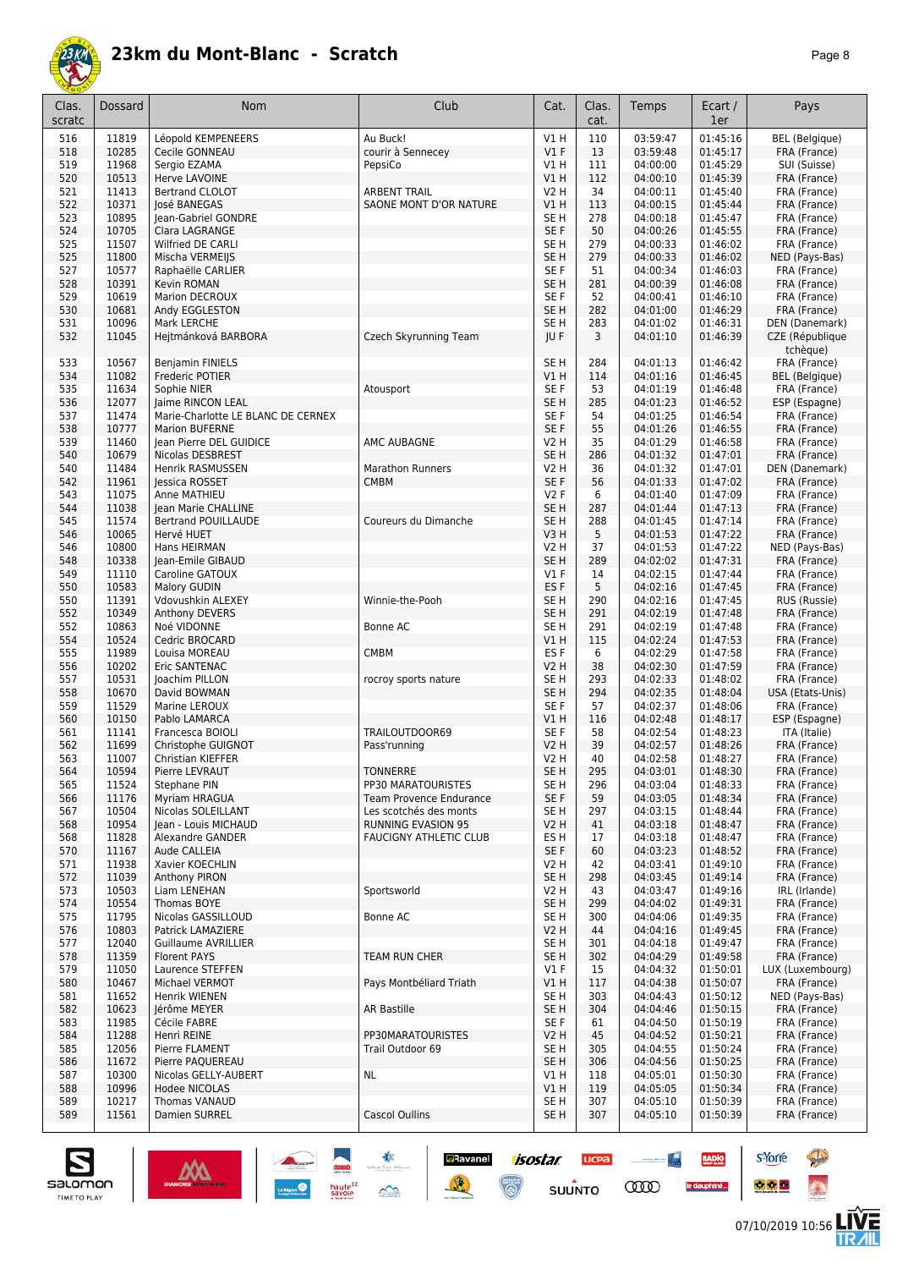

|--|--|

| Clas.<br>scratc | Dossard        | Nom                                             | Club                          | Cat.                | Clas.<br>cat. | Temps                | Ecart /<br>1er       | Pays                          |
|-----------------|----------------|-------------------------------------------------|-------------------------------|---------------------|---------------|----------------------|----------------------|-------------------------------|
| 516             | 11819          | Léopold KEMPENEERS                              | Au Buck!                      | V1H                 | 110           | 03:59:47             | 01:45:16             | <b>BEL</b> (Belgique)         |
| 518             | 10285          | Cecile GONNEAU                                  | courir à Sennecey             | $VI$ F              | 13            | 03:59:48             | 01:45:17             | FRA (France)                  |
| 519             | 11968          | Sergio EZAMA                                    | PepsiCo                       | V1H                 | 111           | 04:00:00             | 01:45:29             | SUI (Suisse)                  |
| 520             | 10513          | Herve LAVOINE                                   |                               | V1H                 | 112           | 04:00:10             | 01:45:39             | FRA (France)                  |
| 521             | 11413          | Bertrand CLOLOT                                 | <b>ARBENT TRAIL</b>           | V2 H                | 34            | 04:00:11             | 01:45:40             | FRA (France)                  |
| 522             | 10371          | José BANEGAS                                    | SAONE MONT D'OR NATURE        | V1 H                | 113           | 04:00:15             | 01:45:44             | FRA (France)                  |
| 523<br>524      | 10895<br>10705 | Jean-Gabriel GONDRE<br>Clara LAGRANGE           |                               | SE H<br>SE F        | 278<br>50     | 04:00:18<br>04:00:26 | 01:45:47<br>01:45:55 | FRA (France)<br>FRA (France)  |
| 525             | 11507          | Wilfried DE CARLI                               |                               | SE <sub>H</sub>     | 279           | 04:00:33             | 01:46:02             | FRA (France)                  |
| 525             | 11800          | Mischa VERMEIJS                                 |                               | SE <sub>H</sub>     | 279           | 04:00:33             | 01:46:02             | NED (Pays-Bas)                |
| 527             | 10577          | Raphaëlle CARLIER                               |                               | SE F                | 51            | 04:00:34             | 01:46:03             | FRA (France)                  |
| 528             | 10391          | <b>Kevin ROMAN</b>                              |                               | SE <sub>H</sub>     | 281           | 04:00:39             | 01:46:08             | FRA (France)                  |
| 529             | 10619          | Marion DECROUX                                  |                               | SE F                | 52            | 04:00:41             | 01:46:10             | FRA (France)                  |
| 530             | 10681          | Andy EGGLESTON                                  |                               | SE <sub>H</sub>     | 282           | 04:01:00             | 01:46:29             | FRA (France)                  |
| 531             | 10096          | Mark LERCHE                                     |                               | SE <sub>H</sub>     | 283           | 04:01:02             | 01:46:31             | DEN (Danemark)                |
| 532             | 11045          | Hejtmánková BARBORA                             | Czech Skyrunning Team         | JU F                | 3             | 04:01:10             | 01:46:39             | CZE (République<br>tchèque)   |
| 533             | 10567          | <b>Benjamin FINIELS</b>                         |                               | SE <sub>H</sub>     | 284           | 04:01:13             | 01:46:42             | FRA (France)                  |
| 534             | 11082<br>11634 | Frederic POTIER                                 |                               | V1 H<br>SE F        | 114<br>53     | 04:01:16<br>04:01:19 | 01:46:45<br>01:46:48 | <b>BEL</b> (Belgique)         |
| 535<br>536      | 12077          | Sophie NIER<br>Jaime RINCON LEAL                | Atousport                     | SE <sub>H</sub>     | 285           | 04:01:23             | 01:46:52             | FRA (France)<br>ESP (Espagne) |
| 537             | 11474          | Marie-Charlotte LE BLANC DE CERNEX              |                               | SE <sub>F</sub>     | 54            | 04:01:25             | 01:46:54             | FRA (France)                  |
| 538             | 10777          | <b>Marion BUFERNE</b>                           |                               | SE F                | 55            | 04:01:26             | 01:46:55             | FRA (France)                  |
| 539             | 11460          | Jean Pierre DEL GUIDICE                         | AMC AUBAGNE                   | V2 H                | 35            | 04:01:29             | 01:46:58             | FRA (France)                  |
| 540             | 10679          | Nicolas DESBREST                                |                               | SE <sub>H</sub>     | 286           | 04:01:32             | 01:47:01             | FRA (France)                  |
| 540             | 11484          | Henrik RASMUSSEN                                | Marathon Runners              | V2 H                | 36            | 04:01:32             | 01:47:01             | DEN (Danemark)                |
| 542             | 11961          | lessica ROSSET                                  | <b>CMBM</b>                   | SE F                | 56            | 04:01:33             | 01:47:02             | FRA (France)                  |
| 543             | 11075          | Anne MATHIEU                                    |                               | V2F                 | 6             | 04:01:40             | 01:47:09             | FRA (France)                  |
| 544             | 11038          | Jean Marie CHALLINE                             |                               | SE <sub>H</sub>     | 287           | 04:01:44             | 01:47:13             | FRA (France)                  |
| 545             | 11574          | <b>Bertrand POUILLAUDE</b>                      | Coureurs du Dimanche          | SE <sub>H</sub>     | 288           | 04:01:45             | 01:47:14             | FRA (France)                  |
| 546             | 10065          | Hervé HUET                                      |                               | V3H                 | 5             | 04:01:53             | 01:47:22             | FRA (France)                  |
| 546             | 10800          | Hans HEIRMAN                                    |                               | V2 H                | 37            | 04:01:53             | 01:47:22             | NED (Pays-Bas)                |
| 548             | 10338<br>11110 | Jean-Emile GIBAUD                               |                               | SE H<br>$VI$ F      | 289<br>14     | 04:02:02             | 01:47:31<br>01:47:44 | FRA (France)                  |
| 549<br>550      | 10583          | Caroline GATOUX<br><b>Malory GUDIN</b>          |                               | ES <sub>F</sub>     | 5             | 04:02:15<br>04:02:16 | 01:47:45             | FRA (France)<br>FRA (France)  |
| 550             | 11391          | Vdovushkin ALEXEY                               | Winnie-the-Pooh               | SE <sub>H</sub>     | 290           | 04:02:16             | 01:47:45             | RUS (Russie)                  |
| 552             | 10349          | Anthony DEVERS                                  |                               | SE <sub>H</sub>     | 291           | 04:02:19             | 01:47:48             | FRA (France)                  |
| 552             | 10863          | Noé VIDONNE                                     | Bonne AC                      | SE H                | 291           | 04:02:19             | 01:47:48             | FRA (France)                  |
| 554             | 10524          | Cedric BROCARD                                  |                               | VIH                 | 115           | 04:02:24             | 01:47:53             | FRA (France)                  |
| 555             | 11989          | Louisa MOREAU                                   | CMBM                          | ES F                | 6             | 04:02:29             | 01:47:58             | FRA (France)                  |
| 556             | 10202          | Eric SANTENAC                                   |                               | V2 H                | 38            | 04:02:30             | 01:47:59             | FRA (France)                  |
| 557             | 10531          | Joachim PILLON                                  | rocroy sports nature          | SE <sub>H</sub>     | 293           | 04:02:33             | 01:48:02             | FRA (France)                  |
| 558             | 10670          | David BOWMAN                                    |                               | SE H                | 294           | 04:02:35             | 01:48:04             | USA (Etats-Unis)              |
| 559             | 11529          | Marine LEROUX                                   |                               | SE F                | 57            | 04:02:37             | 01:48:06             | FRA (France)                  |
| 560             | 10150          | Pablo LAMARCA                                   |                               | V1 H                | 116           | 04:02:48             | 01:48:17             | ESP (Espagne)                 |
| 561<br>562      | 11141<br>11699 | Francesca BOIOLI<br>Christophe GUIGNOT          | TRAILOUTDOOR69                | SE F<br><b>V2 H</b> | 58<br>39      | 04:02:54<br>04:02:57 | 01:48:23<br>01:48:26 | ITA (Italie)<br>FRA (France)  |
| 563             | 11007          | Christian KIEFFER                               | Pass'running                  | V2 H                | 40            | 04:02:58             | 01:48:27             | FRA (France)                  |
| 564             | 10594          | Pierre LEVRAU I                                 | TONNERRE                      | SE H                | 295           | 04:03:01             | 01:48:30             | FRA (France)                  |
| 565             | 11524          | Stephane PIN                                    | PP30 MARATOURISTES            | SE H                | 296           | 04:03:04             | 01:48:33             | FRA (France)                  |
| 566             | 11176          | Myriam HRAGUA                                   | Team Provence Endurance       | SE F                | 59            | 04:03:05             | 01:48:34             | FRA (France)                  |
| 567             | 10504          | Nicolas SOLEILLANT                              | Les scotchés des monts        | SE H                | 297           | 04:03:15             | 01:48:44             | FRA (France)                  |
| 568             | 10954          | Jean - Louis MICHAUD                            | <b>RUNNING EVASION 95</b>     | <b>V2 H</b>         | 41            | 04:03:18             | 01:48:47             | FRA (France)                  |
| 568             | 11828          | Alexandre GANDER                                | <b>FAUCIGNY ATHLETIC CLUB</b> | ES H                | 17            | 04:03:18             | 01:48:47             | FRA (France)                  |
| 570             | 11167          | Aude CALLEIA                                    |                               | SE F                | 60            | 04:03:23             | 01:48:52             | FRA (France)                  |
| 571             | 11938          | Xavier KOECHLIN                                 |                               | V <sub>2</sub> H    | 42            | 04:03:41             | 01:49:10             | FRA (France)                  |
| 572             | 11039          | Anthony PIRON                                   |                               | SE <sub>H</sub>     | 298           | 04:03:45             | 01:49:14             | FRA (France)                  |
| 573             | 10503          | Liam LENEHAN                                    | Sportsworld                   | V2 H                | 43            | 04:03:47             | 01:49:16             | IRL (Irlande)                 |
| 574             | 10554          | Thomas BOYE                                     |                               | SE <sub>H</sub>     | 299           | 04:04:02             | 01:49:31             | FRA (France)                  |
| 575             | 11795          | Nicolas GASSILLOUD                              | Bonne AC                      | SE H                | 300           | 04:04:06             | 01:49:35             | FRA (France)                  |
| 576<br>577      | 10803<br>12040 | Patrick LAMAZIERE<br><b>Guillaume AVRILLIER</b> |                               | V2 H<br>SE H        | 44<br>301     | 04:04:16<br>04:04:18 | 01:49:45<br>01:49:47 | FRA (France)<br>FRA (France)  |
| 578             | 11359          | <b>Florent PAYS</b>                             | <b>TEAM RUN CHER</b>          | SE <sub>H</sub>     | 302           | 04:04:29             | 01:49:58             | FRA (France)                  |
| 579             | 11050          | Laurence STEFFEN                                |                               | $VI$ F              | 15            | 04:04:32             | 01:50:01             | LUX (Luxembourg)              |
| 580             | 10467          | Michael VERMOT                                  | Pays Montbéliard Triath       | V1H                 | 117           | 04:04:38             | 01:50:07             | FRA (France)                  |
| 581             | 11652          | Henrik WIENEN                                   |                               | SE H                | 303           | 04:04:43             | 01:50:12             | NED (Pays-Bas)                |
| 582             | 10623          | Jérôme MEYER                                    | <b>AR Bastille</b>            | SE <sub>H</sub>     | 304           | 04:04:46             | 01:50:15             | FRA (France)                  |
| 583             | 11985          | Cécile FABRE                                    |                               | SE F                | 61            | 04:04:50             | 01:50:19             | FRA (France)                  |
| 584             | 11288          | Henri REINE                                     | PP30MARATOURISTES             | V <sub>2</sub> H    | 45            | 04:04:52             | 01:50:21             | FRA (France)                  |
| 585             | 12056          | Pierre FLAMENT                                  | Trail Outdoor 69              | SE H                | 305           | 04:04:55             | 01:50:24             | FRA (France)                  |
| 586             | 11672          | Pierre PAQUEREAU                                |                               | SE <sub>H</sub>     | 306           | 04:04:56             | 01:50:25             | FRA (France)                  |
| 587             | 10300          | Nicolas GELLY-AUBERT                            | NL.                           | V1 H                | 118           | 04:05:01             | 01:50:30             | FRA (France)                  |
| 588             | 10996          | Hodee NICOLAS                                   |                               | V1H                 | 119           | 04:05:05             | 01:50:34             | FRA (France)                  |
| 589             | 10217          | <b>Thomas VANAUD</b>                            |                               | SE H                | 307<br>307    | 04:05:10             | 01:50:39             | FRA (France)                  |
| 589             | 11561          | Damien SURREL                                   | Cascol Oullins                | SE <sub>H</sub>     |               | 04:05:10             | 01:50:39             | FRA (France)                  |

**Example 1505tar ucea and 1505tar ucea and 1505tar ucea and 1505tar ucea and 150 million comparation of the Comparation of the Comparation of the Comparation of the Comparation of the Comparation of the Comparation of the** 





**s**Yorre

 $\bullet$   $\bullet$   $\bullet$ 

RADIO

le dauphiné...

**PARTIES** 

 $\ddot{\Omega}$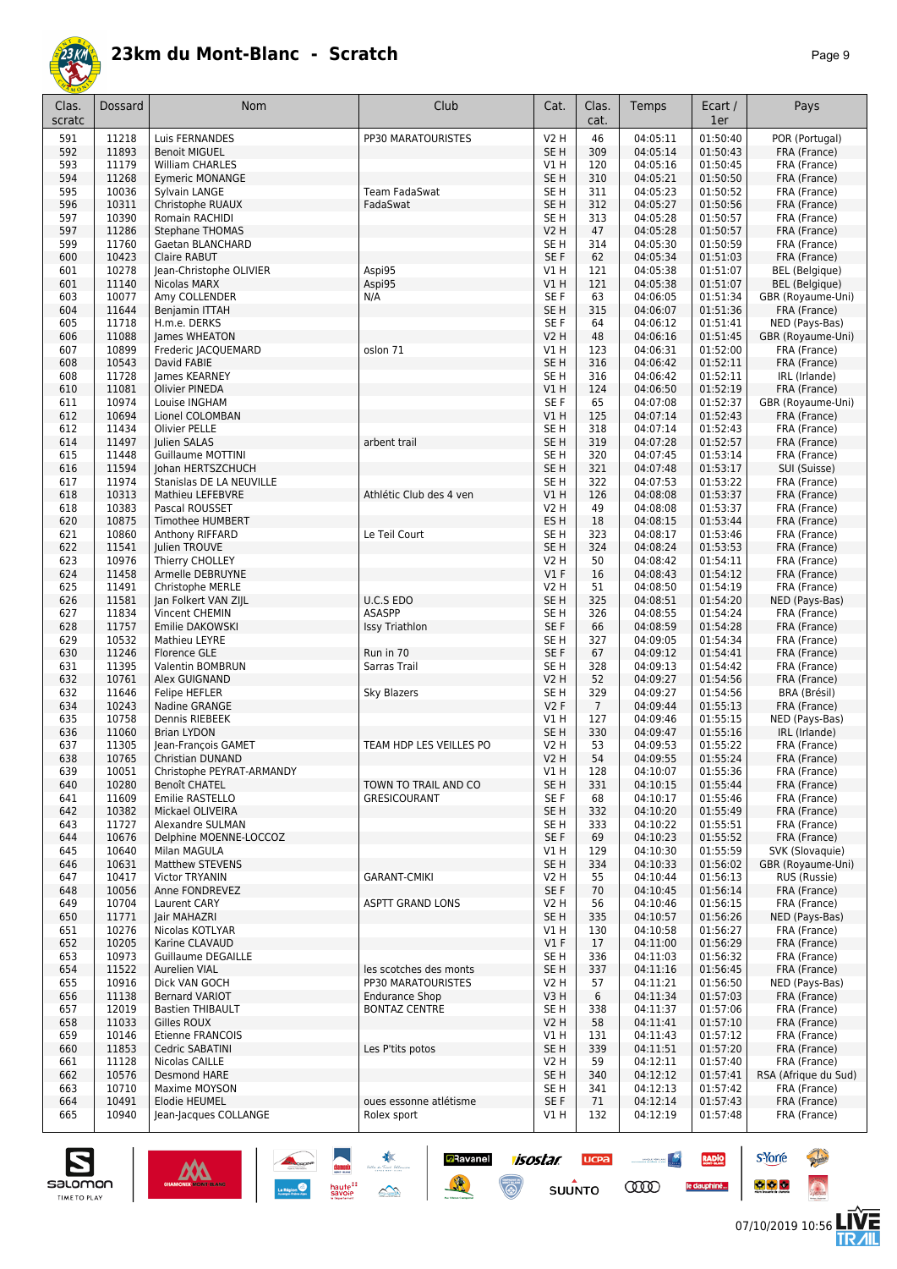

|--|--|

| Clas.<br>scratc | Dossard        | Nom                                           | Club                                          | Cat.                               | Clas.<br>cat.   | Temps                | Ecart /<br>1er       | Pays                                 |
|-----------------|----------------|-----------------------------------------------|-----------------------------------------------|------------------------------------|-----------------|----------------------|----------------------|--------------------------------------|
| 591             | 11218          | Luis FERNANDES                                | PP30 MARATOURISTES                            | V2 H                               | 46              | 04:05:11             | 01:50:40             | POR (Portugal)                       |
| 592             | 11893          | <b>Benoit MIGUEL</b>                          |                                               | SE <sub>H</sub>                    | 309             | 04:05:14             | 01:50:43             | FRA (France)                         |
| 593             | 11179          | William CHARLES                               |                                               | V1 H                               | 120             | 04:05:16             | 01:50:45             | FRA (France)                         |
| 594             | 11268          | <b>Eymeric MONANGE</b>                        |                                               | SE <sub>H</sub>                    | 310             | 04:05:21             | 01:50:50             | FRA (France)                         |
| 595             | 10036          | Sylvain LANGE                                 | Team FadaSwat                                 | SE <sub>H</sub>                    | 311             | 04:05:23             | 01:50:52             | FRA (France)                         |
| 596<br>597      | 10311<br>10390 | Christophe RUAUX<br>Romain RACHIDI            | FadaSwat                                      | SE <sub>H</sub><br>SE <sub>H</sub> | 312<br>313      | 04:05:27<br>04:05:28 | 01:50:56<br>01:50:57 | FRA (France)<br>FRA (France)         |
| 597             | 11286          | <b>Stephane THOMAS</b>                        |                                               | <b>V2 H</b>                        | 47              | 04:05:28             | 01:50:57             | FRA (France)                         |
| 599             | 11760          | Gaetan BLANCHARD                              |                                               | SE <sub>H</sub>                    | 314             | 04:05:30             | 01:50:59             | FRA (France)                         |
| 600             | 10423          | Claire RABUT                                  |                                               | SE <sub>F</sub>                    | 62              | 04:05:34             | 01:51:03             | FRA (France)                         |
| 601             | 10278          | Jean-Christophe OLIVIER                       | Aspi95                                        | V1 H                               | 121             | 04:05:38             | 01:51:07             | <b>BEL</b> (Belgique)                |
| 601             | 11140          | Nicolas MARX                                  | Aspi95                                        | V1H                                | 121             | 04:05:38             | 01:51:07             | <b>BEL</b> (Belgique)                |
| 603             | 10077          | Amy COLLENDER                                 | N/A                                           | SE F                               | 63              | 04:06:05             | 01:51:34             | GBR (Royaume-Uni)                    |
| 604             | 11644          | Benjamin ITTAH                                |                                               | SE <sub>H</sub>                    | 315             | 04:06:07             | 01:51:36             | FRA (France)                         |
| 605             | 11718          | H.m.e. DERKS                                  |                                               | SE F                               | 64              | 04:06:12             | 01:51:41             | NED (Pays-Bas)                       |
| 606<br>607      | 11088<br>10899 | James WHEATON<br>Frederic JACQUEMARD          | oslon 71                                      | <b>V2 H</b><br>V1 H                | 48<br>123       | 04:06:16<br>04:06:31 | 01:51:45<br>01:52:00 | GBR (Royaume-Uni)<br>FRA (France)    |
| 608             | 10543          | David FABIE                                   |                                               | SE <sub>H</sub>                    | 316             | 04:06:42             | 01:52:11             | FRA (France)                         |
| 608             | 11728          | James KEARNEY                                 |                                               | SE <sub>H</sub>                    | 316             | 04:06:42             | 01:52:11             | IRL (Irlande)                        |
| 610             | 11081          | Olivier PINEDA                                |                                               | V1H                                | 124             | 04:06:50             | 01:52:19             | FRA (France)                         |
| 611             | 10974          | Louise INGHAM                                 |                                               | SE F                               | 65              | 04:07:08             | 01:52:37             | GBR (Royaume-Uni)                    |
| 612             | 10694          | Lionel COLOMBAN                               |                                               | V1H                                | 125             | 04:07:14             | 01:52:43             | FRA (France)                         |
| 612             | 11434          | <b>Olivier PELLE</b>                          |                                               | SE <sub>H</sub>                    | 318             | 04:07:14             | 01:52:43             | FRA (France)                         |
| 614             | 11497          | Julien SALAS                                  | arbent trail                                  | SE <sub>H</sub>                    | 319             | 04:07:28             | 01:52:57             | FRA (France)                         |
| 615             | 11448          | Guillaume MOTTINI                             |                                               | SE <sub>H</sub>                    | 320             | 04:07:45             | 01:53:14             | FRA (France)                         |
| 616<br>617      | 11594<br>11974 | Johan HERTSZCHUCH<br>Stanislas DE LA NEUVILLE |                                               | SE <sub>H</sub><br>SE H            | 321<br>322      | 04:07:48<br>04:07:53 | 01:53:17<br>01:53:22 | SUI (Suisse)<br>FRA (France)         |
| 618             | 10313          | Mathieu LEFEBVRE                              | Athlétic Club des 4 ven                       | VIH                                | 126             | 04:08:08             | 01:53:37             | FRA (France)                         |
| 618             | 10383          | Pascal ROUSSET                                |                                               | V <sub>2</sub> H                   | 49              | 04:08:08             | 01:53:37             | FRA (France)                         |
| 620             | 10875          | Timothee HUMBERT                              |                                               | ES H                               | 18              | 04:08:15             | 01:53:44             | FRA (France)                         |
| 621             | 10860          | Anthony RIFFARD                               | Le Teil Court                                 | SE <sub>H</sub>                    | 323             | 04:08:17             | 01:53:46             | FRA (France)                         |
| 622             | 11541          | Julien TROUVE                                 |                                               | SE <sub>H</sub>                    | 324             | 04:08:24             | 01:53:53             | FRA (France)                         |
| 623             | 10976          | Thierry CHOLLEY                               |                                               | V2 H                               | 50              | 04:08:42             | 01:54:11             | FRA (France)                         |
| 624             | 11458          | Armelle DEBRUYNE                              |                                               | $VI$ F                             | 16              | 04:08:43             | 01:54:12             | FRA (France)                         |
| 625             | 11491          | Christophe MERLE                              |                                               | V <sub>2</sub> H                   | 51              | 04:08:50             | 01:54:19             | FRA (France)                         |
| 626             | 11581<br>11834 | Jan Folkert VAN ZIJL<br>Vincent CHEMIN        | U.C.S EDO<br>ASASPP                           | SE <sub>H</sub><br>SE <sub>H</sub> | 325<br>326      | 04:08:51<br>04:08:55 | 01:54:20<br>01:54:24 | NED (Pays-Bas)<br>FRA (France)       |
| 627<br>628      | 11757          | Emilie DAKOWSKI                               | Issy Triathlon                                | SE F                               | 66              | 04:08:59             | 01:54:28             | FRA (France)                         |
| 629             | 10532          | Mathieu LEYRE                                 |                                               | SE <sub>H</sub>                    | 327             | 04:09:05             | 01:54:34             | FRA (France)                         |
| 630             | 11246          | Florence GLE                                  | Run in 70                                     | SE F                               | 67              | 04:09:12             | 01:54:41             | FRA (France)                         |
| 631             | 11395          | Valentin BOMBRUN                              | Sarras Trail                                  | SE H                               | 328             | 04:09:13             | 01:54:42             | FRA (France)                         |
| 632             | 10761          | Alex GUIGNAND                                 |                                               | <b>V2 H</b>                        | 52              | 04:09:27             | 01:54:56             | FRA (France)                         |
| 632             | 11646          | Felipe HEFLER                                 | <b>Sky Blazers</b>                            | SE <sub>H</sub>                    | 329             | 04:09:27             | 01:54:56             | BRA (Brésil)                         |
| 634             | 10243          | Nadine GRANGE                                 |                                               | V2F                                | $7\overline{ }$ | 04:09:44             | 01:55:13             | FRA (France)                         |
| 635             | 10758          | Dennis RIEBEEK                                |                                               | V1 H                               | 127             | 04:09:46             | 01:55:15             | NED (Pays-Bas)                       |
| 636<br>637      | 11060<br>11305 | <b>Brian LYDON</b><br>Jean-François GAMET     | TEAM HDP LES VEILLES PO                       | SE <sub>H</sub><br>V2 H            | 330<br>53       | 04:09:47<br>04:09:53 | 01:55:16<br>01:55:22 | IRL (Irlande)<br>FRA (France)        |
| 638             | 10765          | <b>Christian DUNAND</b>                       |                                               | V2H                                | 54              | 04:09:55             | 01:55:24             | FRA (France)                         |
| 639             | 10051          | Christophe PEYRAT-ARMANDY                     |                                               | V1H                                | 128             | 04:10:07             | 01:55:36             | FRA (France)                         |
| 640             | 10280          | Benoît CHATEL                                 | TOWN TO TRAIL AND CO                          | SE <sub>H</sub>                    | 331             | 04:10:15             | 01:55:44             | FRA (France)                         |
| 641             | 11609          | Emilie RASTELLO                               | <b>GRESICOURANT</b>                           | SE F                               | 68              | 04:10:17             | 01:55:46             | FRA (France)                         |
| 642             | 10382          | Mickael OLIVEIRA                              |                                               | SE <sub>H</sub>                    | 332             | 04:10:20             | 01:55:49             | FRA (France)                         |
| 643             | 11727          | Alexandre SULMAN                              |                                               | SE H                               | 333             | 04:10:22             | 01:55:51             | FRA (France)                         |
| 644             | 10676          | Delphine MOENNE-LOCCOZ                        |                                               | SE F                               | 69              | 04:10:23             | 01:55:52             | FRA (France)                         |
| 645<br>646      | 10640<br>10631 | Milan MAGULA<br>Matthew STEVENS               |                                               | V1 H<br>SE <sub>H</sub>            | 129<br>334      | 04:10:30<br>04:10:33 | 01:55:59<br>01:56:02 | SVK (Slovaquie)<br>GBR (Royaume-Uni) |
| 647             | 10417          | Victor TRYANIN                                | <b>GARANT-CMIKI</b>                           | V2 H                               | 55              | 04:10:44             | 01:56:13             | RUS (Russie)                         |
| 648             | 10056          | Anne FONDREVEZ                                |                                               | SE F                               | 70              | 04:10:45             | 01:56:14             | FRA (France)                         |
| 649             | 10704          | Laurent CARY                                  | <b>ASPTT GRAND LONS</b>                       | <b>V2 H</b>                        | 56              | 04:10:46             | 01:56:15             | FRA (France)                         |
| 650             | 11771          | Jair MAHAZRI                                  |                                               | SE <sub>H</sub>                    | 335             | 04:10:57             | 01:56:26             | NED (Pays-Bas)                       |
| 651             | 10276          | Nicolas KOTLYAR                               |                                               | V1 H                               | 130             | 04:10:58             | 01:56:27             | FRA (France)                         |
| 652             | 10205          | Karine CLAVAUD                                |                                               | $VI$ F                             | 17              | 04:11:00             | 01:56:29             | FRA (France)                         |
| 653             | 10973          | <b>Guillaume DEGAILLE</b>                     |                                               | SE <sub>H</sub>                    | 336             | 04:11:03             | 01:56:32             | FRA (France)                         |
| 654             | 11522          | Aurelien VIAL                                 | les scotches des monts                        | SE H                               | 337             | 04:11:16             | 01:56:45             | FRA (France)                         |
| 655             | 10916          | Dick VAN GOCH<br><b>Bernard VARIOT</b>        | PP30 MARATOURISTES                            | V2 H                               | 57              | 04:11:21             | 01:56:50             | NED (Pays-Bas)                       |
| 656<br>657      | 11138<br>12019 | <b>Bastien THIBAULT</b>                       | <b>Endurance Shop</b><br><b>BONTAZ CENTRE</b> | V3 H<br>SE <sub>H</sub>            | 6<br>338        | 04:11:34<br>04:11:37 | 01:57:03<br>01:57:06 | FRA (France)<br>FRA (France)         |
| 658             | 11033          | Gilles ROUX                                   |                                               | <b>V2 H</b>                        | 58              | 04:11:41             | 01:57:10             | FRA (France)                         |
| 659             | 10146          | Etienne FRANCOIS                              |                                               | V1 H                               | 131             | 04:11:43             | 01:57:12             | FRA (France)                         |
| 660             | 11853          | Cedric SABATINI                               | Les P'tits potos                              | SE <sub>H</sub>                    | 339             | 04:11:51             | 01:57:20             | FRA (France)                         |
| 661             | 11128          | Nicolas CAILLE                                |                                               | V2 H                               | 59              | 04:12:11             | 01:57:40             | FRA (France)                         |
| 662             | 10576          | Desmond HARE                                  |                                               | SE <sub>H</sub>                    | 340             | 04:12:12             | 01:57:41             | RSA (Afrique du Sud)                 |
| 663             | 10710          | Maxime MOYSON                                 |                                               | SE <sub>H</sub>                    | 341             | 04:12:13             | 01:57:42             | FRA (France)                         |
| 664             | 10491          | Elodie HEUMEL                                 | oues essonne atlétisme                        | SE F                               | 71              | 04:12:14             | 01:57:43             | FRA (France)                         |
| 665             | 10940          | Jean-Jacques COLLANGE                         | Rolex sport                                   | V1 H                               | 132             | 04:12:19             | 01:57:48             | FRA (France)                         |

**Example 1505tar ucea and 1505tar ucea and 1505tar ucea and 1505tar ucea and 150 million comparation of the Comparation of the Comparation of the Comparation of the Comparation of the Comparation of the Comparation of the** 



**s**Yorre

 $\bullet$   $\bullet$   $\bullet$ 

RADIO

le dauphiné...

**PARTIES** 

 $\ddot{\Omega}$ 

左<br>孤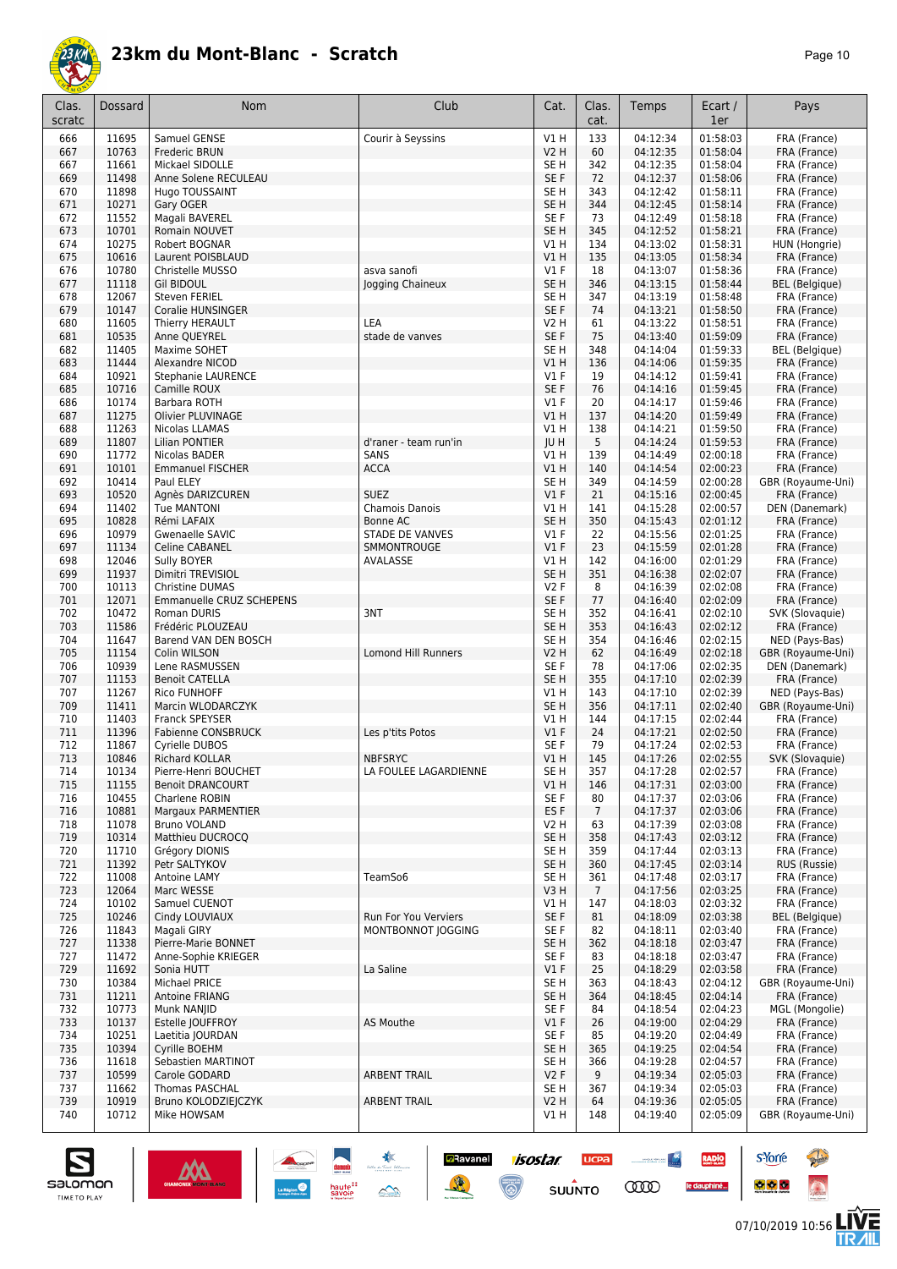

| Clas.<br>scratc | Dossard        | Nom                                             | Club                       | Cat.                               | Clas.<br>cat.   | Temps                | Ecart /<br>1er       | Pays                           |
|-----------------|----------------|-------------------------------------------------|----------------------------|------------------------------------|-----------------|----------------------|----------------------|--------------------------------|
| 666             | 11695          | Samuel GENSE                                    | Courir à Seyssins          | V1H                                | 133             | 04:12:34             | 01:58:03             | FRA (France)                   |
| 667             | 10763          | <b>Frederic BRUN</b>                            |                            | <b>V2 H</b>                        | 60              | 04:12:35             | 01:58:04             | FRA (France)                   |
| 667             | 11661          | Mickael SIDOLLE                                 |                            | SE <sub>H</sub>                    | 342             | 04:12:35             | 01:58:04             | FRA (France)                   |
| 669<br>670      | 11498<br>11898 | Anne Solene RECULEAU<br>Hugo TOUSSAINT          |                            | SE <sub>F</sub><br>SE <sub>H</sub> | 72<br>343       | 04:12:37<br>04:12:42 | 01:58:06<br>01:58:11 | FRA (France)<br>FRA (France)   |
| 671             | 10271          | Gary OGER                                       |                            | SE <sub>H</sub>                    | 344             | 04:12:45             | 01:58:14             | FRA (France)                   |
| 672             | 11552          | Magali BAVEREL                                  |                            | SE <sub>F</sub>                    | 73              | 04:12:49             | 01:58:18             | FRA (France)                   |
| 673             | 10701          | Romain NOUVET                                   |                            | SE <sub>H</sub>                    | 345             | 04:12:52             | 01:58:21             | FRA (France)                   |
| 674             | 10275          | Robert BOGNAR                                   |                            | V1 H                               | 134             | 04:13:02             | 01:58:31             | HUN (Hongrie)                  |
| 675             | 10616          | Laurent POISBLAUD                               |                            | V1 H                               | 135             | 04:13:05             | 01:58:34             | FRA (France)                   |
| 676             | 10780          | Christelle MUSSO                                | asva sanofi                | $VI$ F                             | 18              | 04:13:07             | 01:58:36             | FRA (France)                   |
| 677<br>678      | 11118<br>12067 | <b>Gil BIDOUL</b><br><b>Steven FERIEL</b>       | Jogging Chaineux           | SE <sub>H</sub><br>SE <sub>H</sub> | 346<br>347      | 04:13:15<br>04:13:19 | 01:58:44<br>01:58:48 | BEL (Belgique)<br>FRA (France) |
| 679             | 10147          | <b>Coralie HUNSINGER</b>                        |                            | SE F                               | 74              | 04:13:21             | 01:58:50             | FRA (France)                   |
| 680             | 11605          | Thierry HERAULT                                 | LEA                        | V2 H                               | 61              | 04:13:22             | 01:58:51             | FRA (France)                   |
| 681             | 10535          | Anne QUEYREL                                    | stade de vanves            | SE F                               | 75              | 04:13:40             | 01:59:09             | FRA (France)                   |
| 682             | 11405          | Maxime SOHET                                    |                            | SE <sub>H</sub>                    | 348             | 04:14:04             | 01:59:33             | BEL (Belgique)                 |
| 683             | 11444          | Alexandre NICOD                                 |                            | V1H                                | 136             | 04:14:06             | 01:59:35             | FRA (France)                   |
| 684             | 10921<br>10716 | Stephanie LAURENCE<br>Camille ROUX              |                            | V1F<br>SE F                        | 19<br>76        | 04:14:12             | 01:59:41<br>01:59:45 | FRA (France)<br>FRA (France)   |
| 685<br>686      | 10174          | Barbara ROTH                                    |                            | $VI$ F                             | 20              | 04:14:16<br>04:14:17 | 01:59:46             | FRA (France)                   |
| 687             | 11275          | <b>Olivier PLUVINAGE</b>                        |                            | V1 H                               | 137             | 04:14:20             | 01:59:49             | FRA (France)                   |
| 688             | 11263          | Nicolas LLAMAS                                  |                            | V1 H                               | 138             | 04:14:21             | 01:59:50             | FRA (France)                   |
| 689             | 11807          | Lilian PONTIER                                  | d'raner - team run'in      | JU H                               | 5               | 04:14:24             | 01:59:53             | FRA (France)                   |
| 690             | 11772          | Nicolas BADER                                   | SANS                       | V1H                                | 139             | 04:14:49             | 02:00:18             | FRA (France)                   |
| 691             | 10101          | <b>Emmanuel FISCHER</b>                         | <b>ACCA</b>                | V1H                                | 140             | 04:14:54             | 02:00:23             | FRA (France)                   |
| 692<br>693      | 10414<br>10520 | Paul ELEY                                       | <b>SUEZ</b>                | SE <sub>H</sub><br>V1F             | 349<br>21       | 04:14:59<br>04:15:16 | 02:00:28<br>02:00:45 | GBR (Royaume-Uni)              |
| 694             | 11402          | Agnès DARIZCUREN<br><b>Tue MANTONI</b>          | Chamois Danois             | V1 H                               | 141             | 04:15:28             | 02:00:57             | FRA (France)<br>DEN (Danemark) |
| 695             | 10828          | Rémi LAFAIX                                     | Bonne AC                   | SE <sub>H</sub>                    | 350             | 04:15:43             | 02:01:12             | FRA (France)                   |
| 696             | 10979          | Gwenaelle SAVIC                                 | <b>STADE DE VANVES</b>     | $VI$ F                             | 22              | 04:15:56             | 02:01:25             | FRA (France)                   |
| 697             | 11134          | <b>Celine CABANEL</b>                           | SMMONTROUGE                | $VI$ F                             | 23              | 04:15:59             | 02:01:28             | FRA (France)                   |
| 698             | 12046          | Sully BOYER                                     | AVALASSE                   | V1 H                               | 142             | 04:16:00             | 02:01:29             | FRA (France)                   |
| 699             | 11937          | Dimitri TREVISIOL                               |                            | SE <sub>H</sub>                    | 351             | 04:16:38             | 02:02:07             | FRA (France)                   |
| 700<br>701      | 10113<br>12071 | Christine DUMAS<br>Emmanuelle CRUZ SCHEPENS     |                            | V2F<br>SE F                        | 8<br>77         | 04:16:39<br>04:16:40 | 02:02:08<br>02:02:09 | FRA (France)<br>FRA (France)   |
| 702             | 10472          | Roman DURIS                                     | 3NT                        | SE <sub>H</sub>                    | 352             | 04:16:41             | 02:02:10             | SVK (Slovaquie)                |
| 703             | 11586          | Frédéric PLOUZEAU                               |                            | SE <sub>H</sub>                    | 353             | 04:16:43             | 02:02:12             | FRA (France)                   |
| 704             | 11647          | Barend VAN DEN BOSCH                            |                            | SE <sub>H</sub>                    | 354             | 04:16:46             | 02:02:15             | NED (Pays-Bas)                 |
| 705             | 11154          | Colin WILSON                                    | <b>Lomond Hill Runners</b> | <b>V2 H</b>                        | 62              | 04:16:49             | 02:02:18             | GBR (Royaume-Uni)              |
| 706<br>707      | 10939<br>11153 | Lene RASMUSSEN                                  |                            | SE <sub>F</sub><br>SE <sub>H</sub> | 78<br>355       | 04:17:06<br>04:17:10 | 02:02:35<br>02:02:39 | DEN (Danemark)<br>FRA (France) |
| 707             | 11267          | <b>Benoit CATELLA</b><br><b>Rico FUNHOFF</b>    |                            | V1 H                               | 143             | 04:17:10             | 02:02:39             | NED (Pays-Bas)                 |
| 709             | 11411          | Marcin WLODARCZYK                               |                            | SE <sub>H</sub>                    | 356             | 04:17:11             | 02:02:40             | GBR (Royaume-Uni)              |
| 710             | 11403          | Franck SPEYSER                                  |                            | V1 H                               | 144             | 04:17:15             | 02:02:44             | FRA (France)                   |
| 711             | 11396          | <b>Fabienne CONSBRUCK</b>                       | Les p'tits Potos           | $VI$ F                             | 24              | 04:17:21             | 02:02:50             | FRA (France)                   |
| 712             | 11867          | Cyrielle DUBOS                                  |                            | SE F                               | 79              | 04:17:24             | 02:02:53             | FRA (France)                   |
| 713             | 10846          | <b>Richard KOLLAR</b>                           | <b>NBFSRYC</b>             | V1 H                               | 145             | 04:17:26             | 02:02:55             | SVK (Slovaquie)                |
| 714<br>715      | 10134<br>11155 | Pierre-Henri BOUCHET<br><b>Benoit DRANCOURT</b> | LA FOULEE LAGARDIENNE      | SE H<br>V1 H                       | 357<br>146      | 04:17:28<br>04:17:31 | 02:02:57<br>02:03:00 | FRA (France)<br>FRA (France)   |
| 716             | 10455          | Charlene ROBIN                                  |                            | SE F                               | 80              | 04:17:37             | 02:03:06             | FRA (France)                   |
| 716             | 10881          | Margaux PARMENTIER                              |                            | ES <sub>F</sub>                    | 7               | 04:17:37             | 02:03:06             | FRA (France)                   |
| 718             | 11078          | Bruno VOLAND                                    |                            | V2 H                               | 63              | 04:17:39             | 02:03:08             | FRA (France)                   |
| 719             | 10314          | Matthieu DUCROCO                                |                            | SE <sub>H</sub>                    | 358             | 04:17:43             | 02:03:12             | FRA (France)                   |
| 720<br>721      | 11710<br>11392 | Grégory DIONIS<br>Petr SALTYKOV                 |                            | SE H<br>SE H                       | 359<br>360      | 04:17:44<br>04:17:45 | 02:03:13<br>02:03:14 | FRA (France)<br>RUS (Russie)   |
| 722             | 11008          | Antoine LAMY                                    | TeamSo6                    | SE H                               | 361             | 04:17:48             | 02:03:17             | FRA (France)                   |
| 723             | 12064          | Marc WESSE                                      |                            | V3 H                               | $7\overline{ }$ | 04:17:56             | 02:03:25             | FRA (France)                   |
| 724             | 10102          | Samuel CUENOT                                   |                            | V1 H                               | 147             | 04:18:03             | 02:03:32             | FRA (France)                   |
| 725             | 10246          | Cindy LOUVIAUX                                  | Run For You Verviers       | SE F                               | 81              | 04:18:09             | 02:03:38             | <b>BEL</b> (Belgique)          |
| 726             | 11843          | Magali GIRY                                     | MONTBONNOT JOGGING         | SE F                               | 82              | 04:18:11             | 02:03:40             | FRA (France)                   |
| 727             | 11338          | Pierre-Marie BONNET                             |                            | SE H                               | 362             | 04:18:18             | 02:03:47             | FRA (France)                   |
| 727<br>729      | 11472<br>11692 | Anne-Sophie KRIEGER<br>Sonia HUTT               | La Saline                  | SE F<br>$VI$ F                     | 83<br>25        | 04:18:18<br>04:18:29 | 02:03:47<br>02:03:58 | FRA (France)<br>FRA (France)   |
| 730             | 10384          | Michael PRICE                                   |                            | SE H                               | 363             | 04:18:43             | 02:04:12             | GBR (Royaume-Uni)              |
| 731             | 11211          | Antoine FRIANG                                  |                            | SE <sub>H</sub>                    | 364             | 04:18:45             | 02:04:14             | FRA (France)                   |
| 732             | 10773          | Munk NANJID                                     |                            | SE F                               | 84              | 04:18:54             | 02:04:23             | MGL (Mongolie)                 |
| 733             | 10137          | Estelle JOUFFROY                                | <b>AS Mouthe</b>           | V1F                                | 26              | 04:19:00             | 02:04:29             | FRA (France)                   |
| 734             | 10251          | Laetitia JOURDAN                                |                            | SE F                               | 85              | 04:19:20             | 02:04:49             | FRA (France)                   |
| 735<br>736      | 10394<br>11618 | Cyrille BOEHM<br>Sebastien MARTINOT             |                            | SE H<br>SE H                       | 365<br>366      | 04:19:25<br>04:19:28 | 02:04:54<br>02:04:57 | FRA (France)<br>FRA (France)   |
| 737             | 10599          | Carole GODARD                                   | <b>ARBENT TRAIL</b>        | V2F                                | 9               | 04:19:34             | 02:05:03             | FRA (France)                   |
| 737             | 11662          | Thomas PASCHAL                                  |                            | SE H                               | 367             | 04:19:34             | 02:05:03             | FRA (France)                   |
| 739             | 10919          | Bruno KOLODZIEJCZYK                             | <b>ARBENT TRAIL</b>        | V2 H                               | 64              | 04:19:36             | 02:05:05             | FRA (France)                   |
| 740             | 10712          | Mike HOWSAM                                     |                            | V1 H                               | 148             | 04:19:40             | 02:05:09             | GBR (Royaume-Uni)              |

**D**Ravanel

隆

**isostar** 

 $\overline{\mathbb{C}}$ 

**UCPA** 

 $su\overset{\bullet}{\mathsf{unro}}$ 

**Constitution** 

**COO** 

**RADIO** 

le dauphiné...



**s**Yorre

 $\bullet$   $\bullet$   $\bullet$ 

**There** 

 $\ddot{\Omega}$ 

V는<br>게니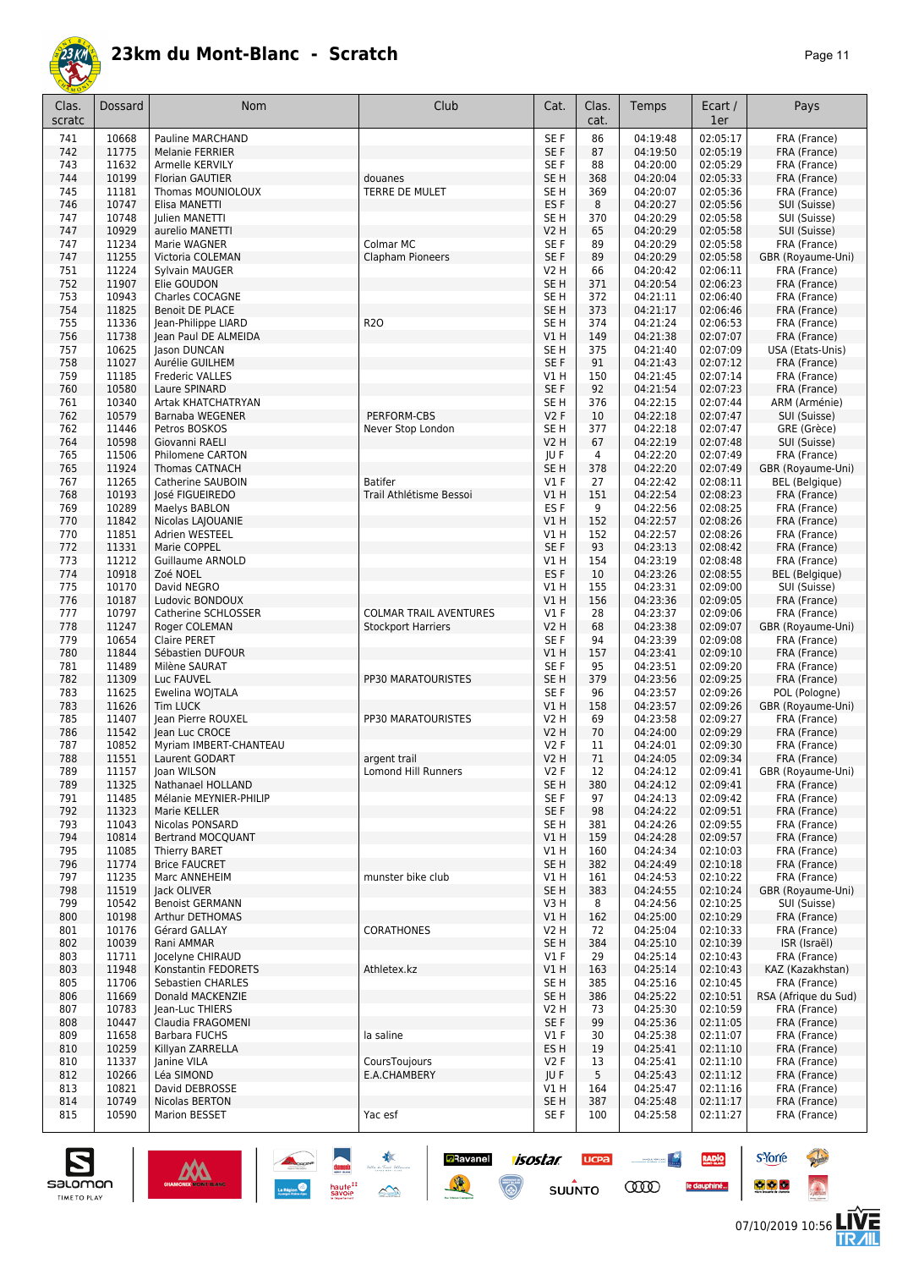

| ıΓ<br>≃ |  |  |
|---------|--|--|
|---------|--|--|

| Clas.<br>scratc | <b>Dossard</b> | Nom                                 | Club                          | Cat.                               | Clas.<br>cat. | Temps                | Ecart /<br>1er       | Pays                             |
|-----------------|----------------|-------------------------------------|-------------------------------|------------------------------------|---------------|----------------------|----------------------|----------------------------------|
| 741             | 10668          | Pauline MARCHAND                    |                               | SE F                               | 86            | 04:19:48             | 02:05:17             | FRA (France)                     |
| 742             | 11775          | <b>Melanie FERRIER</b>              |                               | SE F                               | 87            | 04:19:50             | 02:05:19             | FRA (France)                     |
| 743             | 11632          | Armelle KERVILY                     |                               | SE F                               | 88            | 04:20:00             | 02:05:29             | FRA (France)                     |
| 744             | 10199          | <b>Florian GAUTIER</b>              | douanes                       | SE <sub>H</sub>                    | 368           | 04:20:04             | 02:05:33             | FRA (France)                     |
| 745             | 11181          | Thomas MOUNIOLOUX                   | TERRE DE MULET                | SE <sub>H</sub>                    | 369           | 04:20:07             | 02:05:36<br>02:05:56 | FRA (France)                     |
| 746<br>747      | 10747<br>10748 | Elisa MANETTI<br>Julien MANETTI     |                               | ES F<br>SE <sub>H</sub>            | 8<br>370      | 04:20:27<br>04:20:29 | 02:05:58             | SUI (Suisse)<br>SUI (Suisse)     |
| 747             | 10929          | aurelio MANETTI                     |                               | V2 H                               | 65            | 04:20:29             | 02:05:58             | SUI (Suisse)                     |
| 747             | 11234          | Marie WAGNER                        | Colmar MC                     | SE <sub>F</sub>                    | 89            | 04:20:29             | 02:05:58             | FRA (France)                     |
| 747             | 11255          | Victoria COLEMAN                    | Clapham Pioneers              | SE F                               | 89            | 04:20:29             | 02:05:58             | GBR (Royaume-Uni)                |
| 751             | 11224          | Sylvain MAUGER                      |                               | V2 H                               | 66            | 04:20:42             | 02:06:11             | FRA (France)                     |
| 752             | 11907          | Elie GOUDON                         |                               | SE <sub>H</sub>                    | 371           | 04:20:54             | 02:06:23             | FRA (France)                     |
| 753             | 10943          | Charles COCAGNE                     |                               | SE <sub>H</sub>                    | 372           | 04:21:11             | 02:06:40             | FRA (France)                     |
| 754             | 11825          | <b>Benoit DE PLACE</b>              |                               | SE H                               | 373           | 04:21:17             | 02:06:46             | FRA (France)                     |
| 755             | 11336          | Jean-Philippe LIARD                 | <b>R20</b>                    | SE H                               | 374           | 04:21:24             | 02:06:53             | FRA (France)                     |
| 756             | 11738          | Jean Paul DE ALMEIDA                |                               | V1 H                               | 149           | 04:21:38             | 02:07:07             | FRA (France)                     |
| 757<br>758      | 10625<br>11027 | Jason DUNCAN<br>Aurélie GUILHEM     |                               | SE <sub>H</sub><br>SE <sub>F</sub> | 375<br>91     | 04:21:40<br>04:21:43 | 02:07:09<br>02:07:12 | USA (Etats-Unis)<br>FRA (France) |
| 759             | 11185          | <b>Frederic VALLES</b>              |                               | V1H                                | 150           | 04:21:45             | 02:07:14             | FRA (France)                     |
| 760             | 10580          | Laure SPINARD                       |                               | SE F                               | 92            | 04:21:54             | 02:07:23             | FRA (France)                     |
| 761             | 10340          | Artak KHATCHATRYAN                  |                               | SE <sub>H</sub>                    | 376           | 04:22:15             | 02:07:44             | ARM (Arménie)                    |
| 762             | 10579          | Barnaba WEGENER                     | PERFORM-CBS                   | <b>V2F</b>                         | 10            | 04:22:18             | 02:07:47             | SUI (Suisse)                     |
| 762             | 11446          | Petros BOSKOS                       | Never Stop London             | SE <sub>H</sub>                    | 377           | 04:22:18             | 02:07:47             | GRE (Grèce)                      |
| 764             | 10598          | Giovanni RAELI                      |                               | <b>V2 H</b>                        | 67            | 04:22:19             | 02:07:48             | SUI (Suisse)                     |
| 765             | 11506          | Philomene CARTON                    |                               | JU F                               | 4             | 04:22:20             | 02:07:49             | FRA (France)                     |
| 765             | 11924          | <b>Thomas CATNACH</b>               |                               | SE H                               | 378           | 04:22:20             | 02:07:49             | GBR (Royaume-Uni)                |
| 767             | 11265          | Catherine SAUBOIN                   | <b>Batifer</b>                | $VI$ F                             | 27            | 04:22:42             | 02:08:11             | <b>BEL</b> (Belgique)            |
| 768             | 10193          | José FIGUEIREDO                     | Trail Athlétisme Bessoi       | V1H                                | 151           | 04:22:54             | 02:08:23             | FRA (France)                     |
| 769<br>770      | 10289<br>11842 | Maelys BABLON                       |                               | ES <sub>F</sub><br>VIH             | 9<br>152      | 04:22:56<br>04:22:57 | 02:08:25<br>02:08:26 | FRA (France)                     |
| 770             | 11851          | Nicolas LAJOUANIE<br>Adrien WESTEEL |                               | V1H                                | 152           | 04:22:57             | 02:08:26             | FRA (France)<br>FRA (France)     |
| 772             | 11331          | Marie COPPEL                        |                               | SE F                               | 93            | 04:23:13             | 02:08:42             | FRA (France)                     |
| 773             | 11212          | <b>Guillaume ARNOLD</b>             |                               | V1H                                | 154           | 04:23:19             | 02:08:48             | FRA (France)                     |
| 774             | 10918          | Zoé NOEL                            |                               | ES <sub>F</sub>                    | 10            | 04:23:26             | 02:08:55             | <b>BEL</b> (Belgique)            |
| 775             | 10170          | David NEGRO                         |                               | V1 H                               | 155           | 04:23:31             | 02:09:00             | SUI (Suisse)                     |
| 776             | 10187          | Ludovic BONDOUX                     |                               | V1H                                | 156           | 04:23:36             | 02:09:05             | FRA (France)                     |
| 777             | 10797          | Catherine SCHLOSSER                 | <b>COLMAR TRAIL AVENTURES</b> | $VI$ F                             | 28            | 04:23:37             | 02:09:06             | FRA (France)                     |
| 778             | 11247          | Roger COLEMAN                       | <b>Stockport Harriers</b>     | V2 H                               | 68            | 04:23:38             | 02:09:07             | GBR (Royaume-Uni)                |
| 779             | 10654          | Claire PERET                        |                               | SE <sub>F</sub>                    | 94            | 04:23:39             | 02:09:08             | FRA (France)                     |
| 780<br>781      | 11844<br>11489 | Sébastien DUFOUR<br>Milène SAURAT   |                               | V1 H<br>SE F                       | 157<br>95     | 04:23:41<br>04:23:51 | 02:09:10<br>02:09:20 | FRA (France)<br>FRA (France)     |
| 782             | 11309          | Luc FAUVEL                          | PP30 MARATOURISTES            | SE <sub>H</sub>                    | 379           | 04:23:56             | 02:09:25             | FRA (France)                     |
| 783             | 11625          | Ewelina WOJTALA                     |                               | SE <sub>F</sub>                    | 96            | 04:23:57             | 02:09:26             | POL (Pologne)                    |
| 783             | 11626          | <b>Tim LUCK</b>                     |                               | VIH                                | 158           | 04:23:57             | 02:09:26             | GBR (Royaume-Uni)                |
| 785             | 11407          | Jean Pierre ROUXEL                  | PP30 MARATOURISTES            | V2 H                               | 69            | 04:23:58             | 02:09:27             | FRA (France)                     |
| 786             | 11542          | Jean Luc CROCE                      |                               | V2 H                               | 70            | 04:24:00             | 02:09:29             | FRA (France)                     |
| 787             | 10852          | Myriam IMBERT-CHANTEAU              |                               | V2F                                | 11            | 04:24:01             | 02:09:30             | FRA (France)                     |
| 788             | 11551          | Laurent GODART                      | argent trail                  | <b>V2 H</b>                        | 71            | 04:24:05             | 02:09:34             | FRA (France)                     |
| 789             | 11157          | Joan WILSON                         | Lomond Hill Runners           | V2 F                               | 12            | 04:24:12             | 02:09:41             | GBR (Royaume-Uni)                |
| 789             | 11325          | Nathanael HOLLAND                   |                               | SE H                               | 380           | 04:24:12             | 02:09:41             | FRA (France)                     |
| 791             | 11485          | Mélanie MEYNIER-PHILIP              |                               | SE F                               | 97            | 04:24:13             | 02:09:42             | FRA (France)<br>FRA (France)     |
| 792<br>793      | 11323<br>11043 | Marie KELLER<br>Nicolas PONSARD     |                               | SE F<br>SE H                       | 98<br>381     | 04:24:22<br>04:24:26 | 02:09:51<br>02:09:55 | FRA (France)                     |
| 794             | 10814          | Bertrand MOCQUANT                   |                               | V1 H                               | 159           | 04:24:28             | 02:09:57             | FRA (France)                     |
| 795             | 11085          | <b>Thierry BARET</b>                |                               | V1H                                | 160           | 04:24:34             | 02:10:03             | FRA (France)                     |
| 796             | 11774          | <b>Brice FAUCRET</b>                |                               | SE <sub>H</sub>                    | 382           | 04:24:49             | 02:10:18             | FRA (France)                     |
| 797             | 11235          | Marc ANNEHEIM                       | munster bike club             | V1H                                | 161           | 04:24:53             | 02:10:22             | FRA (France)                     |
| 798             | 11519          | Jack OLIVER                         |                               | SE <sub>H</sub>                    | 383           | 04:24:55             | 02:10:24             | GBR (Royaume-Uni)                |
| 799             | 10542          | <b>Benoist GERMANN</b>              |                               | V3H                                | 8             | 04:24:56             | 02:10:25             | SUI (Suisse)                     |
| 800             | 10198          | Arthur DETHOMAS                     |                               | V1H                                | 162           | 04:25:00             | 02:10:29             | FRA (France)                     |
| 801             | 10176          | Gérard GALLAY                       | <b>CORATHONES</b>             | V2 H                               | 72            | 04:25:04             | 02:10:33<br>02:10:39 | FRA (France)                     |
| 802<br>803      | 10039<br>11711 | Rani AMMAR<br>Jocelyne CHIRAUD      |                               | SE <sub>H</sub><br>$VI$ F          | 384<br>29     | 04:25:10<br>04:25:14 | 02:10:43             | ISR (Israël)<br>FRA (France)     |
| 803             | 11948          | Konstantin FEDORETS                 | Athletex.kz                   | V1 H                               | 163           | 04:25:14             | 02:10:43             | KAZ (Kazakhstan)                 |
| 805             | 11706          | Sebastien CHARLES                   |                               | SE H                               | 385           | 04:25:16             | 02:10:45             | FRA (France)                     |
| 806             | 11669          | Donald MACKENZIE                    |                               | SE H                               | 386           | 04:25:22             | 02:10:51             | RSA (Afrique du Sud)             |
| 807             | 10783          | Jean-Luc THIERS                     |                               | V2 H                               | 73            | 04:25:30             | 02:10:59             | FRA (France)                     |
| 808             | 10447          | Claudia FRAGOMENI                   |                               | SE F                               | 99            | 04:25:36             | 02:11:05             | FRA (France)                     |
| 809             | 11658          | <b>Barbara FUCHS</b>                | la saline                     | $VI$ F                             | 30            | 04:25:38             | 02:11:07             | FRA (France)                     |
| 810             | 10259          | Killyan ZARRELLA                    |                               | ES H                               | 19            | 04:25:41             | 02:11:10             | FRA (France)                     |
| 810             | 11337          | Janine VILA                         | CoursToujours                 | V2F                                | 13            | 04:25:41             | 02:11:10             | FRA (France)                     |
| 812             | 10266          | Léa SIMOND                          | E.A.CHAMBERY                  | JU F                               | 5             | 04:25:43             | 02:11:12             | FRA (France)                     |
| 813<br>814      | 10821<br>10749 | David DEBROSSE<br>Nicolas BERTON    |                               | V1H<br>SE <sub>H</sub>             | 164<br>387    | 04:25:47<br>04:25:48 | 02:11:16<br>02:11:17 | FRA (France)<br>FRA (France)     |
| 815             | 10590          | Marion BESSET                       | Yac esf                       | SE F                               | 100           | 04:25:58             | 02:11:27             | FRA (France)                     |
|                 |                |                                     |                               |                                    |               |                      |                      |                                  |

**Example 1505tar ucea and 1505tar ucea and 1505tar ucea and 1505tar ucea and 150 million comparation of the Comparation of the Comparation of the Comparation of the Comparation of the Comparation of the Comparation of the** 



**s**Yorre

 $\bullet$   $\bullet$   $\bullet$ 

RADIO

le dauphiné...

**PARTIES** 

 $\ddot{\Omega}$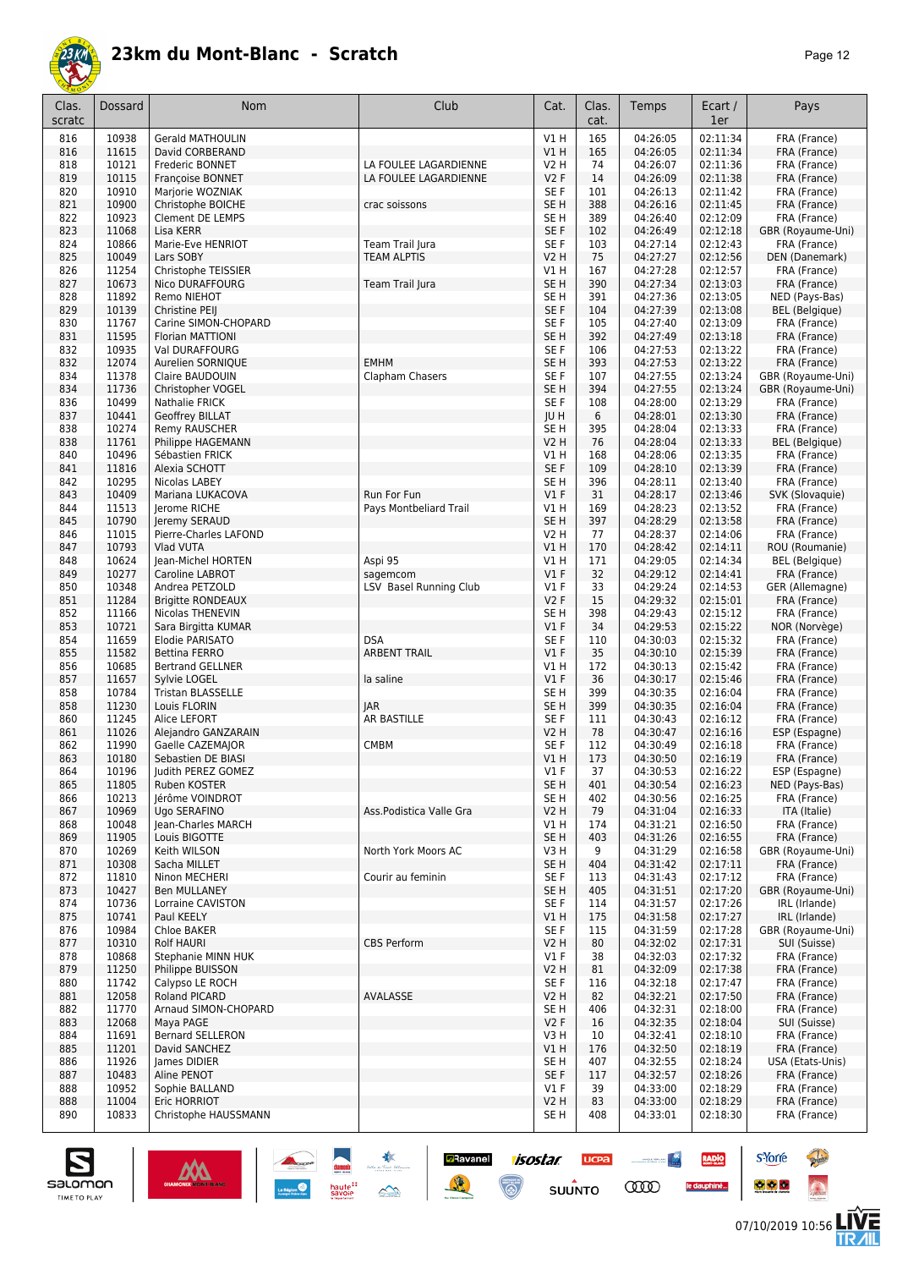

| Clas.<br>scratc | Dossard        | Nom                                         | Club                    | Cat.                               | Clas.<br>cat. | Temps                | Ecart /<br>1er       | Pays                                   |
|-----------------|----------------|---------------------------------------------|-------------------------|------------------------------------|---------------|----------------------|----------------------|----------------------------------------|
| 816             | 10938          | <b>Gerald MATHOULIN</b>                     |                         | V1H                                | 165           | 04:26:05             | 02:11:34             | FRA (France)                           |
| 816             | 11615          | David CORBERAND                             |                         | V1H                                | 165           | 04:26:05             | 02:11:34             | FRA (France)                           |
| 818             | 10121<br>10115 | Frederic BONNET                             | LA FOULEE LAGARDIENNE   | <b>V2 H</b><br><b>V2F</b>          | 74<br>14      | 04:26:07             | 02:11:36<br>02:11:38 | FRA (France)                           |
| 819<br>820      | 10910          | <b>Françoise BONNET</b><br>Marjorie WOZNIAK | LA FOULEE LAGARDIENNE   | SE F                               | 101           | 04:26:09<br>04:26:13 | 02:11:42             | FRA (France)<br>FRA (France)           |
| 821             | 10900          | Christophe BOICHE                           | crac soissons           | SE <sub>H</sub>                    | 388           | 04:26:16             | 02:11:45             | FRA (France)                           |
| 822             | 10923          | <b>Clement DE LEMPS</b>                     |                         | SE <sub>H</sub>                    | 389           | 04:26:40             | 02:12:09             | FRA (France)                           |
| 823             | 11068          | Lisa KERR                                   |                         | SE <sub>F</sub>                    | 102           | 04:26:49             | 02:12:18             | GBR (Royaume-Uni)                      |
| 824             | 10866          | Marie-Eve HENRIOT                           | Team Trail Jura         | SE <sub>F</sub>                    | 103           | 04:27:14             | 02:12:43             | FRA (France)                           |
| 825             | 10049          | Lars SOBY                                   | <b>TEAM ALPTIS</b>      | V2 H                               | 75            | 04:27:27             | 02:12:56             | DEN (Danemark)                         |
| 826<br>827      | 11254<br>10673 | Christophe TEISSIER<br>Nico DURAFFOURG      | Team Trail Jura         | V1 H<br>SE <sub>H</sub>            | 167<br>390    | 04:27:28<br>04:27:34 | 02:12:57<br>02:13:03 | FRA (France)<br>FRA (France)           |
| 828             | 11892          | Remo NIEHOT                                 |                         | SE <sub>H</sub>                    | 391           | 04:27:36             | 02:13:05             | NED (Pays-Bas)                         |
| 829             | 10139          | Christine PEIJ                              |                         | SE F                               | 104           | 04:27:39             | 02:13:08             | <b>BEL</b> (Belgique)                  |
| 830             | 11767          | Carine SIMON-CHOPARD                        |                         | SE F                               | 105           | 04:27:40             | 02:13:09             | FRA (France)                           |
| 831             | 11595          | Florian MATTIONI                            |                         | SE <sub>H</sub>                    | 392           | 04:27:49             | 02:13:18             | FRA (France)                           |
| 832             | 10935          | Val DURAFFOURG                              |                         | SE <sub>F</sub>                    | 106           | 04:27:53             | 02:13:22             | FRA (France)                           |
| 832             | 12074          | Aurelien SORNIQUE                           | <b>EMHM</b>             | SE <sub>H</sub>                    | 393           | 04:27:53             | 02:13:22             | FRA (France)                           |
| 834<br>834      | 11378<br>11736 | Claire BAUDOUIN<br>Christopher VOGEL        | Clapham Chasers         | SE <sub>F</sub><br>SE <sub>H</sub> | 107<br>394    | 04:27:55<br>04:27:55 | 02:13:24<br>02:13:24 | GBR (Royaume-Uni)<br>GBR (Royaume-Uni) |
| 836             | 10499          | Nathalie FRICK                              |                         | SE F                               | 108           | 04:28:00             | 02:13:29             | FRA (France)                           |
| 837             | 10441          | Geoffrey BILLAT                             |                         | IU H                               | 6             | 04:28:01             | 02:13:30             | FRA (France)                           |
| 838             | 10274          | Remy RAUSCHER                               |                         | SE <sub>H</sub>                    | 395           | 04:28:04             | 02:13:33             | FRA (France)                           |
| 838             | 11761          | Philippe HAGEMANN                           |                         | <b>V2 H</b>                        | 76            | 04:28:04             | 02:13:33             | <b>BEL</b> (Belgique)                  |
| 840             | 10496          | Sébastien FRICK                             |                         | V1H                                | 168           | 04:28:06             | 02:13:35             | FRA (France)                           |
| 841             | 11816          | Alexia SCHOTT                               |                         | SE F                               | 109           | 04:28:10             | 02:13:39             | FRA (France)                           |
| 842<br>843      | 10295<br>10409 | Nicolas LABEY<br>Mariana LUKACOVA           | Run For Fun             | SE H<br>$VI$ F                     | 396<br>31     | 04:28:11<br>04:28:17 | 02:13:40<br>02:13:46 | FRA (France)<br>SVK (Slovaquie)        |
| 844             | 11513          | Jerome RICHE                                | Pays Montbeliard Trail  | V1 H                               | 169           | 04:28:23             | 02:13:52             | FRA (France)                           |
| 845             | 10790          | Jeremy SERAUD                               |                         | SE <sub>H</sub>                    | 397           | 04:28:29             | 02:13:58             | FRA (France)                           |
| 846             | 11015          | Pierre-Charles LAFOND                       |                         | V2 H                               | 77            | 04:28:37             | 02:14:06             | FRA (France)                           |
| 847             | 10793          | Vlad VUTA                                   |                         | VIH                                | 170           | 04:28:42             | 02:14:11             | ROU (Roumanie)                         |
| 848             | 10624          | Jean-Michel HORTEN                          | Aspi 95                 | V1H                                | 171           | 04:29:05             | 02:14:34             | <b>BEL</b> (Belgique)                  |
| 849             | 10277          | Caroline LABROT                             | sagemcom                | $VI$ F                             | 32            | 04:29:12             | 02:14:41             | FRA (France)                           |
| 850<br>851      | 10348<br>11284 | Andrea PETZOLD<br><b>Brigitte RONDEAUX</b>  | LSV Basel Running Club  | $VI$ F<br><b>V2F</b>               | 33<br>15      | 04:29:24<br>04:29:32 | 02:14:53<br>02:15:01 | GER (Allemagne)<br>FRA (France)        |
| 852             | 11166          | Nicolas THENEVIN                            |                         | SE <sub>H</sub>                    | 398           | 04:29:43             | 02:15:12             | FRA (France)                           |
| 853             | 10721          | Sara Birgitta KUMAR                         |                         | $VI$ F                             | 34            | 04:29:53             | 02:15:22             | NOR (Norvège)                          |
| 854             | 11659          | Elodie PARISATO                             | <b>DSA</b>              | SE F                               | 110           | 04:30:03             | 02:15:32             | FRA (France)                           |
| 855             | 11582          | Bettina FERRO                               | <b>ARBENT TRAIL</b>     | $VI$ F                             | 35            | 04:30:10             | 02:15:39             | FRA (France)                           |
| 856             | 10685          | <b>Bertrand GELLNER</b>                     |                         | V1 H                               | 172           | 04:30:13             | 02:15:42             | FRA (France)                           |
| 857             | 11657<br>10784 | Sylvie LOGEL<br><b>Tristan BLASSELLE</b>    | la saline               | $VI$ F<br>SE <sub>H</sub>          | 36<br>399     | 04:30:17             | 02:15:46<br>02:16:04 | FRA (France)                           |
| 858<br>858      | 11230          | Louis FLORIN                                | <b>JAR</b>              | SE <sub>H</sub>                    | 399           | 04:30:35<br>04:30:35 | 02:16:04             | FRA (France)<br>FRA (France)           |
| 860             | 11245          | Alice LEFORT                                | AR BASTILLE             | SE F                               | 111           | 04:30:43             | 02:16:12             | FRA (France)                           |
| 861             | 11026          | Alejandro GANZARAIN                         |                         | V2 H                               | 78            | 04:30:47             | 02:16:16             | ESP (Espagne)                          |
| 862             | 11990          | Gaelle CAZEMAJOR                            | CMBM                    | SE <sub>F</sub>                    | 112           | 04:30:49             | 02:16:18             | FRA (France)                           |
| 863             | 10180          | Sebastien DE BIASI                          |                         | VIH                                | 173           | 04:30:50             | 02:16:19             | FRA (France)                           |
| 864<br>865      | 10196          | Judith PEREZ GOMEZ<br>Ruben KOSTER          |                         | V1F<br>SE <sub>H</sub>             | 37            | 04:30:53             | 02:16:22             | ESP (Espagne)                          |
| 866             | 11805<br>10213 | lérôme VOINDROT                             |                         | SE H                               | 401<br>402    | 04:30:54<br>04:30:56 | 02:16:23<br>02:16:25 | NED (Pays-Bas)<br>FRA (France)         |
| 867             | 10969          | Ugo SERAFINO                                | Ass.Podistica Valle Gra | V2 H                               | 79            | 04:31:04             | 02:16:33             | ITA (Italie)                           |
| 868             | 10048          | Jean-Charles MARCH                          |                         | V1 H                               | 174           | 04:31:21             | 02:16:50             | FRA (France)                           |
| 869             | 11905          | Louis BIGOTTE                               |                         | SE H                               | 403           | 04:31:26             | 02:16:55             | FRA (France)                           |
| 870             | 10269          | Keith WILSON                                | North York Moors AC     | V3H                                | 9             | 04:31:29             | 02:16:58             | GBR (Royaume-Uni)                      |
| 871             | 10308          | Sacha MILLET                                |                         | SE <sub>H</sub>                    | 404           | 04:31:42             | 02:17:11             | FRA (France)                           |
| 872<br>873      | 11810<br>10427 | Ninon MECHERI<br><b>Ben MULLANEY</b>        | Courir au feminin       | SE F<br>SE H                       | 113<br>405    | 04:31:43<br>04:31:51 | 02:17:12<br>02:17:20 | FRA (France)<br>GBR (Royaume-Uni)      |
| 874             | 10736          | Lorraine CAVISTON                           |                         | SE F                               | 114           | 04:31:57             | 02:17:26             | IRL (Irlande)                          |
| 875             | 10741          | Paul KEELY                                  |                         | V1 H                               | 175           | 04:31:58             | 02:17:27             | IRL (Irlande)                          |
| 876             | 10984          | Chloe BAKER                                 |                         | SE F                               | 115           | 04:31:59             | 02:17:28             | GBR (Royaume-Uni)                      |
| 877             | 10310          | <b>Rolf HAURI</b>                           | <b>CBS Perform</b>      | <b>V2 H</b>                        | 80            | 04:32:02             | 02:17:31             | SUI (Suisse)                           |
| 878             | 10868          | Stephanie MINN HUK                          |                         | $VI$ F                             | 38            | 04:32:03             | 02:17:32             | FRA (France)                           |
| 879<br>880      | 11250          | Philippe BUISSON<br>Calypso LE ROCH         |                         | V2 H<br>SE F                       | 81<br>116     | 04:32:09             | 02:17:38             | FRA (France)<br>FRA (France)           |
| 881             | 11742<br>12058 | Roland PICARD                               | AVALASSE                | V2 H                               | 82            | 04:32:18<br>04:32:21 | 02:17:47<br>02:17:50 | FRA (France)                           |
| 882             | 11770          | Arnaud SIMON-CHOPARD                        |                         | SE H                               | 406           | 04:32:31             | 02:18:00             | FRA (France)                           |
| 883             | 12068          | Maya PAGE                                   |                         | V2F                                | 16            | 04:32:35             | 02:18:04             | SUI (Suisse)                           |
| 884             | 11691          | <b>Bernard SELLERON</b>                     |                         | V3H                                | 10            | 04:32:41             | 02:18:10             | FRA (France)                           |
| 885             | 11201          | David SANCHEZ                               |                         | V1 H                               | 176           | 04:32:50             | 02:18:19             | FRA (France)                           |
| 886             | 11926          | James DIDIER                                |                         | SE H                               | 407           | 04:32:55             | 02:18:24             | USA (Etats-Unis)                       |
| 887<br>888      | 10483<br>10952 | Aline PENOT                                 |                         | SE F<br>$VI$ F                     | 117<br>39     | 04:32:57<br>04:33:00 | 02:18:26<br>02:18:29 | FRA (France)<br>FRA (France)           |
| 888             | 11004          | Sophie BALLAND<br>Eric HORRIOT              |                         | <b>V2 H</b>                        | 83            | 04:33:00             | 02:18:29             | FRA (France)                           |
| 890             | 10833          | Christophe HAUSSMANN                        |                         | SE H                               | 408           | 04:33:01             | 02:18:30             | FRA (France)                           |
|                 |                |                                             |                         |                                    |               |                      |                      |                                        |

**Ravanel 1505tar** 

 $\odot$ 

 $\mathbb{R}$ 

**UCPA** 

 $su\overset{\bullet}{\mathsf{unro}}$ 

<u>All proposed and</u>

**COO** 

RADIO

le dauphiné...



**s**Yorre

 $\bullet$   $\bullet$   $\bullet$ 

**There** 

 $\ddot{\Omega}$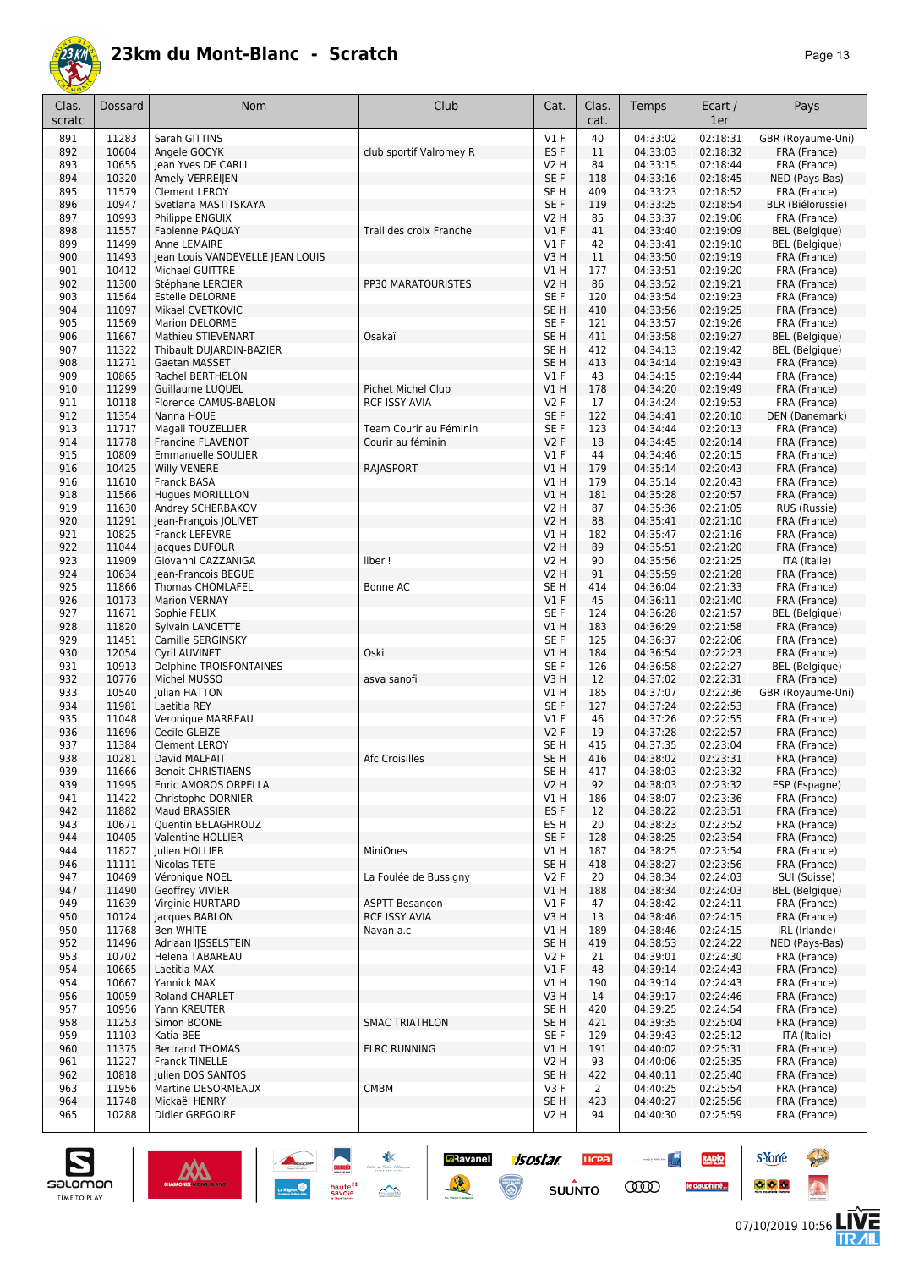

| Clas.<br>scratc | Dossard        | Nom                                             | Club                                   | Cat.                               | Clas.<br>cat. | Temps                | Ecart /<br>1er       | Pays                                     |
|-----------------|----------------|-------------------------------------------------|----------------------------------------|------------------------------------|---------------|----------------------|----------------------|------------------------------------------|
| 891             | 11283          | Sarah GITTINS                                   |                                        | $VI$ F                             | 40            | 04:33:02             | 02:18:31             | GBR (Royaume-Uni)                        |
| 892             | 10604          | Angele GOCYK                                    | club sportif Valromey R                | ES <sub>F</sub>                    | 11            | 04:33:03             | 02:18:32             | FRA (France)                             |
| 893             | 10655          | Jean Yves DE CARLI                              |                                        | V2 H                               | 84            | 04:33:15             | 02:18:44             | FRA (France)                             |
| 894             | 10320          | Amely VERREIJEN                                 |                                        | SE <sub>F</sub>                    | 118           | 04:33:16             | 02:18:45             | NED (Pays-Bas)                           |
| 895<br>896      | 11579<br>10947 | <b>Clement LEROY</b><br>Svetlana MASTITSKAYA    |                                        | SE <sub>H</sub><br>SE F            | 409<br>119    | 04:33:23<br>04:33:25 | 02:18:52<br>02:18:54 | FRA (France)<br><b>BLR</b> (Biélorussie) |
| 897             | 10993          | Philippe ENGUIX                                 |                                        | <b>V2 H</b>                        | 85            | 04:33:37             | 02:19:06             | FRA (France)                             |
| 898             | 11557          | <b>Fabienne PAQUAY</b>                          | Trail des croix Franche                | $VI$ F                             | 41            | 04:33:40             | 02:19:09             | BEL (Belgique)                           |
| 899             | 11499          | Anne LEMAIRE                                    |                                        | $VI$ F                             | 42            | 04:33:41             | 02:19:10             | BEL (Belgique)                           |
| 900             | 11493          | Jean Louis VANDEVELLE JEAN LOUIS                |                                        | V3H                                | 11            | 04:33:50             | 02:19:19             | FRA (France)                             |
| 901             | 10412          | Michael GUITTRE                                 |                                        | VIH                                | 177           | 04:33:51             | 02:19:20             | FRA (France)                             |
| 902             | 11300          | Stéphane LERCIER                                | PP30 MARATOURISTES                     | <b>V2 H</b>                        | 86            | 04:33:52             | 02:19:21             | FRA (France)                             |
| 903             | 11564          | Estelle DELORME                                 |                                        | SE <sub>F</sub>                    | 120           | 04:33:54             | 02:19:23             | FRA (France)                             |
| 904             | 11097          | Mikael CVETKOVIC                                |                                        | SE <sub>H</sub>                    | 410           | 04:33:56             | 02:19:25             | FRA (France)                             |
| 905             | 11569          | <b>Marion DELORME</b>                           |                                        | SE <sub>F</sub>                    | 121           | 04:33:57             | 02:19:26             | FRA (France)                             |
| 906<br>907      | 11667<br>11322 | Mathieu STIEVENART<br>Thibault DUJARDIN-BAZIER  | Osakaï                                 | SE <sub>H</sub><br>SE <sub>H</sub> | 411<br>412    | 04:33:58<br>04:34:13 | 02:19:27<br>02:19:42 | BEL (Belgique)<br>BEL (Belgique)         |
| 908             | 11271          | Gaetan MASSET                                   |                                        | SE <sub>H</sub>                    | 413           | 04:34:14             | 02:19:43             | FRA (France)                             |
| 909             | 10865          | Rachel BERTHELON                                |                                        | $VI$ F                             | 43            | 04:34:15             | 02:19:44             | FRA (France)                             |
| 910             | 11299          | <b>Guillaume LUOUEL</b>                         | Pichet Michel Club                     | V1 H                               | 178           | 04:34:20             | 02:19:49             | FRA (France)                             |
| 911             | 10118          | Florence CAMUS-BABLON                           | <b>RCF ISSY AVIA</b>                   | <b>V2F</b>                         | 17            | 04:34:24             | 02:19:53             | FRA (France)                             |
| 912             | 11354          | Nanna HOUE                                      |                                        | SE <sub>F</sub>                    | 122           | 04:34:41             | 02:20:10             | DEN (Danemark)                           |
| 913             | 11717          | Magali TOUZELLIER                               | Team Courir au Féminin                 | SE F                               | 123           | 04:34:44             | 02:20:13             | FRA (France)                             |
| 914             | 11778          | Francine FLAVENOT                               | Courir au féminin                      | <b>V2F</b>                         | 18            | 04:34:45             | 02:20:14             | FRA (France)                             |
| 915             | 10809          | <b>Emmanuelle SOULIER</b>                       |                                        | $VI$ F                             | 44            | 04:34:46             | 02:20:15             | FRA (France)                             |
| 916             | 10425          | <b>Willy VENERE</b>                             | RAJASPORT                              | V1H                                | 179           | 04:35:14             | 02:20:43             | FRA (France)                             |
| 916             | 11610<br>11566 | Franck BASA                                     |                                        | V1H<br>V1H                         | 179<br>181    | 04:35:14<br>04:35:28 | 02:20:43<br>02:20:57 | FRA (France)                             |
| 918<br>919      | 11630          | <b>Hugues MORILLLON</b><br>Andrey SCHERBAKOV    |                                        | <b>V2 H</b>                        | 87            | 04:35:36             | 02:21:05             | FRA (France)<br>RUS (Russie)             |
| 920             | 11291          | Jean-François JOLIVET                           |                                        | <b>V2 H</b>                        | 88            | 04:35:41             | 02:21:10             | FRA (France)                             |
| 921             | 10825          | <b>Franck LEFEVRE</b>                           |                                        | V1 H                               | 182           | 04:35:47             | 02:21:16             | FRA (France)                             |
| 922             | 11044          | Jacques DUFOUR                                  |                                        | <b>V2 H</b>                        | 89            | 04:35:51             | 02:21:20             | FRA (France)                             |
| 923             | 11909          | Giovanni CAZZANIGA                              | liberi!                                | V2 H                               | 90            | 04:35:56             | 02:21:25             | ITA (Italie)                             |
| 924             | 10634          | Jean-Francois BEGUE                             |                                        | <b>V2 H</b>                        | 91            | 04:35:59             | 02:21:28             | FRA (France)                             |
| 925             | 11866          | <b>Thomas CHOMLAFEL</b>                         | Bonne AC                               | SE H                               | 414           | 04:36:04             | 02:21:33             | FRA (France)                             |
| 926             | 10173          | <b>Marion VERNAY</b>                            |                                        | V1F                                | 45            | 04:36:11             | 02:21:40             | FRA (France)                             |
| 927             | 11671          | Sophie FELIX                                    |                                        | SE <sub>F</sub>                    | 124           | 04:36:28             | 02:21:57             | BEL (Belgique)                           |
| 928             | 11820<br>11451 | Sylvain LANCETTE<br>Camille SERGINSKY           |                                        | V1 H<br>SE <sub>F</sub>            | 183<br>125    | 04:36:29<br>04:36:37 | 02:21:58<br>02:22:06 | FRA (France)                             |
| 929<br>930      | 12054          | <b>Cyril AUVINET</b>                            | Oski                                   | V1 H                               | 184           | 04:36:54             | 02:22:23             | FRA (France)<br>FRA (France)             |
| 931             | 10913          | Delphine TROISFONTAINES                         |                                        | SE <sub>F</sub>                    | 126           | 04:36:58             | 02:22:27             | BEL (Belgique)                           |
| 932             | 10776          | Michel MUSSO                                    | asva sanofi                            | V3H                                | 12            | 04:37:02             | 02:22:31             | FRA (France)                             |
| 933             | 10540          | Julian HATTON                                   |                                        | V1 H                               | 185           | 04:37:07             | 02:22:36             | GBR (Royaume-Uni)                        |
| 934             | 11981          | Laetitia REY                                    |                                        | SE <sub>F</sub>                    | 127           | 04:37:24             | 02:22:53             | FRA (France)                             |
| 935             | 11048          | Veronique MARREAU                               |                                        | $VI$ F                             | 46            | 04:37:26             | 02:22:55             | FRA (France)                             |
| 936             | 11696          | Cecile GLEIZE                                   |                                        | <b>V2F</b>                         | 19            | 04:37:28             | 02:22:57             | FRA (France)                             |
| 937             | 11384          | <b>Clement LEROY</b>                            |                                        | SE H                               | 415           | 04:37:35             | 02:23:04             | FRA (France)                             |
| 938             | 10281          | David MALFAIT                                   | Afc Croisilles                         | SE <sub>H</sub>                    | 416           | 04:38:02             | 02:23:31             | FRA (France)                             |
| 939<br>939      | 11666<br>11995 | Benoit CHRISTIAENS<br>Enric AMOROS ORPELLA      |                                        | SE H<br>V2 H                       | 41/<br>92     | 04:38:03<br>04:38:03 | 02:23:32<br>02:23:32 | FRA (France)<br>ESP (Espagne)            |
| 941             | 11422          | Christophe DORNIER                              |                                        | V1 H                               | 186           | 04:38:07             | 02:23:36             | FRA (France)                             |
| 942             | 11882          | <b>Maud BRASSIER</b>                            |                                        | ES F                               | 12            | 04:38:22             | 02:23:51             | FRA (France)                             |
| 943             | 10671          | Quentin BELAGHROUZ                              |                                        | ES H                               | 20            | 04:38:23             | 02:23:52             | FRA (France)                             |
| 944             | 10405          | Valentine HOLLIER                               |                                        | SE F                               | 128           | 04:38:25             | 02:23:54             | FRA (France)                             |
| 944             | 11827          | Julien HOLLIER                                  | MiniOnes                               | V1 H                               | 187           | 04:38:25             | 02:23:54             | FRA (France)                             |
| 946             | 11111          | Nicolas TETE                                    |                                        | SE H                               | 418           | 04:38:27             | 02:23:56             | FRA (France)                             |
| 947             | 10469          | Véronique NOEL                                  | La Foulée de Bussigny                  | V2F                                | 20            | 04:38:34             | 02:24:03             | SUI (Suisse)                             |
| 947             | 11490          | Geoffrey VIVIER                                 |                                        | V1 H                               | 188           | 04:38:34             | 02:24:03             | BEL (Belgique)                           |
| 949<br>950      | 11639<br>10124 | Virginie HURTARD<br>Jacques BABLON              | ASPTT Besançon<br><b>RCF ISSY AVIA</b> | $VI$ F<br>V3H                      | 47<br>13      | 04:38:42<br>04:38:46 | 02:24:11<br>02:24:15 | FRA (France)<br>FRA (France)             |
| 950             | 11768          | Ben WHITE                                       | Navan a.c                              | V1 H                               | 189           | 04:38:46             | 02:24:15             | IRL (Irlande)                            |
| 952             | 11496          | Adriaan IJSSELSTEIN                             |                                        | SE <sub>H</sub>                    | 419           | 04:38:53             | 02:24:22             | NED (Pays-Bas)                           |
| 953             | 10702          | Helena TABAREAU                                 |                                        | V2F                                | 21            | 04:39:01             | 02:24:30             | FRA (France)                             |
| 954             | 10665          | Laetitia MAX                                    |                                        | $VI$ F                             | 48            | 04:39:14             | 02:24:43             | FRA (France)                             |
| 954             | 10667          | Yannick MAX                                     |                                        | V1 H                               | 190           | 04:39:14             | 02:24:43             | FRA (France)                             |
| 956             | 10059          | Roland CHARLET                                  |                                        | V3 H                               | 14            | 04:39:17             | 02:24:46             | FRA (France)                             |
| 957             | 10956          | Yann KREUTER                                    |                                        | SE H                               | 420           | 04:39:25             | 02:24:54             | FRA (France)                             |
| 958             | 11253          | Simon BOONE                                     | <b>SMAC TRIATHLON</b>                  | SE H                               | 421           | 04:39:35             | 02:25:04             | FRA (France)                             |
| 959             | 11103          | Katia BEE                                       |                                        | SE F                               | 129           | 04:39:43             | 02:25:12             | ITA (Italie)                             |
| 960             | 11375          | <b>Bertrand THOMAS</b><br><b>Franck TINELLE</b> | <b>FLRC RUNNING</b>                    | V1 H                               | 191<br>93     | 04:40:02             | 02:25:31             | FRA (France)                             |
| 961<br>962      | 11227<br>10818 | Julien DOS SANTOS                               |                                        | V <sub>2</sub> H<br>SE H           | 422           | 04:40:06<br>04:40:11 | 02:25:35<br>02:25:40 | FRA (France)<br>FRA (France)             |
| 963             | 11956          | Martine DESORMEAUX                              | <b>CMBM</b>                            | V3F                                | 2             | 04:40:25             | 02:25:54             | FRA (France)                             |
| 964             | 11748          | Mickaël HENRY                                   |                                        | SE <sub>H</sub>                    | 423           | 04:40:27             | 02:25:56             | FRA (France)                             |
| 965             | 10288          | Didier GREGOIRE                                 |                                        | V2 H                               | 94            | 04:40:30             | 02:25:59             | FRA (France)                             |
|                 |                |                                                 |                                        |                                    |               |                      |                      |                                          |

**D**Ravanel

送

isostar

 $\overline{\mathbb{C}}$ 

**UCPA** 

 $s$ UUNTO

**Constitution** 

**COO** 

RADIO

le dauphiné...



**s**Yorre

 $\bullet$   $\bullet$   $\bullet$ 

**There** 

 $\ddot{\Omega}$ 

V는<br>게니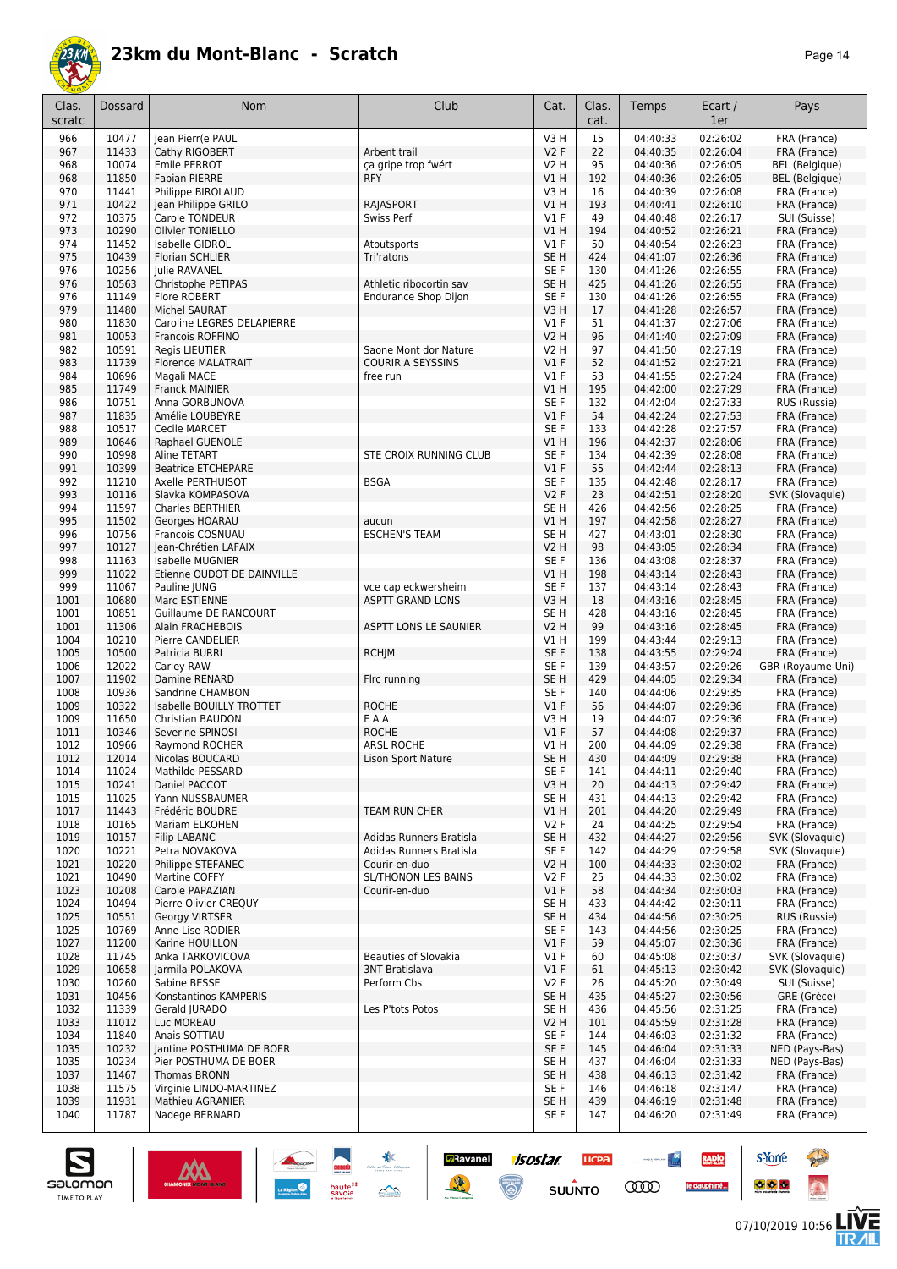

| age<br>л |  |
|----------|--|
|----------|--|

| Clas.<br>scratc | <b>Dossard</b> | <b>Nom</b>                               | Club                                                   | Cat.                               | Clas.<br>cat. | Temps                | Ecart /<br>1er       | Pays                         |
|-----------------|----------------|------------------------------------------|--------------------------------------------------------|------------------------------------|---------------|----------------------|----------------------|------------------------------|
| 966             | 10477          | Jean Pierr(e PAUL                        |                                                        | V3H                                | 15            | 04:40:33             | 02:26:02             | FRA (France)                 |
| 967             | 11433          | Cathy RIGOBERT                           | Arbent trail                                           | <b>V2F</b>                         | 22            | 04:40:35             | 02:26:04             | FRA (France)                 |
| 968             | 10074          | Emile PERROT                             | ça gripe trop fwért                                    | V2 H                               | 95            | 04:40:36             | 02:26:05             | <b>BEL</b> (Belgique)        |
| 968             | 11850          | <b>Fabian PIERRE</b>                     | <b>RFY</b>                                             | V1H                                | 192           | 04:40:36             | 02:26:05             | <b>BEL</b> (Belgique)        |
| 970<br>971      | 11441<br>10422 | Philippe BIROLAUD<br>Jean Philippe GRILO | RAJASPORT                                              | V3 H<br>V1 H                       | 16<br>193     | 04:40:39<br>04:40:41 | 02:26:08<br>02:26:10 | FRA (France)<br>FRA (France) |
| 972             | 10375          | Carole TONDEUR                           | Swiss Perf                                             | $VI$ F                             | 49            | 04:40:48             | 02:26:17             | SUI (Suisse)                 |
| 973             | 10290          | Olivier TONIELLO                         |                                                        | VIH                                | 194           | 04:40:52             | 02:26:21             | FRA (France)                 |
| 974             | 11452          | Isabelle GIDROL                          | Atoutsports                                            | $VI$ F                             | 50            | 04:40:54             | 02:26:23             | FRA (France)                 |
| 975             | 10439          | <b>Florian SCHLIER</b>                   | Tri'ratons                                             | SE <sub>H</sub>                    | 424           | 04:41:07             | 02:26:36             | FRA (France)                 |
| 976             | 10256          | Julie RAVANEL                            |                                                        | SE <sub>F</sub>                    | 130           | 04:41:26             | 02:26:55             | FRA (France)                 |
| 976<br>976      | 10563<br>11149 | Christophe PETIPAS<br>Flore ROBERT       | Athletic ribocortin sav<br><b>Endurance Shop Dijon</b> | SE <sub>H</sub><br>SE <sub>F</sub> | 425<br>130    | 04:41:26<br>04:41:26 | 02:26:55<br>02:26:55 | FRA (France)<br>FRA (France) |
| 979             | 11480          | <b>Michel SAURAT</b>                     |                                                        | V3H                                | 17            | 04:41:28             | 02:26:57             | FRA (France)                 |
| 980             | 11830          | Caroline LEGRES DELAPIERRE               |                                                        | $VI$ F                             | 51            | 04:41:37             | 02:27:06             | FRA (France)                 |
| 981             | 10053          | Francois ROFFINO                         |                                                        | <b>V2 H</b>                        | 96            | 04:41:40             | 02:27:09             | FRA (France)                 |
| 982             | 10591          | <b>Regis LIEUTIER</b>                    | Saone Mont dor Nature                                  | V2 H                               | 97            | 04:41:50             | 02:27:19             | FRA (France)                 |
| 983             | 11739          | <b>Florence MALATRAIT</b>                | <b>COURIR A SEYSSINS</b>                               | $VI$ F                             | 52            | 04:41:52             | 02:27:21             | FRA (France)                 |
| 984             | 10696<br>11749 | Magali MACE                              | free run                                               | $VI$ F<br>VIH                      | 53<br>195     | 04:41:55             | 02:27:24<br>02:27:29 | FRA (France)                 |
| 985<br>986      | 10751          | <b>Franck MAINIER</b><br>Anna GORBUNOVA  |                                                        | SE <sub>F</sub>                    | 132           | 04:42:00<br>04:42:04 | 02:27:33             | FRA (France)<br>RUS (Russie) |
| 987             | 11835          | Amélie LOUBEYRE                          |                                                        | V1F                                | 54            | 04:42:24             | 02:27:53             | FRA (France)                 |
| 988             | 10517          | <b>Cecile MARCET</b>                     |                                                        | SE <sub>F</sub>                    | 133           | 04:42:28             | 02:27:57             | FRA (France)                 |
| 989             | 10646          | Raphael GUENOLE                          |                                                        | VIH                                | 196           | 04:42:37             | 02:28:06             | FRA (France)                 |
| 990             | 10998          | Aline TETART                             | STE CROIX RUNNING CLUB                                 | SE <sub>F</sub>                    | 134           | 04:42:39             | 02:28:08             | FRA (France)                 |
| 991             | 10399          | <b>Beatrice ETCHEPARE</b>                |                                                        | V1F                                | 55            | 04:42:44             | 02:28:13             | FRA (France)                 |
| 992             | 11210          | Axelle PERTHUISOT                        | <b>BSGA</b>                                            | SE <sub>F</sub>                    | 135           | 04:42:48             | 02:28:17             | FRA (France)                 |
| 993             | 10116          | Slavka KOMPASOVA                         |                                                        | <b>V2F</b>                         | 23            | 04:42:51             | 02:28:20             | SVK (Slovaquie)              |
| 994             | 11597<br>11502 | <b>Charles BERTHIER</b>                  |                                                        | SE <sub>H</sub>                    | 426           | 04:42:56             | 02:28:25<br>02:28:27 | FRA (France)                 |
| 995<br>996      | 10756          | Georges HOARAU<br>Francois COSNUAU       | aucun<br><b>ESCHEN'S TEAM</b>                          | V1 H<br>SE <sub>H</sub>            | 197<br>427    | 04:42:58<br>04:43:01 | 02:28:30             | FRA (France)<br>FRA (France) |
| 997             | 10127          | Jean-Chrétien LAFAIX                     |                                                        | V2 H                               | 98            | 04:43:05             | 02:28:34             | FRA (France)                 |
| 998             | 11163          | Isabelle MUGNIER                         |                                                        | SE <sub>F</sub>                    | 136           | 04:43:08             | 02:28:37             | FRA (France)                 |
| 999             | 11022          | Etienne OUDOT DE DAINVILLE               |                                                        | V1H                                | 198           | 04:43:14             | 02:28:43             | FRA (France)                 |
| 999             | 11067          | Pauline JUNG                             | vce cap eckwersheim                                    | SE F                               | 137           | 04:43:14             | 02:28:43             | FRA (France)                 |
| 1001            | 10680          | Marc ESTIENNE                            | <b>ASPTT GRAND LONS</b>                                | V3H                                | 18            | 04:43:16             | 02:28:45             | FRA (France)                 |
| 1001            | 10851          | Guillaume DE RANCOURT                    |                                                        | SE <sub>H</sub>                    | 428           | 04:43:16             | 02:28:45             | FRA (France)                 |
| 1001<br>1004    | 11306<br>10210 | Alain FRACHEBOIS<br>Pierre CANDELIER     | ASPTT LONS LE SAUNIER                                  | <b>V2 H</b><br>V1 H                | 99<br>199     | 04:43:16<br>04:43:44 | 02:28:45<br>02:29:13 | FRA (France)                 |
| 1005            | 10500          | Patricia BURRI                           | <b>RCHJM</b>                                           | SE <sub>F</sub>                    | 138           | 04:43:55             | 02:29:24             | FRA (France)<br>FRA (France) |
| 1006            | 12022          | Carley RAW                               |                                                        | SE F                               | 139           | 04:43:57             | 02:29:26             | GBR (Royaume-Uni)            |
| 1007            | 11902          | Damine RENARD                            | Firc running                                           | SE <sub>H</sub>                    | 429           | 04:44:05             | 02:29:34             | FRA (France)                 |
| 1008            | 10936          | Sandrine CHAMBON                         |                                                        | SE <sub>F</sub>                    | 140           | 04:44:06             | 02:29:35             | FRA (France)                 |
| 1009            | 10322          | Isabelle BOUILLY TROTTET                 | <b>ROCHE</b>                                           | V1F                                | 56            | 04:44:07             | 02:29:36             | FRA (France)                 |
| 1009            | 11650          | Christian BAUDON                         | EAA                                                    | V3H                                | 19            | 04:44:07             | 02:29:36             | FRA (France)                 |
| 1011            | 10346          | Severine SPINOSI                         | <b>ROCHE</b>                                           | V1F                                | 57            | 04:44:08             | 02:29:37             | FRA (France)                 |
| 1012            | 10966<br>12014 | Raymond ROCHER                           | <b>ARSL ROCHE</b>                                      | V1 H                               | 200<br>430    | 04:44:09<br>04:44:09 | 02:29:38             | FRA (France)                 |
| 1012<br>1014    | 11024          | Nicolas BOUCARD<br>Mathilde PESSARD      | Lison Sport Nature                                     | SE <sub>H</sub><br>SE F            | 141           | 04:44:11             | 02:29:38<br>02:29:40 | FRA (France)<br>FRA (France) |
| 1015            | 10241          | Daniel PACCOT                            |                                                        | V3H                                | 20            | 04:44:13             | 02:29:42             | FRA (France)                 |
| 1015            | 11025          | Yann NUSSBAUMER                          |                                                        | SE H                               | 431           | 04:44:13             | 02:29:42             | FRA (France)                 |
| 1017            | 11443          | Frédéric BOUDRE                          | TEAM RUN CHER                                          | V1 H                               | 201           | 04:44:20             | 02:29:49             | FRA (France)                 |
| 1018            | 10165          | Mariam ELKOHEN                           |                                                        | V2F                                | 24            | 04:44:25             | 02:29:54             | FRA (France)                 |
| 1019            | 10157          | <b>Filip LABANC</b>                      | Adidas Runners Bratisla                                | SE <sub>H</sub>                    | 432           | 04:44:27             | 02:29:56             | SVK (Slovaquie)              |
| 1020            | 10221          | Petra NOVAKOVA                           | Adidas Runners Bratisla                                | SE F                               | 142           | 04:44:29             | 02:29:58             | SVK (Slovaquie)              |
| 1021            | 10220<br>10490 | Philippe STEFANEC<br>Martine COFFY       | Courir-en-duo<br>SL/THONON LES BAINS                   | V2 H<br><b>V2F</b>                 | 100<br>25     | 04:44:33<br>04:44:33 | 02:30:02<br>02:30:02 | FRA (France)                 |
| 1021<br>1023    | 10208          | Carole PAPAZIAN                          | Courir-en-duo                                          | V1F                                | 58            | 04:44:34             | 02:30:03             | FRA (France)<br>FRA (France) |
| 1024            | 10494          | Pierre Olivier CREQUY                    |                                                        | SE H                               | 433           | 04:44:42             | 02:30:11             | FRA (France)                 |
| 1025            | 10551          | <b>Georgy VIRTSER</b>                    |                                                        | SE <sub>H</sub>                    | 434           | 04:44:56             | 02:30:25             | RUS (Russie)                 |
| 1025            | 10769          | Anne Lise RODIER                         |                                                        | SE F                               | 143           | 04:44:56             | 02:30:25             | FRA (France)                 |
| 1027            | 11200          | Karine HOUILLON                          |                                                        | V1F                                | 59            | 04:45:07             | 02:30:36             | FRA (France)                 |
| 1028            | 11745          | Anka TARKOVICOVA                         | <b>Beauties of Slovakia</b>                            | $VI$ F                             | 60            | 04:45:08             | 02:30:37             | SVK (Slovaquie)              |
| 1029            | 10658          | Jarmila POLAKOVA                         | <b>3NT Bratislava</b>                                  | $VI$ F                             | 61            | 04:45:13             | 02:30:42             | SVK (Slovaquie)              |
| 1030<br>1031    | 10260<br>10456 | Sabine BESSE<br>Konstantinos KAMPERIS    | Perform Cbs                                            | V2F<br>SE H                        | 26<br>435     | 04:45:20<br>04:45:27 | 02:30:49<br>02:30:56 | SUI (Suisse)<br>GRE (Grèce)  |
| 1032            | 11339          | Gerald JURADO                            | Les P'tots Potos                                       | SE H                               | 436           | 04:45:56             | 02:31:25             | FRA (France)                 |
| 1033            | 11012          | Luc MOREAU                               |                                                        | V2 H                               | 101           | 04:45:59             | 02:31:28             | FRA (France)                 |
| 1034            | 11840          | Anais SOTTIAU                            |                                                        | SE F                               | 144           | 04:46:03             | 02:31:32             | FRA (France)                 |
| 1035            | 10232          | Jantine POSTHUMA DE BOER                 |                                                        | SE F                               | 145           | 04:46:04             | 02:31:33             | NED (Pays-Bas)               |
| 1035            | 10234          | Pier POSTHUMA DE BOER                    |                                                        | SE <sub>H</sub>                    | 437           | 04:46:04             | 02:31:33             | NED (Pays-Bas)               |
| 1037            | 11467          | <b>Thomas BRONN</b>                      |                                                        | SE <sub>H</sub>                    | 438           | 04:46:13             | 02:31:42             | FRA (France)                 |
| 1038            | 11575          | Virginie LINDO-MARTINEZ                  |                                                        | SE F                               | 146           | 04:46:18             | 02:31:47             | FRA (France)                 |
| 1039<br>1040    | 11931          | <b>Mathieu AGRANIER</b>                  |                                                        | SE <sub>H</sub>                    | 439           | 04:46:19             | 02:31:48             | FRA (France)                 |
|                 | 11787          | Nadege BERNARD                           |                                                        | SE F                               | 147           | 04:46:20             | 02:31:49             | FRA (France)                 |

**Exercise 1505tar** 

**UCPA** 

 $su\overset{\bullet}{\mathsf{unro}}$ 

 $\begin{picture}(20,10) \put(0,0){\line(1,0){10}} \put(0,0){\line(1,0){10}} \put(0,0){\line(1,0){10}} \put(0,0){\line(1,0){10}} \put(0,0){\line(1,0){10}} \put(0,0){\line(1,0){10}} \put(0,0){\line(1,0){10}} \put(0,0){\line(1,0){10}} \put(0,0){\line(1,0){10}} \put(0,0){\line(1,0){10}} \put(0,0){\line(1,0){10}} \put(0,0){\line(1,0){10}} \put(0,$ 

**COO** 

RADIO

le dauphiné...





**s**Yorre

 $\bullet$   $\bullet$   $\bullet$ 

**PARTIES** 

 $\ddot{\Omega}$ 

**LIVE<br>TR***A***IL**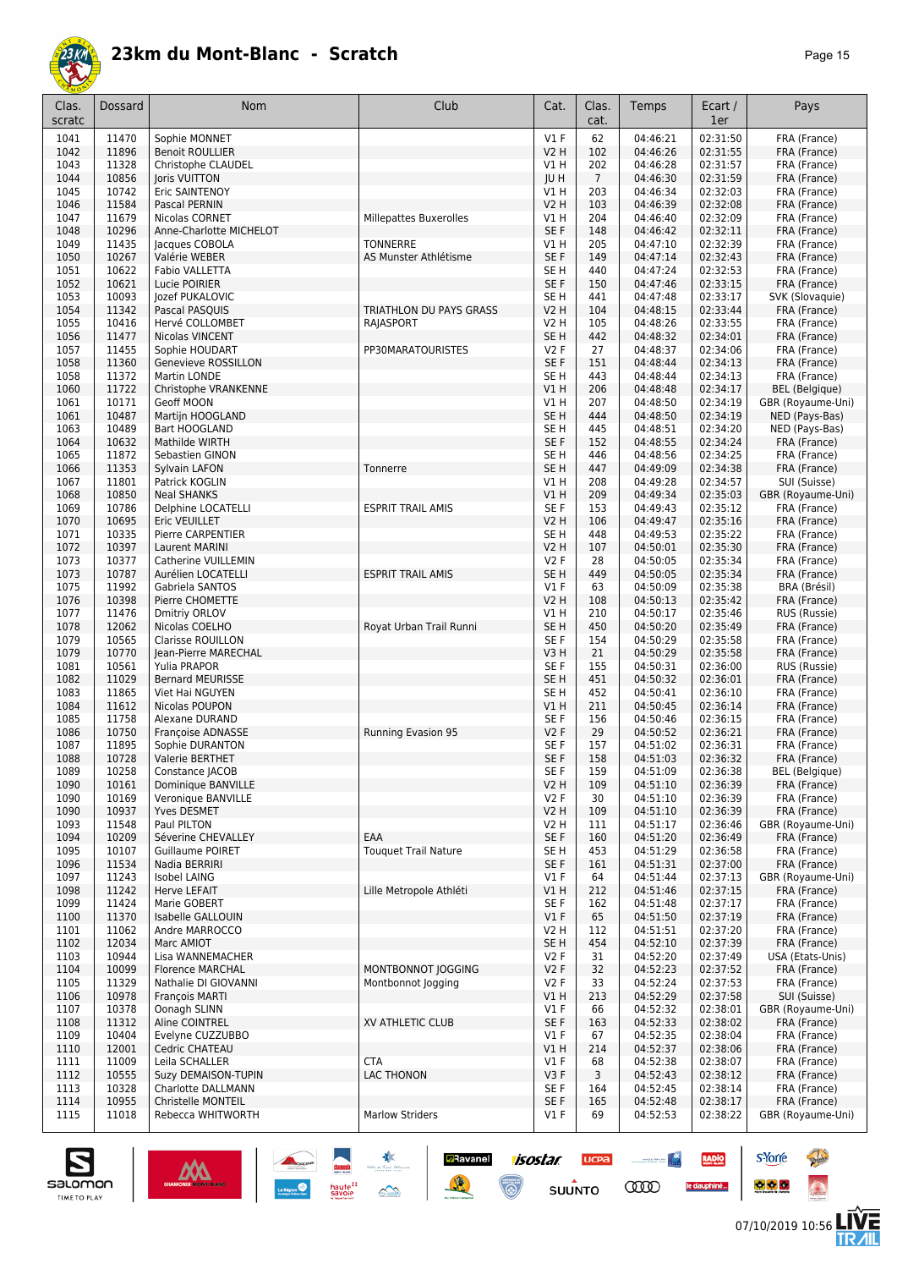

| Clas.<br>scratc | Dossard        | Nom                                             | Club                        | Cat.                                | Clas.<br>cat.   | Temps                | Ecart /<br>1er       | Pays                              |
|-----------------|----------------|-------------------------------------------------|-----------------------------|-------------------------------------|-----------------|----------------------|----------------------|-----------------------------------|
| 1041            | 11470          | Sophie MONNET                                   |                             | $VI$ F                              | 62              | 04:46:21             | 02:31:50             | FRA (France)                      |
| 1042            | 11896          | <b>Benoit ROULLIER</b>                          |                             | V <sub>2</sub> H                    | 102             | 04:46:26             | 02:31:55             | FRA (France)                      |
| 1043            | 11328          | Christophe CLAUDEL                              |                             | V1 H                                | 202             | 04:46:28             | 02:31:57             | FRA (France)                      |
| 1044            | 10856          | Joris VUITTON                                   |                             | JU H                                | $7\overline{ }$ | 04:46:30             | 02:31:59             | FRA (France)                      |
| 1045            | 10742<br>11584 | Eric SAINTENOY                                  |                             | V1 H                                | 203             | 04:46:34             | 02:32:03             | FRA (France)                      |
| 1046<br>1047    | 11679          | Pascal PERNIN<br>Nicolas CORNET                 |                             | V2 H                                | 103<br>204      | 04:46:39<br>04:46:40 | 02:32:08<br>02:32:09 | FRA (France)                      |
| 1048            | 10296          | Anne-Charlotte MICHELOT                         | Millepattes Buxerolles      | V1 H<br>SE F                        | 148             | 04:46:42             | 02:32:11             | FRA (France)<br>FRA (France)      |
| 1049            | 11435          | Jacques COBOLA                                  | <b>TONNERRE</b>             | V1 H                                | 205             | 04:47:10             | 02:32:39             | FRA (France)                      |
| 1050            | 10267          | Valérie WEBER                                   | AS Munster Athlétisme       | SE F                                | 149             | 04:47:14             | 02:32:43             | FRA (France)                      |
| 1051            | 10622          | <b>Fabio VALLETTA</b>                           |                             | SE <sub>H</sub>                     | 440             | 04:47:24             | 02:32:53             | FRA (France)                      |
| 1052            | 10621          | Lucie POIRIER                                   |                             | SE <sub>F</sub>                     | 150             | 04:47:46             | 02:33:15             | FRA (France)                      |
| 1053            | 10093          | lozef PUKALOVIC                                 |                             | SE <sub>H</sub>                     | 441             | 04:47:48             | 02:33:17             | SVK (Slovaquie)                   |
| 1054            | 11342          | Pascal PASQUIS                                  | TRIATHLON DU PAYS GRASS     | V2 H                                | 104             | 04:48:15             | 02:33:44             | FRA (France)                      |
| 1055            | 10416          | Hervé COLLOMBET                                 | RAJASPORT                   | V2 H                                | 105             | 04:48:26             | 02:33:55             | FRA (France)                      |
| 1056            | 11477          | Nicolas VINCENT                                 |                             | SE <sub>H</sub>                     | 442             | 04:48:32             | 02:34:01             | FRA (France)                      |
| 1057            | 11455          | Sophie HOUDART                                  | PP30MARATOURISTES           | <b>V2F</b>                          | 27              | 04:48:37             | 02:34:06             | FRA (France)                      |
| 1058<br>1058    | 11360<br>11372 | Genevieve ROSSILLON<br>Martin LONDE             |                             | SE F<br>SE <sub>H</sub>             | 151<br>443      | 04:48:44<br>04:48:44 | 02:34:13<br>02:34:13 | FRA (France)<br>FRA (France)      |
| 1060            | 11722          | Christophe VRANKENNE                            |                             | V1H                                 | 206             | 04:48:48             | 02:34:17             | <b>BEL</b> (Belgique)             |
| 1061            | 10171          | Geoff MOON                                      |                             | V1 H                                | 207             | 04:48:50             | 02:34:19             | GBR (Royaume-Uni)                 |
| 1061            | 10487          | Martijn HOOGLAND                                |                             | SE <sub>H</sub>                     | 444             | 04:48:50             | 02:34:19             | NED (Pays-Bas)                    |
| 1063            | 10489          | Bart HOOGLAND                                   |                             | SE <sub>H</sub>                     | 445             | 04:48:51             | 02:34:20             | NED (Pays-Bas)                    |
| 1064            | 10632          | Mathilde WIRTH                                  |                             | SE <sub>F</sub>                     | 152             | 04:48:55             | 02:34:24             | FRA (France)                      |
| 1065            | 11872          | Sebastien GINON                                 |                             | SE H                                | 446             | 04:48:56             | 02:34:25             | FRA (France)                      |
| 1066            | 11353          | Sylvain LAFON                                   | Tonnerre                    | SE <sub>H</sub>                     | 447             | 04:49:09             | 02:34:38             | FRA (France)                      |
| 1067            | 11801          | Patrick KOGLIN                                  |                             | V1 H                                | 208             | 04:49:28             | 02:34:57             | SUI (Suisse)                      |
| 1068            | 10850          | <b>Neal SHANKS</b>                              |                             | VIH                                 | 209             | 04:49:34             | 02:35:03             | GBR (Royaume-Uni)                 |
| 1069            | 10786          | Delphine LOCATELLI                              | <b>ESPRIT TRAIL AMIS</b>    | SE <sub>F</sub>                     | 153             | 04:49:43             | 02:35:12             | FRA (France)                      |
| 1070            | 10695          | Eric VEUILLET                                   |                             | <b>V2 H</b>                         | 106             | 04:49:47             | 02:35:16             | FRA (France)                      |
| 1071<br>1072    | 10335<br>10397 | Pierre CARPENTIER<br>Laurent MARINI             |                             | SE <sub>H</sub><br>V <sub>2</sub> H | 448<br>107      | 04:49:53<br>04:50:01 | 02:35:22<br>02:35:30 | FRA (France)<br>FRA (France)      |
| 1073            | 10377          | Catherine VUILLEMIN                             |                             | <b>V2F</b>                          | 28              | 04:50:05             | 02:35:34             | FRA (France)                      |
| 1073            | 10787          | Aurélien LOCATELLI                              | <b>ESPRIT TRAIL AMIS</b>    | SE <sub>H</sub>                     | 449             | 04:50:05             | 02:35:34             | FRA (France)                      |
| 1075            | 11992          | Gabriela SANTOS                                 |                             | $VI$ F                              | 63              | 04:50:09             | 02:35:38             | BRA (Brésil)                      |
| 1076            | 10398          | Pierre CHOMETTE                                 |                             | <b>V2 H</b>                         | 108             | 04:50:13             | 02:35:42             | FRA (France)                      |
| 1077            | 11476          | Dmitriy ORLOV                                   |                             | V1 H                                | 210             | 04:50:17             | 02:35:46             | RUS (Russie)                      |
| 1078            | 12062          | Nicolas COELHO                                  | Royat Urban Trail Runni     | SE <sub>H</sub>                     | 450             | 04:50:20             | 02:35:49             | FRA (France)                      |
| 1079            | 10565          | <b>Clarisse ROUILLON</b>                        |                             | SE <sub>F</sub>                     | 154             | 04:50:29             | 02:35:58             | FRA (France)                      |
| 1079            | 10770          | Jean-Pierre MARECHAL                            |                             | V3H                                 | 21              | 04:50:29             | 02:35:58             | FRA (France)                      |
| 1081            | 10561          | Yulia PRAPOR                                    |                             | SE <sub>F</sub>                     | 155             | 04:50:31             | 02:36:00             | RUS (Russie)                      |
| 1082<br>1083    | 11029<br>11865 | <b>Bernard MEURISSE</b><br>Viet Hai NGUYEN      |                             | SE <sub>H</sub><br>SE <sub>H</sub>  | 451<br>452      | 04:50:32<br>04:50:41 | 02:36:01<br>02:36:10 | FRA (France)<br>FRA (France)      |
| 1084            | 11612          | Nicolas POUPON                                  |                             | V1 H                                | 211             | 04:50:45             | 02:36:14             | FRA (France)                      |
| 1085            | 11758          | Alexane DURAND                                  |                             | SE F                                | 156             | 04:50:46             | 02:36:15             | FRA (France)                      |
| 1086            | 10750          | Françoise ADNASSE                               | Running Evasion 95          | <b>V2F</b>                          | 29              | 04:50:52             | 02:36:21             | FRA (France)                      |
| 1087            | 11895          | Sophie DURANTON                                 |                             | SE F                                | 157             | 04:51:02             | 02:36:31             | FRA (France)                      |
| 1088            | 10728          | Valerie BERTHET                                 |                             | SE F                                | 158             | 04:51:03             | 02:36:32             | FRA (France)                      |
| 1089            | 10258          | Constance JACOB                                 |                             | SE F                                | 159             | 04:51:09             | 02:36:38             | BEL (Belgique)                    |
| 1090            | 10161          | Dominique BANVILLE                              |                             | V2 H                                | 109             | 04:51:10             | 02:36:39             | FRA (France)                      |
| 1090            | 10169          | Veronique BANVILLE                              |                             | <b>V2F</b>                          | 30              | 04:51:10             | 02:36:39             | FRA (France)                      |
| 1090<br>1093    | 10937          | Yves DESMET                                     |                             | V2 H<br>V2 H                        | 109<br>111      | 04:51:10             | 02:36:39             | FRA (France)                      |
| 1094            | 11548<br>10209 | Paul PILTON<br>Séverine CHEVALLEY               | EAA                         | SE F                                | 160             | 04:51:17<br>04:51:20 | 02:36:46<br>02:36:49 | GBR (Royaume-Uni)<br>FRA (France) |
| 1095            | 10107          | <b>Guillaume POIRET</b>                         | <b>Touquet Trail Nature</b> | SE <sub>H</sub>                     | 453             | 04:51:29             | 02:36:58             | FRA (France)                      |
| 1096            | 11534          | Nadia BERRIRI                                   |                             | SE F                                | 161             | 04:51:31             | 02:37:00             | FRA (France)                      |
| 1097            | 11243          | Isobel LAING                                    |                             | $VI$ F                              | 64              | 04:51:44             | 02:37:13             | GBR (Royaume-Uni)                 |
| 1098            | 11242          | Herve LEFAIT                                    | Lille Metropole Athléti     | V1 H                                | 212             | 04:51:46             | 02:37:15             | FRA (France)                      |
| 1099            | 11424          | Marie GOBERT                                    |                             | SE <sub>F</sub>                     | 162             | 04:51:48             | 02:37:17             | FRA (France)                      |
| 1100            | 11370          | Isabelle GALLOUIN                               |                             | $VI$ F                              | 65              | 04:51:50             | 02:37:19             | FRA (France)                      |
| 1101            | 11062          | Andre MARROCCO                                  |                             | V2 H                                | 112             | 04:51:51             | 02:37:20             | FRA (France)                      |
| 1102            | 12034          | Marc AMIOT                                      |                             | SE H                                | 454             | 04:52:10             | 02:37:39             | FRA (France)                      |
| 1103            | 10944          | Lisa WANNEMACHER                                |                             | <b>V2F</b>                          | 31              | 04:52:20             | 02:37:49             | USA (Etats-Unis)                  |
| 1104            | 10099<br>11329 | <b>Florence MARCHAL</b><br>Nathalie DI GIOVANNI | MONTBONNOT JOGGING          | <b>V2F</b><br><b>V2F</b>            | 32<br>33        | 04:52:23             | 02:37:52<br>02:37:53 | FRA (France)                      |
| 1105<br>1106    | 10978          | François MARTI                                  | Montbonnot Jogging          | V1 H                                | 213             | 04:52:24<br>04:52:29 | 02:37:58             | FRA (France)<br>SUI (Suisse)      |
| 1107            | 10378          | Oonagh SLINN                                    |                             | $VI$ F                              | 66              | 04:52:32             | 02:38:01             | GBR (Royaume-Uni)                 |
| 1108            | 11312          | Aline COINTREL                                  | XV ATHLETIC CLUB            | SE F                                | 163             | 04:52:33             | 02:38:02             | FRA (France)                      |
| 1109            | 10404          | Evelyne CUZZUBBO                                |                             | <b>V1 F</b>                         | 67              | 04:52:35             | 02:38:04             | FRA (France)                      |
| 1110            | 12001          | Cedric CHATEAU                                  |                             | V1 H                                | 214             | 04:52:37             | 02:38:06             | FRA (France)                      |
| 1111            | 11009          | Leila SCHALLER                                  | <b>CTA</b>                  | <b>V1 F</b>                         | 68              | 04:52:38             | 02:38:07             | FRA (France)                      |
| 1112            | 10555          | Suzy DEMAISON-TUPIN                             | <b>LAC THONON</b>           | V3F                                 | 3               | 04:52:43             | 02:38:12             | FRA (France)                      |
| 1113            | 10328          | Charlotte DALLMANN                              |                             | SE F                                | 164             | 04:52:45             | 02:38:14             | FRA (France)                      |
| 1114            | 10955          | <b>Christelle MONTEIL</b>                       |                             | SE <sub>F</sub>                     | 165             | 04:52:48             | 02:38:17             | FRA (France)                      |
| 1115            | 11018          | Rebecca WHITWORTH                               | <b>Marlow Striders</b>      | $VI$ F                              | 69              | 04:52:53             | 02:38:22             | GBR (Royaume-Uni)                 |

**D**Ravanel

隆

**isostar** 

 $\overline{\mathbb{G}}$ 

**UCPA** 

 $su\overset{\bullet}{\mathsf{unro}}$ 

**Constitution** 

**COO** 

**RADIO** 

le dauphiné...



**s**Yorre

 $\bullet$   $\bullet$   $\bullet$ 

**There** 

 $\ddot{\Omega}$ 

V는<br>게니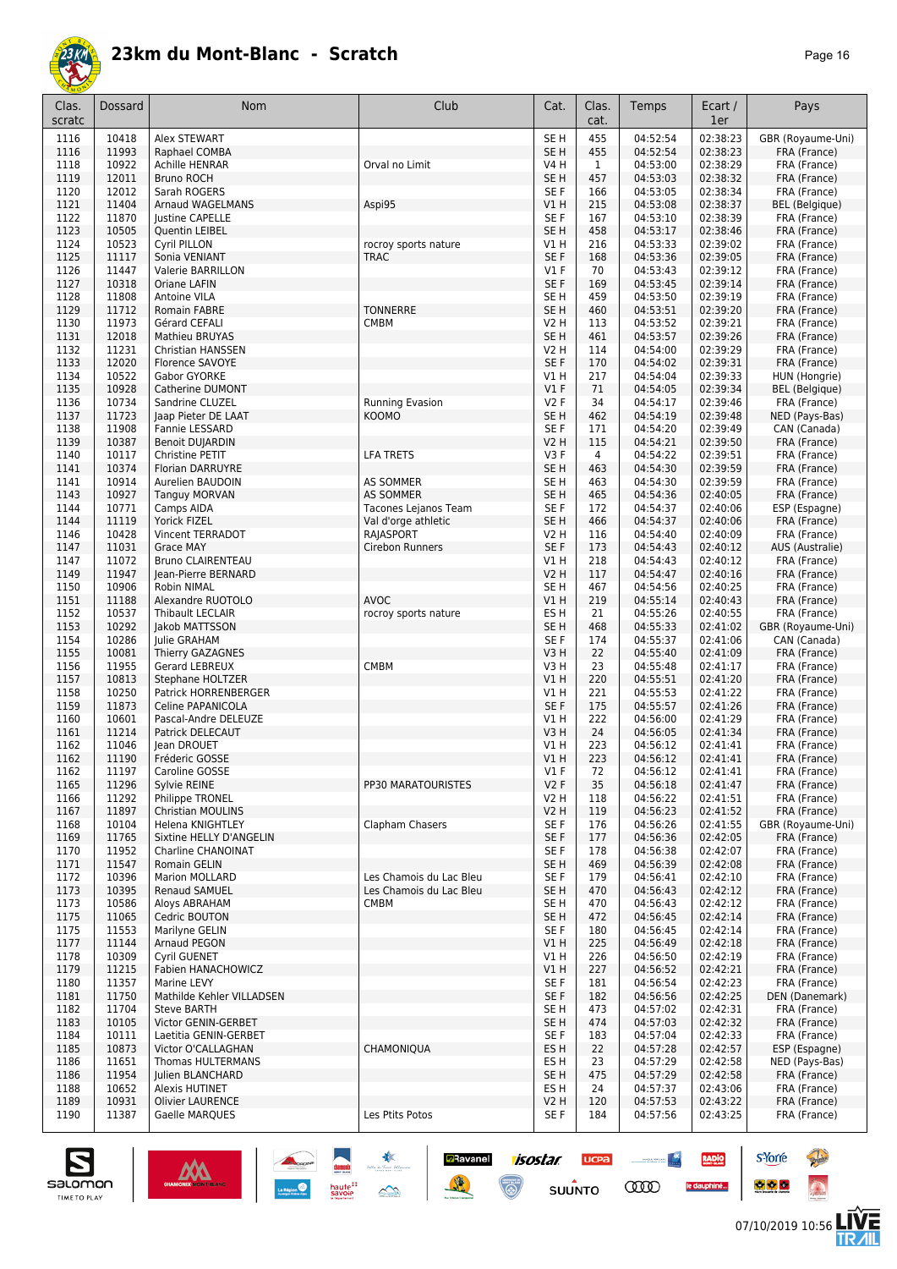

| Clas.        | Dossard        | Nom                                              | Club                           | Cat.                    | Clas.                 | Temps                | Ecart /              | Pays                          |
|--------------|----------------|--------------------------------------------------|--------------------------------|-------------------------|-----------------------|----------------------|----------------------|-------------------------------|
| scratc       |                |                                                  |                                |                         | cat.                  |                      | 1er                  |                               |
| 1116         | 10418          | Alex STEWART                                     |                                | SE <sub>H</sub>         | 455                   | 04:52:54             | 02:38:23             | GBR (Royaume-Uni)             |
| 1116         | 11993          | Raphael COMBA                                    |                                | SE <sub>H</sub>         | 455                   | 04:52:54             | 02:38:23             | FRA (France)                  |
| 1118         | 10922          | <b>Achille HENRAR</b><br><b>Bruno ROCH</b>       | Orval no Limit                 | V4 H                    | 1                     | 04:53:00             | 02:38:29             | FRA (France)                  |
| 1119<br>1120 | 12011<br>12012 | Sarah ROGERS                                     |                                | SE <sub>H</sub><br>SE F | 457<br>166            | 04:53:03<br>04:53:05 | 02:38:32<br>02:38:34 | FRA (France)<br>FRA (France)  |
| 1121         | 11404          | Arnaud WAGELMANS                                 | Aspi95                         | V1 H                    | 215                   | 04:53:08             | 02:38:37             | <b>BEL</b> (Belgique)         |
| 1122         | 11870          | <b>Justine CAPELLE</b>                           |                                | SE <sub>F</sub>         | 167                   | 04:53:10             | 02:38:39             | FRA (France)                  |
| 1123         | 10505          | Quentin LEIBEL                                   |                                | SE <sub>H</sub>         | 458                   | 04:53:17             | 02:38:46             | FRA (France)                  |
| 1124         | 10523          | Cyril PILLON                                     | rocroy sports nature           | V1 H                    | 216                   | 04:53:33             | 02:39:02             | FRA (France)                  |
| 1125         | 11117          | Sonia VENIANT                                    | <b>TRAC</b>                    | SE <sub>F</sub>         | 168                   | 04:53:36             | 02:39:05             | FRA (France)                  |
| 1126         | 11447          | Valerie BARRILLON                                |                                | $VI$ F                  | 70                    | 04:53:43             | 02:39:12             | FRA (France)                  |
| 1127         | 10318          | Oriane LAFIN                                     |                                | SE F                    | 169                   | 04:53:45             | 02:39:14             | FRA (France)                  |
| 1128         | 11808          | Antoine VILA                                     |                                | SE H                    | 459                   | 04:53:50             | 02:39:19             | FRA (France)                  |
| 1129<br>1130 | 11712<br>11973 | <b>Romain FABRE</b><br>Gérard CEFALI             | <b>TONNERRE</b><br><b>CMBM</b> | SE <sub>H</sub><br>V2 H | 460<br>113            | 04:53:51<br>04:53:52 | 02:39:20<br>02:39:21 | FRA (France)<br>FRA (France)  |
| 1131         | 12018          | <b>Mathieu BRUYAS</b>                            |                                | SE <sub>H</sub>         | 461                   | 04:53:57             | 02:39:26             | FRA (France)                  |
| 1132         | 11231          | Christian HANSSEN                                |                                | V2 H                    | 114                   | 04:54:00             | 02:39:29             | FRA (France)                  |
| 1133         | 12020          | Florence SAVOYE                                  |                                | SE F                    | 170                   | 04:54:02             | 02:39:31             | FRA (France)                  |
| 1134         | 10522          | Gabor GYORKE                                     |                                | V1 H                    | 217                   | 04:54:04             | 02:39:33             | HUN (Hongrie)                 |
| 1135         | 10928          | Catherine DUMONT                                 |                                | V1F                     | 71                    | 04:54:05             | 02:39:34             | BEL (Belgique)                |
| 1136         | 10734          | Sandrine CLUZEL                                  | Running Evasion                | <b>V2F</b>              | 34                    | 04:54:17             | 02:39:46             | FRA (France)                  |
| 1137         | 11723          | Jaap Pieter DE LAAT                              | <b>KOOMO</b>                   | SE <sub>H</sub>         | 462                   | 04:54:19             | 02:39:48             | NED (Pays-Bas)                |
| 1138         | 11908          | Fannie LESSARD                                   |                                | SE F                    | 171                   | 04:54:20             | 02:39:49             | CAN (Canada)                  |
| 1139<br>1140 | 10387<br>10117 | <b>Benoit DUJARDIN</b><br>Christine PETIT        | <b>LFA TRETS</b>               | V2 H<br>V3F             | 115<br>$\overline{4}$ | 04:54:21<br>04:54:22 | 02:39:50<br>02:39:51 | FRA (France)<br>FRA (France)  |
| 1141         | 10374          | <b>Florian DARRUYRE</b>                          |                                | SE <sub>H</sub>         | 463                   | 04:54:30             | 02:39:59             | FRA (France)                  |
| 1141         | 10914          | Aurelien BAUDOIN                                 | <b>AS SOMMER</b>               | SE H                    | 463                   | 04:54:30             | 02:39:59             | FRA (France)                  |
| 1143         | 10927          | <b>Tanguy MORVAN</b>                             | <b>AS SOMMER</b>               | SE <sub>H</sub>         | 465                   | 04:54:36             | 02:40:05             | FRA (France)                  |
| 1144         | 10771          | Camps AIDA                                       | Tacones Lejanos Team           | SE F                    | 172                   | 04:54:37             | 02:40:06             | ESP (Espagne)                 |
| 1144         | 11119          | Yorick FIZEL                                     | Val d'orge athletic            | SE <sub>H</sub>         | 466                   | 04:54:37             | 02:40:06             | FRA (France)                  |
| 1146         | 10428          | Vincent TERRADOT                                 | RAJASPORT                      | V2 H                    | 116                   | 04:54:40             | 02:40:09             | FRA (France)                  |
| 1147         | 11031          | <b>Grace MAY</b>                                 | Cirebon Runners                | SE F                    | 173                   | 04:54:43             | 02:40:12             | <b>AUS (Australie)</b>        |
| 1147<br>1149 | 11072<br>11947 | <b>Bruno CLAIRENTEAU</b><br>Jean-Pierre BERNARD  |                                | V1 H<br>V2 H            | 218<br>117            | 04:54:43<br>04:54:47 | 02:40:12<br>02:40:16 | FRA (France)                  |
| 1150         | 10906          | Robin NIMAL                                      |                                | SE <sub>H</sub>         | 467                   | 04:54:56             | 02:40:25             | FRA (France)<br>FRA (France)  |
| 1151         | 11188          | Alexandre RUOTOLO                                | <b>AVOC</b>                    | V1 H                    | 219                   | 04:55:14             | 02:40:43             | FRA (France)                  |
| 1152         | 10537          | Thibault LECLAIR                                 | rocroy sports nature           | ES H                    | 21                    | 04:55:26             | 02:40:55             | FRA (France)                  |
| 1153         | 10292          | Jakob MATTSSON                                   |                                | SE <sub>H</sub>         | 468                   | 04:55:33             | 02:41:02             | GBR (Royaume-Uni)             |
| 1154         | 10286          | Julie GRAHAM                                     |                                | SE <sub>F</sub>         | 174                   | 04:55:37             | 02:41:06             | CAN (Canada)                  |
| 1155         | 10081          | Thierry GAZAGNES                                 |                                | V3H                     | 22                    | 04:55:40             | 02:41:09             | FRA (France)                  |
| 1156         | 11955          | Gerard LEBREUX                                   | <b>CMBM</b>                    | V3H                     | 23                    | 04:55:48             | 02:41:17             | FRA (France)                  |
| 1157         | 10813          | Stephane HOLTZER                                 |                                | V1 H                    | 220                   | 04:55:51             | 02:41:20<br>02:41:22 | FRA (France)                  |
| 1158<br>1159 | 10250<br>11873 | <b>Patrick HORRENBERGER</b><br>Celine PAPANICOLA |                                | V1 H<br>SE F            | 221<br>175            | 04:55:53<br>04:55:57 | 02:41:26             | FRA (France)<br>FRA (France)  |
| 1160         | 10601          | Pascal-Andre DELEUZE                             |                                | V1 H                    | 222                   | 04:56:00             | 02:41:29             | FRA (France)                  |
| 1161         | 11214          | Patrick DELECAUT                                 |                                | V3H                     | 24                    | 04:56:05             | 02:41:34             | FRA (France)                  |
| 1162         | 11046          | Jean DROUET                                      |                                | V1 H                    | 223                   | 04:56:12             | 02:41:41             | FRA (France)                  |
| 1162         | 11190          | Fréderic GOSSE                                   |                                | V1 H                    | 223                   | 04:56:12             | 02:41:41             | FRA (France)                  |
| 1162         | 11197          | Caroline GOSSE                                   |                                | $VI$ F                  | 72                    | 04:56:12             | 02:41:41             | FRA (France)                  |
| 1165         | 11296          | Sylvie REINE                                     | PP30 MARATOURISTES             | V2F                     | 35                    | 04:56:18             | 02:41:47             | FRA (France)                  |
| 1166<br>1167 | 11292<br>11897 | Philippe TRONEL<br><b>Christian MOULINS</b>      |                                | V2 H<br>V2 H            | 118<br>119            | 04:56:22<br>04:56:23 | 02:41:51<br>02:41:52 | FRA (France)<br>FRA (France)  |
| 1168         | 10104          | Helena KNIGHTLEY                                 | Clapham Chasers                | SE F                    | 176                   | 04:56:26             | 02:41:55             | GBR (Royaume-Uni)             |
| 1169         | 11765          | Sixtine HELLY D'ANGELIN                          |                                | SE F                    | 177                   | 04:56:36             | 02:42:05             | FRA (France)                  |
| 1170         | 11952          | <b>Charline CHANOINAT</b>                        |                                | SE F                    | 178                   | 04:56:38             | 02:42:07             | FRA (France)                  |
| 1171         | 11547          | Romain GELIN                                     |                                | SE H                    | 469                   | 04:56:39             | 02:42:08             | FRA (France)                  |
| 1172         | 10396          | Marion MOLLARD                                   | Les Chamois du Lac Bleu        | SE F                    | 179                   | 04:56:41             | 02:42:10             | FRA (France)                  |
| 1173         | 10395          | Renaud SAMUEL                                    | Les Chamois du Lac Bleu        | SE H                    | 470                   | 04:56:43             | 02:42:12             | FRA (France)                  |
| 1173         | 10586          | Aloys ABRAHAM                                    | <b>CMBM</b>                    | SE H                    | 470                   | 04:56:43             | 02:42:12             | FRA (France)                  |
| 1175<br>1175 | 11065<br>11553 | Cedric BOUTON<br>Marilyne GELIN                  |                                | SE H<br>SE F            | 472<br>180            | 04:56:45<br>04:56:45 | 02:42:14<br>02:42:14 | FRA (France)<br>FRA (France)  |
| 1177         | 11144          | Arnaud PEGON                                     |                                | V1 H                    | 225                   | 04:56:49             | 02:42:18             | FRA (France)                  |
| 1178         | 10309          | Cyril GUENET                                     |                                | V1 H                    | 226                   | 04:56:50             | 02:42:19             | FRA (France)                  |
| 1179         | 11215          | Fabien HANACHOWICZ                               |                                | V1 H                    | 227                   | 04:56:52             | 02:42:21             | FRA (France)                  |
| 1180         | 11357          | Marine LEVY                                      |                                | SE F                    | 181                   | 04:56:54             | 02:42:23             | FRA (France)                  |
| 1181         | 11750          | Mathilde Kehler VILLADSEN                        |                                | SE F                    | 182                   | 04:56:56             | 02:42:25             | DEN (Danemark)                |
| 1182         | 11704          | <b>Steve BARTH</b>                               |                                | SE H                    | 473                   | 04:57:02             | 02:42:31             | FRA (France)                  |
| 1183         | 10105          | Victor GENIN-GERBET                              |                                | SE <sub>H</sub>         | 474                   | 04:57:03             | 02:42:32             | FRA (France)                  |
| 1184<br>1185 | 10111<br>10873 | Laetitia GENIN-GERBET<br>Victor O'CALLAGHAN      | CHAMONIQUA                     | SE F<br>ES H            | 183<br>22             | 04:57:04<br>04:57:28 | 02:42:33<br>02:42:57 | FRA (France)<br>ESP (Espagne) |
| 1186         | 11651          | Thomas HULTERMANS                                |                                | ES H                    | 23                    | 04:57:29             | 02:42:58             | NED (Pays-Bas)                |
| 1186         | 11954          | Julien BLANCHARD                                 |                                | SE H                    | 475                   | 04:57:29             | 02:42:58             | FRA (France)                  |
| 1188         | 10652          | Alexis HUTINET                                   |                                | ES H                    | 24                    | 04:57:37             | 02:43:06             | FRA (France)                  |
| 1189         | 10931          | <b>Olivier LAURENCE</b>                          |                                | V2 H                    | 120                   | 04:57:53             | 02:43:22             | FRA (France)                  |
| 1190         | 11387          | Gaelle MARQUES                                   | Les Ptits Potos                | SE F                    | 184                   | 04:57:56             | 02:43:25             | FRA (France)                  |

**Ravanel** 7505tar

 $\overline{\mathbb{C}}$ 

 $\mathbb{R}$ 

**UCPA** 

 $su\overset{\bullet}{\mathsf{unro}}$ 

 $\sim$ 

**CODO** 

RADIO

le dauphiné...



**s**Yorre

 $\bullet$   $\bullet$   $\bullet$ 

**Reine** 

 $\ddot{\Omega}$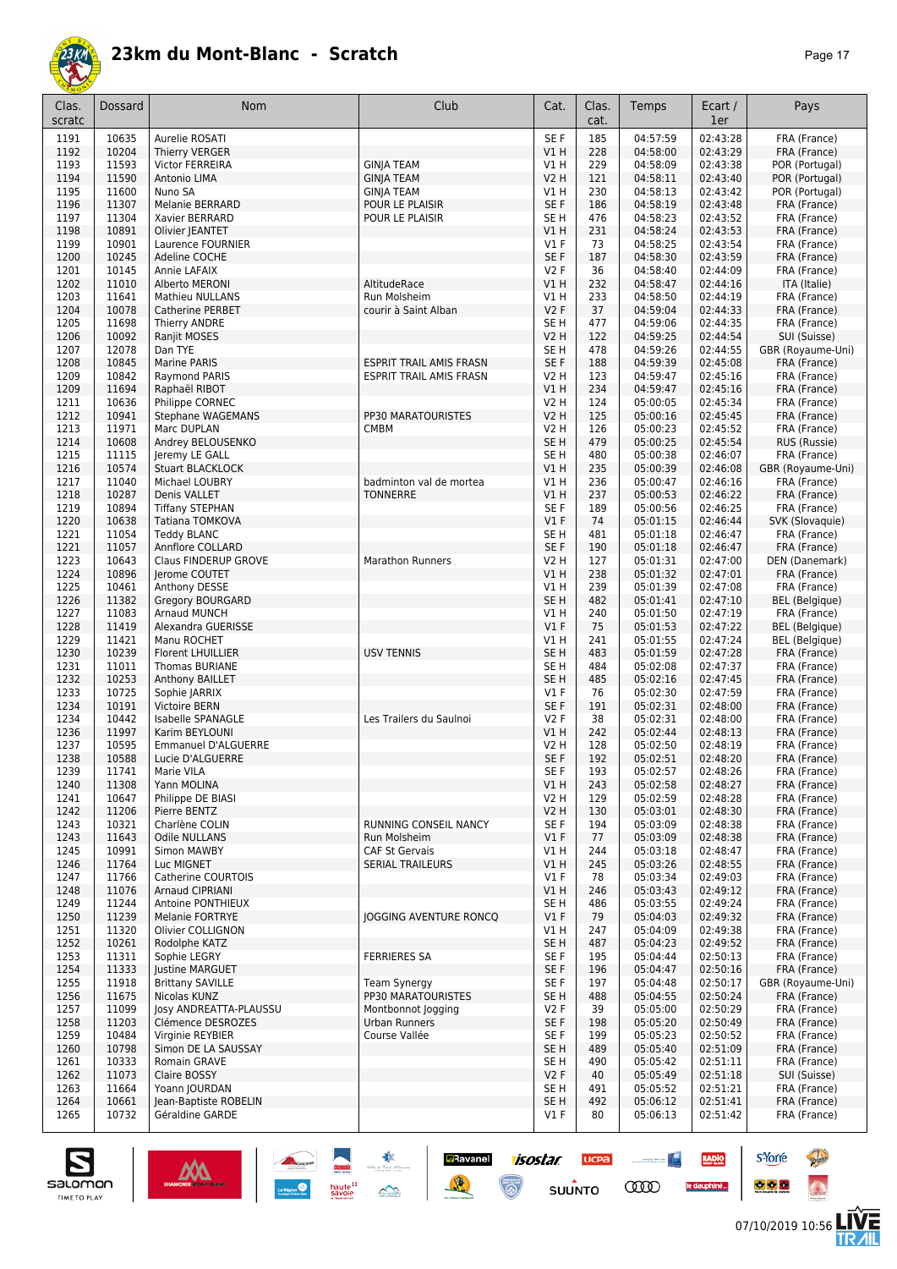

| r<br>æ |  |  |
|--------|--|--|
|--------|--|--|

| Clas.<br>scratc | Dossard        | Nom                                        | Club                                       | Cat.                      | Clas.<br>cat. | Temps                | Ecart /<br>1er       | Pays                                  |
|-----------------|----------------|--------------------------------------------|--------------------------------------------|---------------------------|---------------|----------------------|----------------------|---------------------------------------|
| 1191            | 10635          | Aurelie ROSATI                             |                                            | SE F                      | 185           | 04:57:59             | 02:43:28             | FRA (France)                          |
| 1192            | 10204          | Thierry VERGER                             |                                            | V1H                       | 228           | 04:58:00             | 02:43:29             | FRA (France)                          |
| 1193            | 11593          | <b>Victor FERREIRA</b>                     | <b>GINJA TEAM</b>                          | V1 H                      | 229           | 04:58:09             | 02:43:38             | POR (Portugal)                        |
| 1194<br>1195    | 11590<br>11600 | Antonio LIMA<br>Nuno SA                    | <b>GINJA TEAM</b><br><b>GINJA TEAM</b>     | <b>V2 H</b><br>V1 H       | 121<br>230    | 04:58:11<br>04:58:13 | 02:43:40<br>02:43:42 | POR (Portugal)<br>POR (Portugal)      |
| 1196            | 11307          | Melanie BERRARD                            | POUR LE PLAISIR                            | SE F                      | 186           | 04:58:19             | 02:43:48             | FRA (France)                          |
| 1197            | 11304          | Xavier BERRARD                             | POUR LE PLAISIR                            | SE <sub>H</sub>           | 476           | 04:58:23             | 02:43:52             | FRA (France)                          |
| 1198            | 10891          | Olivier JEANTET                            |                                            | V1H                       | 231           | 04:58:24             | 02:43:53             | FRA (France)                          |
| 1199            | 10901          | Laurence FOURNIER                          |                                            | $VI$ F                    | 73            | 04:58:25             | 02:43:54             | FRA (France)                          |
| 1200            | 10245          | Adeline COCHE                              |                                            | SE F                      | 187           | 04:58:30             | 02:43:59             | FRA (France)                          |
| 1201<br>1202    | 10145<br>11010 | Annie LAFAIX<br>Alberto MERONI             | AltitudeRace                               | <b>V2F</b><br>V1H         | 36<br>232     | 04:58:40<br>04:58:47 | 02:44:09<br>02:44:16 | FRA (France)<br>ITA (Italie)          |
| 1203            | 11641          | <b>Mathieu NULLANS</b>                     | Run Molsheim                               | V1H                       | 233           | 04:58:50             | 02:44:19             | FRA (France)                          |
| 1204            | 10078          | Catherine PERBET                           | courir à Saint Alban                       | V2F                       | 37            | 04:59:04             | 02:44:33             | FRA (France)                          |
| 1205            | 11698          | Thierry ANDRE                              |                                            | SE <sub>H</sub>           | 477           | 04:59:06             | 02:44:35             | FRA (France)                          |
| 1206            | 10092          | Ranjit MOSES                               |                                            | <b>V2 H</b>               | 122           | 04:59:25             | 02:44:54             | SUI (Suisse)                          |
| 1207            | 12078          | Dan TYE                                    |                                            | SE <sub>H</sub>           | 478           | 04:59:26             | 02:44:55             | GBR (Royaume-Uni)                     |
| 1208            | 10845          | Marine PARIS                               | <b>ESPRIT TRAIL AMIS FRASN</b>             | SE F                      | 188           | 04:59:39             | 02:45:08             | FRA (France)                          |
| 1209<br>1209    | 10842<br>11694 | Raymond PARIS<br>Raphaël RIBOT             | <b>ESPRIT TRAIL AMIS FRASN</b>             | <b>V2 H</b><br>V1H        | 123<br>234    | 04:59:47<br>04:59:47 | 02:45:16<br>02:45:16 | FRA (France)<br>FRA (France)          |
| 1211            | 10636          | Philippe CORNEC                            |                                            | <b>V2 H</b>               | 124           | 05:00:05             | 02:45:34             | FRA (France)                          |
| 1212            | 10941          | <b>Stephane WAGEMANS</b>                   | PP30 MARATOURISTES                         | <b>V2 H</b>               | 125           | 05:00:16             | 02:45:45             | FRA (France)                          |
| 1213            | 11971          | Marc DUPLAN                                | <b>CMBM</b>                                | <b>V2 H</b>               | 126           | 05:00:23             | 02:45:52             | FRA (France)                          |
| 1214            | 10608          | Andrey BELOUSENKO                          |                                            | SE <sub>H</sub>           | 479           | 05:00:25             | 02:45:54             | RUS (Russie)                          |
| 1215            | 11115          | Jeremy LE GALL                             |                                            | SE <sub>H</sub>           | 480           | 05:00:38             | 02:46:07             | FRA (France)                          |
| 1216            | 10574          | <b>Stuart BLACKLOCK</b>                    |                                            | V1H                       | 235<br>236    | 05:00:39<br>05:00:47 | 02:46:08             | GBR (Royaume-Uni)                     |
| 1217<br>1218    | 11040<br>10287 | Michael LOUBRY<br>Denis VALLET             | badminton val de mortea<br><b>TONNERRE</b> | <b>V1 H</b><br>V1H        | 237           | 05:00:53             | 02:46:16<br>02:46:22 | FRA (France)<br>FRA (France)          |
| 1219            | 10894          | <b>Tiffany STEPHAN</b>                     |                                            | SE F                      | 189           | 05:00:56             | 02:46:25             | FRA (France)                          |
| 1220            | 10638          | Tatiana TOMKOVA                            |                                            | $VI$ F                    | 74            | 05:01:15             | 02:46:44             | SVK (Slovaquie)                       |
| 1221            | 11054          | <b>Teddy BLANC</b>                         |                                            | SE <sub>H</sub>           | 481           | 05:01:18             | 02:46:47             | FRA (France)                          |
| 1221            | 11057          | Annflore COLLARD                           |                                            | SE F                      | 190           | 05:01:18             | 02:46:47             | FRA (France)                          |
| 1223            | 10643          | Claus FINDERUP GROVE                       | Marathon Runners                           | V2 H                      | 127           | 05:01:31             | 02:47:00             | DEN (Danemark)                        |
| 1224            | 10896          | Jerome COUTET                              |                                            | V1H                       | 238           | 05:01:32             | 02:47:01             | FRA (France)                          |
| 1225<br>1226    | 10461<br>11382 | Anthony DESSE<br>Gregory BOURGARD          |                                            | V1 H<br>SE <sub>H</sub>   | 239<br>482    | 05:01:39<br>05:01:41 | 02:47:08<br>02:47:10 | FRA (France)<br><b>BEL</b> (Belgique) |
| 1227            | 11083          | Arnaud MUNCH                               |                                            | V1H                       | 240           | 05:01:50             | 02:47:19             | FRA (France)                          |
| 1228            | 11419          | Alexandra GUERISSE                         |                                            | $VI$ F                    | 75            | 05:01:53             | 02:47:22             | <b>BEL</b> (Belgique)                 |
| 1229            | 11421          | Manu ROCHET                                |                                            | V1H                       | 241           | 05:01:55             | 02:47:24             | <b>BEL</b> (Belgique)                 |
| 1230            | 10239          | <b>Florent LHUILLIER</b>                   | <b>USV TENNIS</b>                          | SE <sub>H</sub>           | 483           | 05:01:59             | 02:47:28             | FRA (France)                          |
| 1231            | 11011          | Thomas BURIANE                             |                                            | SE <sub>H</sub>           | 484           | 05:02:08             | 02:47:37             | FRA (France)                          |
| 1232<br>1233    | 10253<br>10725 | Anthony BAILLET<br>Sophie JARRIX           |                                            | SE <sub>H</sub><br>$VI$ F | 485<br>76     | 05:02:16<br>05:02:30 | 02:47:45<br>02:47:59 | FRA (France)<br>FRA (France)          |
| 1234            | 10191          | Victoire BERN                              |                                            | SE F                      | 191           | 05:02:31             | 02:48:00             | FRA (France)                          |
| 1234            | 10442          | Isabelle SPANAGLE                          | Les Trailers du Saulnoi                    | V2F                       | 38            | 05:02:31             | 02:48:00             | FRA (France)                          |
| 1236            | 11997          | Karim BEYLOUNI                             |                                            | V1H                       | 242           | 05:02:44             | 02:48:13             | FRA (France)                          |
| 1237            | 10595          | <b>Emmanuel D'ALGUERRE</b>                 |                                            | <b>V2 H</b>               | 128           | 05:02:50             | 02:48:19             | FRA (France)                          |
| 1238            | 10588          | Lucie D'ALGUERRE                           |                                            | SE F                      | 192           | 05:02:51             | 02:48:20             | FRA (France)                          |
| 1239<br>1240    | 11741<br>11308 | Marie VILA                                 |                                            | SE F<br>V1 H              | 193           | 05:02:57<br>05:02:58 | 02:48:26<br>02:48:27 | FRA (France)<br>FRA (France)          |
| 1241            | 10647          | Yann MOLINA<br>Philippe DE BIASI           |                                            | V2 H                      | 243<br>129    | 05:02:59             | 02:48:28             | FRA (France)                          |
| 1242            | 11206          | Pierre BENTZ                               |                                            | <b>V2 H</b>               | 130           | 05:03:01             | 02:48:30             | FRA (France)                          |
| 1243            | 10321          | Charlène COLIN                             | RUNNING CONSEIL NANCY                      | SE F                      | 194           | 05:03:09             | 02:48:38             | FRA (France)                          |
| 1243            | 11643          | <b>Odile NULLANS</b>                       | Run Molsheim                               | $VI$ F                    | 77            | 05:03:09             | 02:48:38             | FRA (France)                          |
| 1245            | 10991          | Simon MAWBY                                | <b>CAF St Gervais</b>                      | V1 H                      | 244           | 05:03:18             | 02:48:47             | FRA (France)                          |
| 1246            | 11764          | Luc MIGNET<br><b>Catherine COURTOIS</b>    | <b>SERIAL TRAILEURS</b>                    | V1H                       | 245           | 05:03:26             | 02:48:55             | FRA (France)                          |
| 1247<br>1248    | 11766<br>11076 | <b>Arnaud CIPRIANI</b>                     |                                            | $VI$ F<br>VIH             | 78<br>246     | 05:03:34<br>05:03:43 | 02:49:03<br>02:49:12 | FRA (France)<br>FRA (France)          |
| 1249            | 11244          | Antoine PONTHIEUX                          |                                            | SE <sub>H</sub>           | 486           | 05:03:55             | 02:49:24             | FRA (France)                          |
| 1250            | 11239          | <b>Melanie FORTRYE</b>                     | <b>JOGGING AVENTURE RONCO</b>              | $VI$ F                    | 79            | 05:04:03             | 02:49:32             | FRA (France)                          |
| 1251            | 11320          | Olivier COLLIGNON                          |                                            | V1 H                      | 247           | 05:04:09             | 02:49:38             | FRA (France)                          |
| 1252            | 10261          | Rodolphe KATZ                              |                                            | SE <sub>H</sub>           | 487           | 05:04:23             | 02:49:52             | FRA (France)                          |
| 1253            | 11311          | Sophie LEGRY                               | <b>FERRIERES SA</b>                        | SE F                      | 195           | 05:04:44             | 02:50:13             | FRA (France)                          |
| 1254<br>1255    | 11333<br>11918 | Justine MARGUET<br><b>Brittany SAVILLE</b> | <b>Team Synergy</b>                        | SE F<br>SE F              | 196<br>197    | 05:04:47<br>05:04:48 | 02:50:16<br>02:50:17 | FRA (France)<br>GBR (Royaume-Uni)     |
| 1256            | 11675          | Nicolas KUNZ                               | PP30 MARATOURISTES                         | SE <sub>H</sub>           | 488           | 05:04:55             | 02:50:24             | FRA (France)                          |
| 1257            | 11099          | Josy ANDREATTA-PLAUSSU                     | Montbonnot Jogging                         | V2 F                      | 39            | 05:05:00             | 02:50:29             | FRA (France)                          |
| 1258            | 11203          | Clémence DESROZES                          | Urban Runners                              | SE F                      | 198           | 05:05:20             | 02:50:49             | FRA (France)                          |
| 1259            | 10484          | Virginie REYBIER                           | Course Vallée                              | SE F                      | 199           | 05:05:23             | 02:50:52             | FRA (France)                          |
| 1260            | 10798          | Simon DE LA SAUSSAY                        |                                            | SE <sub>H</sub>           | 489           | 05:05:40             | 02:51:09             | FRA (France)                          |
| 1261<br>1262    | 10333<br>11073 | Romain GRAVE<br>Claire BOSSY               |                                            | SE <sub>H</sub><br>V2F    | 490<br>40     | 05:05:42<br>05:05:49 | 02:51:11<br>02:51:18 | FRA (France)<br>SUI (Suisse)          |
| 1263            | 11664          | Yoann JOURDAN                              |                                            | SE <sub>H</sub>           | 491           | 05:05:52             | 02:51:21             | FRA (France)                          |
| 1264            | 10661          | Jean-Baptiste ROBELIN                      |                                            | SE <sub>H</sub>           | 492           | 05:06:12             | 02:51:41             | FRA (France)                          |
| 1265            | 10732          | Géraldine GARDE                            |                                            | $VI$ F                    | 80            | 05:06:13             | 02:51:42             | FRA (France)                          |
|                 |                |                                            |                                            |                           |               |                      |                      |                                       |

**Example 1505tar ucea and 1505tar ucea and 1505tar ucea and 1505tar ucea and 150 million comparation of the Comparation of the Comparation of the Comparation of the Comparation of the Comparation of the Comparation of the** 



**s**Yorre

 $\bullet$   $\bullet$   $\bullet$ 

RADIO

le dauphiné...

**PARTIES** 

 $\ddot{\Omega}$ 

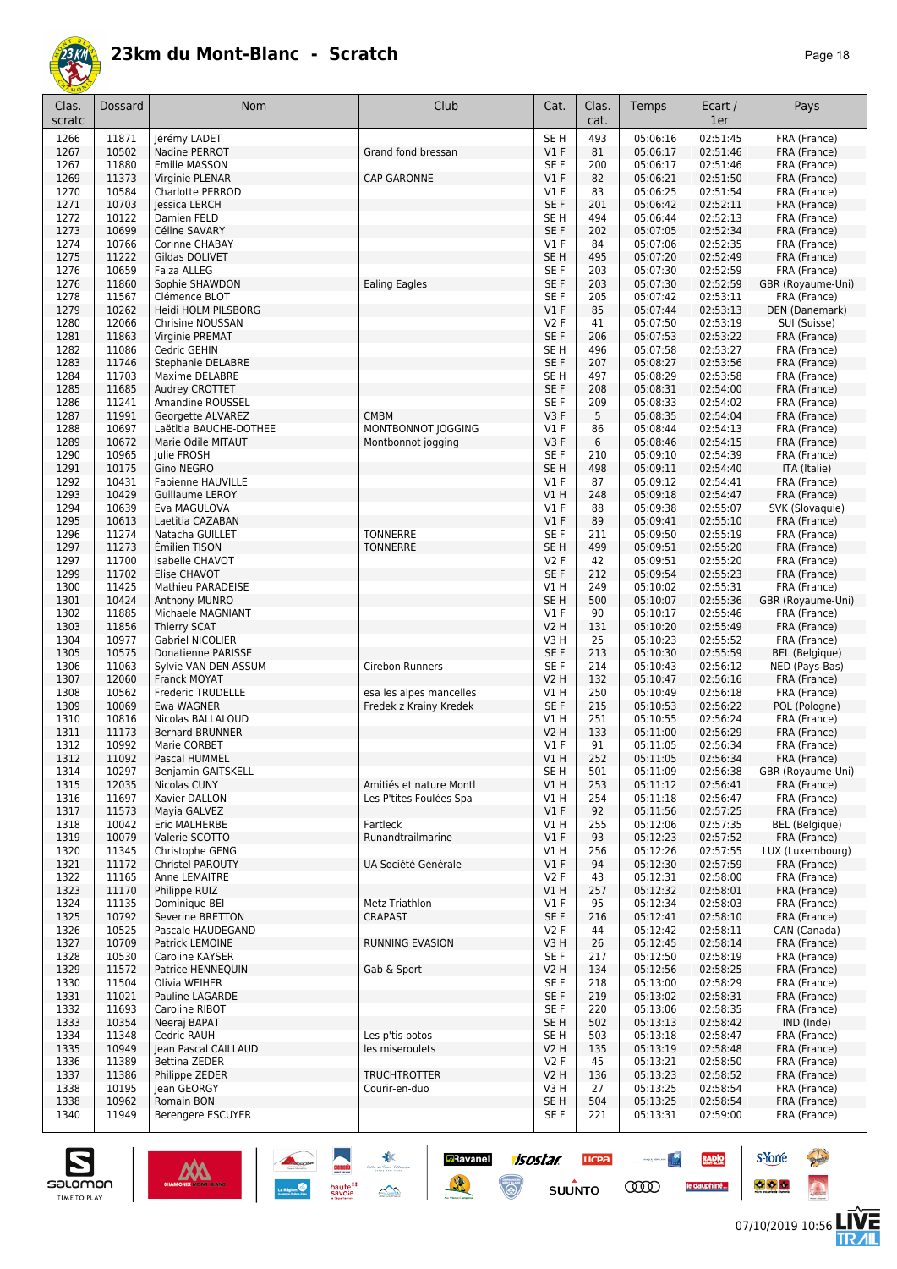

| Page | 18 |
|------|----|
|------|----|

| Clas.<br>scratc | Dossard        | Nom                                         | Club                          | Cat.                    | Clas.<br>cat. | Temps                | Ecart /<br>1er       | Pays                                  |
|-----------------|----------------|---------------------------------------------|-------------------------------|-------------------------|---------------|----------------------|----------------------|---------------------------------------|
| 1266            | 11871          | Jérémy LADET                                |                               | SE H                    | 493           | 05:06:16             | 02:51:45             | FRA (France)                          |
| 1267            | 10502          | Nadine PERROT                               | Grand fond bressan            | $VI$ F                  | 81            | 05:06:17             | 02:51:46             | FRA (France)                          |
| 1267            | 11880          | Emilie MASSON                               |                               | SE F                    | 200           | 05:06:17             | 02:51:46             | FRA (France)                          |
| 1269<br>1270    | 11373<br>10584 | Virginie PLENAR<br>Charlotte PERROD         | <b>CAP GARONNE</b>            | $VI$ F<br>$VI$ F        | 82<br>83      | 05:06:21<br>05:06:25 | 02:51:50<br>02:51:54 | FRA (France)<br>FRA (France)          |
| 1271            | 10703          | lessica LERCH                               |                               | SE <sub>F</sub>         | 201           | 05:06:42             | 02:52:11             | FRA (France)                          |
| 1272            | 10122          | Damien FELD                                 |                               | SE <sub>H</sub>         | 494           | 05:06:44             | 02:52:13             | FRA (France)                          |
| 1273            | 10699          | Céline SAVARY                               |                               | SE F                    | 202           | 05:07:05             | 02:52:34             | FRA (France)                          |
| 1274            | 10766          | Corinne CHABAY                              |                               | $VI$ F                  | 84            | 05:07:06             | 02:52:35             | FRA (France)                          |
| 1275            | 11222          | Gildas DOLIVET                              |                               | SE <sub>H</sub>         | 495           | 05:07:20             | 02:52:49             | FRA (France)                          |
| 1276<br>1276    | 10659<br>11860 | Faiza ALLEG<br>Sophie SHAWDON               | <b>Ealing Eagles</b>          | SE F<br>SE F            | 203<br>203    | 05:07:30<br>05:07:30 | 02:52:59<br>02:52:59 | FRA (France)<br>GBR (Royaume-Uni)     |
| 1278            | 11567          | Clémence BLOT                               |                               | SE <sub>F</sub>         | 205           | 05:07:42             | 02:53:11             | FRA (France)                          |
| 1279            | 10262          | Heidi HOLM PILSBORG                         |                               | $VI$ F                  | 85            | 05:07:44             | 02:53:13             | DEN (Danemark)                        |
| 1280            | 12066          | Chrisine NOUSSAN                            |                               | <b>V2F</b>              | 41            | 05:07:50             | 02:53:19             | SUI (Suisse)                          |
| 1281            | 11863          | Virginie PREMAT                             |                               | SE F                    | 206           | 05:07:53             | 02:53:22             | FRA (France)                          |
| 1282<br>1283    | 11086<br>11746 | Cedric GEHIN<br>Stephanie DELABRE           |                               | SE <sub>H</sub><br>SE F | 496<br>207    | 05:07:58<br>05:08:27 | 02:53:27<br>02:53:56 | FRA (France)<br>FRA (France)          |
| 1284            | 11703          | Maxime DELABRE                              |                               | SE <sub>H</sub>         | 497           | 05:08:29             | 02:53:58             | FRA (France)                          |
| 1285            | 11685          | Audrey CROTTET                              |                               | SE F                    | 208           | 05:08:31             | 02:54:00             | FRA (France)                          |
| 1286            | 11241          | Amandine ROUSSEL                            |                               | SE F                    | 209           | 05:08:33             | 02:54:02             | FRA (France)                          |
| 1287            | 11991          | Georgette ALVAREZ                           | <b>CMBM</b>                   | V3F                     | 5             | 05:08:35             | 02:54:04             | FRA (France)                          |
| 1288            | 10697          | Laëtitia BAUCHE-DOTHEE                      | MONTBONNOT JOGGING            | $VI$ F                  | 86            | 05:08:44             | 02:54:13             | FRA (France)                          |
| 1289            | 10672<br>10965 | Marie Odile MITAUT                          | Montbonnot jogging            | V3F<br>SE <sub>F</sub>  | 6<br>210      | 05:08:46             | 02:54:15<br>02:54:39 | FRA (France)                          |
| 1290<br>1291    | 10175          | Julie FROSH<br>Gino NEGRO                   |                               | SE <sub>H</sub>         | 498           | 05:09:10<br>05:09:11 | 02:54:40             | FRA (France)<br>ITA (Italie)          |
| 1292            | 10431          | <b>Fabienne HAUVILLE</b>                    |                               | $VI$ F                  | 87            | 05:09:12             | 02:54:41             | FRA (France)                          |
| 1293            | 10429          | Guillaume LEROY                             |                               | VIH                     | 248           | 05:09:18             | 02:54:47             | FRA (France)                          |
| 1294            | 10639          | Eva MAGULOVA                                |                               | $VI$ F                  | 88            | 05:09:38             | 02:55:07             | SVK (Slovaquie)                       |
| 1295            | 10613          | Laetitia CAZABAN                            |                               | $VI$ F                  | 89            | 05:09:41             | 02:55:10             | FRA (France)                          |
| 1296            | 11274          | Natacha GUILLET                             | <b>TONNERRE</b>               | SE <sub>F</sub>         | 211           | 05:09:50             | 02:55:19             | FRA (France)                          |
| 1297<br>1297    | 11273<br>11700 | Émilien TISON<br>Isabelle CHAVOT            | <b>TONNERRE</b>               | SE <sub>H</sub><br>V2F  | 499<br>42     | 05:09:51<br>05:09:51 | 02:55:20<br>02:55:20 | FRA (France)<br>FRA (France)          |
| 1299            | 11702          | Elise CHAVOT                                |                               | SE F                    | 212           | 05:09:54             | 02:55:23             | FRA (France)                          |
| 1300            | 11425          | Mathieu PARADEISE                           |                               | V1 H                    | 249           | 05:10:02             | 02:55:31             | FRA (France)                          |
| 1301            | 10424          | <b>Anthony MUNRO</b>                        |                               | SE <sub>H</sub>         | 500           | 05:10:07             | 02:55:36             | GBR (Royaume-Uni)                     |
| 1302            | 11885          | Michaele MAGNIANT                           |                               | $VI$ F                  | 90            | 05:10:17             | 02:55:46             | FRA (France)                          |
| 1303            | 11856          | Thierry SCAT                                |                               | <b>V2 H</b>             | 131           | 05:10:20             | 02:55:49             | FRA (France)                          |
| 1304<br>1305    | 10977<br>10575 | Gabriel NICOLIER<br>Donatienne PARISSE      |                               | V3H<br>SE <sub>F</sub>  | 25<br>213     | 05:10:23<br>05:10:30 | 02:55:52<br>02:55:59 | FRA (France)<br><b>BEL</b> (Belgique) |
| 1306            | 11063          | Sylvie VAN DEN ASSUM                        | Cirebon Runners               | SE F                    | 214           | 05:10:43             | 02:56:12             | NED (Pays-Bas)                        |
| 1307            | 12060          | Franck MOYAT                                |                               | <b>V2 H</b>             | 132           | 05:10:47             | 02:56:16             | FRA (France)                          |
| 1308            | 10562          | Frederic TRUDELLE                           | esa les alpes mancelles       | V1 H                    | 250           | 05:10:49             | 02:56:18             | FRA (France)                          |
| 1309            | 10069          | Ewa WAGNER                                  | Fredek z Krainy Kredek        | SE F                    | 215           | 05:10:53             | 02:56:22             | POL (Pologne)                         |
| 1310            | 10816          | Nicolas BALLALOUD<br><b>Bernard BRUNNER</b> |                               | V1 H                    | 251           | 05:10:55             | 02:56:24<br>02:56:29 | FRA (France)                          |
| 1311<br>1312    | 11173<br>10992 | Marie CORBET                                |                               | V2 H<br>$VI$ F          | 133<br>91     | 05:11:00<br>05:11:05 | 02:56:34             | FRA (France)<br>FRA (France)          |
| 1312            | 11092          | Pascal HUMMEL                               |                               | V1H                     | 252           | 05:11:05             | 02:56:34             | FRA (France)                          |
| 1314            | 10297          | Benjamin GAITSKELL                          |                               | SE H                    | 501           | 05:11:09             | 02:56:38             | GBR (Royaume-Uni)                     |
| 1315            | 12035          | Nicolas CUNY                                | Amitiés et nature Montl       | V1H                     | 253           | 05:11:12             | 02:56:41             | FRA (France)                          |
| 1316            | 11697          | Xavier DALLON                               | Les P'tites Foulées Spa       | V1 H                    | 254           | 05:11:18             | 02:56:47             | FRA (France)                          |
| 1317            | 11573          | Mayia GALVEZ                                |                               | $VI$ F                  | 92            | 05:11:56             | 02:57:25             | FRA (France)                          |
| 1318<br>1319    | 10042<br>10079 | Eric MALHERBE<br>Valerie SCOTTO             | Fartleck<br>Runandtrailmarine | V1H<br>$VI$ F           | 255<br>93     | 05:12:06<br>05:12:23 | 02:57:35<br>02:57:52 | <b>BEL</b> (Belgique)<br>FRA (France) |
| 1320            | 11345          | Christophe GENG                             |                               | V1 H                    | 256           | 05:12:26             | 02:57:55             | LUX (Luxembourg)                      |
| 1321            | 11172          | Christel PAROUTY                            | UA Société Générale           | $VI$ F                  | 94            | 05:12:30             | 02:57:59             | FRA (France)                          |
| 1322            | 11165          | Anne LEMAITRE                               |                               | V2F                     | 43            | 05:12:31             | 02:58:00             | FRA (France)                          |
| 1323            | 11170          | Philippe RUIZ                               |                               | V1 H                    | 257           | 05:12:32             | 02:58:01             | FRA (France)                          |
| 1324            | 11135          | Dominique BEI                               | <b>Metz Triathlon</b>         | $VI$ F                  | 95            | 05:12:34             | 02:58:03             | FRA (France)                          |
| 1325<br>1326    | 10792<br>10525 | Severine BRETTON<br>Pascale HAUDEGAND       | CRAPAST                       | SE F<br>V2F             | 216<br>44     | 05:12:41<br>05:12:42 | 02:58:10<br>02:58:11 | FRA (France)<br>CAN (Canada)          |
| 1327            | 10709          | Patrick LEMOINE                             | <b>RUNNING EVASION</b>        | V3 H                    | 26            | 05:12:45             | 02:58:14             | FRA (France)                          |
| 1328            | 10530          | Caroline KAYSER                             |                               | SE F                    | 217           | 05:12:50             | 02:58:19             | FRA (France)                          |
| 1329            | 11572          | Patrice HENNEQUIN                           | Gab & Sport                   | V2 H                    | 134           | 05:12:56             | 02:58:25             | FRA (France)                          |
| 1330            | 11504          | Olivia WEIHER                               |                               | SE F                    | 218           | 05:13:00             | 02:58:29             | FRA (France)                          |
| 1331            | 11021          | Pauline LAGARDE                             |                               | SE F                    | 219           | 05:13:02             | 02:58:31             | FRA (France)                          |
| 1332<br>1333    | 11693<br>10354 | Caroline RIBOT<br>Neeraj BAPAT              |                               | SE F<br>SE H            | 220<br>502    | 05:13:06<br>05:13:13 | 02:58:35<br>02:58:42 | FRA (France)<br>IND (Inde)            |
| 1334            | 11348          | Cedric RAUH                                 | Les p'tis potos               | SE H                    | 503           | 05:13:18             | 02:58:47             | FRA (France)                          |
| 1335            | 10949          | Jean Pascal CAILLAUD                        | les miseroulets               | V2 H                    | 135           | 05:13:19             | 02:58:48             | FRA (France)                          |
| 1336            | 11389          | Bettina ZEDER                               |                               | V2F                     | 45            | 05:13:21             | 02:58:50             | FRA (France)                          |
| 1337            | 11386          | Philippe ZEDER                              | <b>TRUCHTROTTER</b>           | V2 H                    | 136           | 05:13:23             | 02:58:52             | FRA (France)                          |
| 1338            | 10195          | Jean GEORGY                                 | Courir-en-duo                 | V3H                     | 27            | 05:13:25             | 02:58:54             | FRA (France)                          |
| 1338<br>1340    | 10962<br>11949 | Romain BON<br>Berengere ESCUYER             |                               | SE H<br>SE F            | 504<br>221    | 05:13:25<br>05:13:31 | 02:58:54<br>02:59:00 | FRA (France)<br>FRA (France)          |
|                 |                |                                             |                               |                         |               |                      |                      |                                       |

**Example 1505tar ucea and 1505tar ucea and 1505tar ucea and 1505tar ucea and 150 million comparation of the Comparation of the Comparation of the Comparation of the Comparation of the Comparation of the Comparation of the** 





**s**Yorre

 $\bullet$   $\bullet$   $\bullet$ 

RADIO

le dauphiné...

**PARTIES** 

 $\ddot{\Omega}$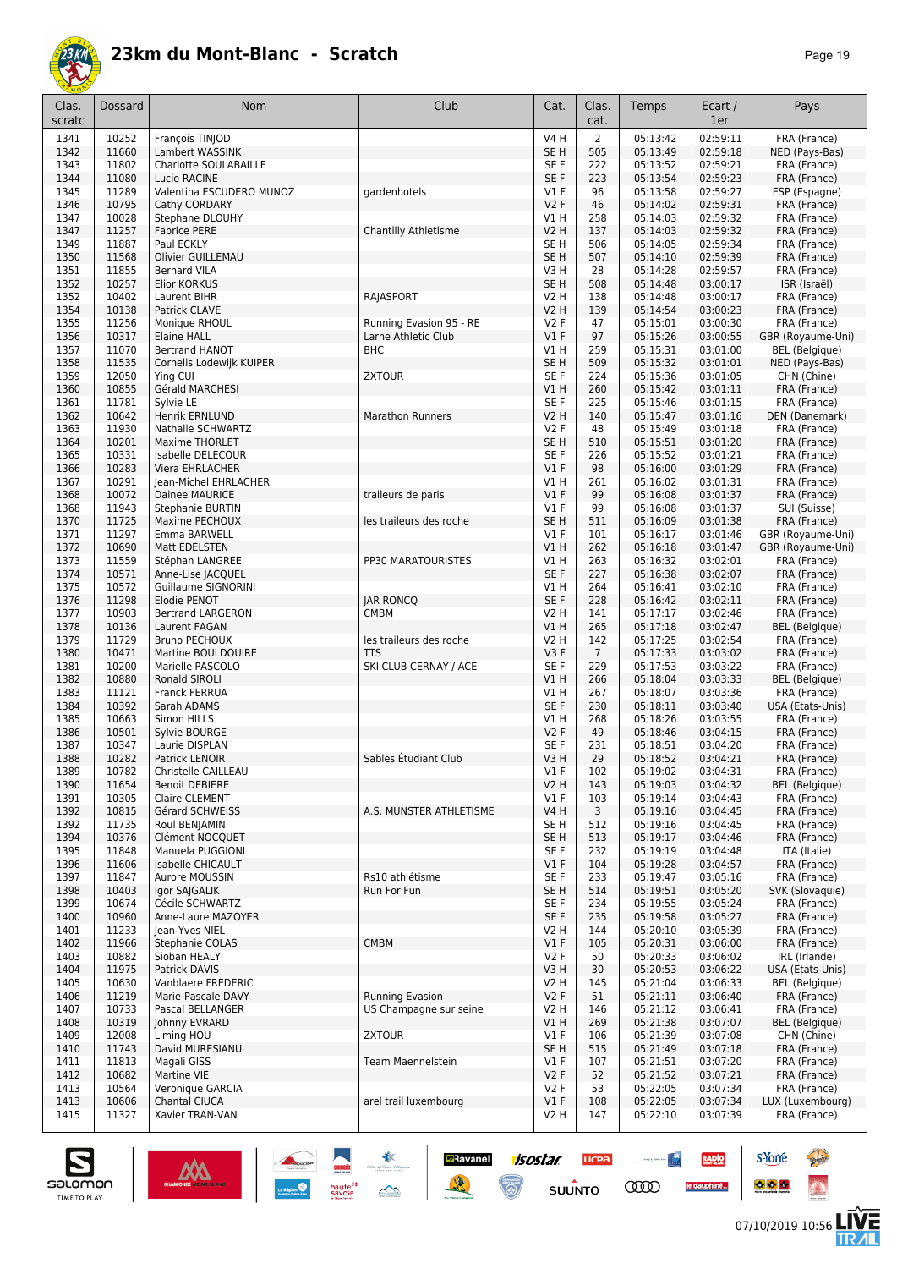

| Clas.<br>scratc | Dossard        | Nom                                     | Club                    | Cat.                      | Clas.<br>cat.  | Temps                | Ecart /<br>1er       | Pays                                  |
|-----------------|----------------|-----------------------------------------|-------------------------|---------------------------|----------------|----------------------|----------------------|---------------------------------------|
| 1341            | 10252          | François TINJOD                         |                         | <b>V4 H</b>               | $\overline{2}$ | 05:13:42             | 02:59:11             | FRA (France)                          |
| 1342            | 11660          | Lambert WASSINK                         |                         | SE <sub>H</sub>           | 505            | 05:13:49             | 02:59:18             | NED (Pays-Bas)                        |
| 1343            | 11802          | Charlotte SOULABAILLE                   |                         | SE F                      | 222            | 05:13:52             | 02:59:21             | FRA (France)                          |
| 1344            | 11080          | Lucie RACINE                            |                         | SE F                      | 223            | 05:13:54             | 02:59:23             | FRA (France)                          |
| 1345<br>1346    | 11289<br>10795 | Valentina ESCUDERO MUNOZ                | gardenhotels            | $VI$ F<br>V2F             | 96<br>46       | 05:13:58             | 02:59:27<br>02:59:31 | ESP (Espagne)                         |
| 1347            | 10028          | Cathy CORDARY<br>Stephane DLOUHY        |                         | V1 H                      | 258            | 05:14:02<br>05:14:03 | 02:59:32             | FRA (France)<br>FRA (France)          |
| 1347            | 11257          | <b>Fabrice PERE</b>                     | Chantilly Athletisme    | V2 H                      | 137            | 05:14:03             | 02:59:32             | FRA (France)                          |
| 1349            | 11887          | Paul ECKLY                              |                         | SE H                      | 506            | 05:14:05             | 02:59:34             | FRA (France)                          |
| 1350            | 11568          | Olivier GUILLEMAU                       |                         | SE <sub>H</sub>           | 507            | 05:14:10             | 02:59:39             | FRA (France)                          |
| 1351            | 11855          | <b>Bernard VILA</b>                     |                         | V3H                       | 28             | 05:14:28             | 02:59:57             | FRA (France)                          |
| 1352            | 10257          | Elior KORKUS                            |                         | SE <sub>H</sub>           | 508            | 05:14:48             | 03:00:17             | ISR (Israël)                          |
| 1352<br>1354    | 10402<br>10138 | Laurent BIHR<br>Patrick CLAVE           | RAJASPORT               | <b>V2 H</b><br>V2 H       | 138<br>139     | 05:14:48<br>05:14:54 | 03:00:17<br>03:00:23 | FRA (France)<br>FRA (France)          |
| 1355            | 11256          | Monique RHOUL                           | Running Evasion 95 - RE | V2F                       | 47             | 05:15:01             | 03:00:30             | FRA (France)                          |
| 1356            | 10317          | <b>Elaine HALL</b>                      | Larne Athletic Club     | $VI$ F                    | 97             | 05:15:26             | 03:00:55             | GBR (Royaume-Uni)                     |
| 1357            | 11070          | <b>Bertrand HANOT</b>                   | <b>BHC</b>              | V1 H                      | 259            | 05:15:31             | 03:01:00             | BEL (Belgique)                        |
| 1358            | 11535          | Cornelis Lodewijk KUIPER                |                         | SE <sub>H</sub>           | 509            | 05:15:32             | 03:01:01             | NED (Pays-Bas)                        |
| 1359            | 12050          | Ying CUI                                | <b>ZXTOUR</b>           | SE F                      | 224            | 05:15:36             | 03:01:05             | CHN (Chine)                           |
| 1360            | 10855          | Gérald MARCHESI                         |                         | V1 H                      | 260            | 05:15:42             | 03:01:11             | FRA (France)                          |
| 1361            | 11781          | Sylvie LE                               |                         | SE F                      | 225            | 05:15:46             | 03:01:15             | FRA (France)                          |
| 1362<br>1363    | 10642<br>11930 | Henrik ERNLUND<br>Nathalie SCHWARTZ     | <b>Marathon Runners</b> | <b>V2 H</b><br>V2F        | 140<br>48      | 05:15:47<br>05:15:49 | 03:01:16<br>03:01:18 | DEN (Danemark)<br>FRA (France)        |
| 1364            | 10201          | <b>Maxime THORLET</b>                   |                         | SE <sub>H</sub>           | 510            | 05:15:51             | 03:01:20             | FRA (France)                          |
| 1365            | 10331          | Isabelle DELECOUR                       |                         | SE F                      | 226            | 05:15:52             | 03:01:21             | FRA (France)                          |
| 1366            | 10283          | <b>Viera EHRLACHER</b>                  |                         | $VI$ F                    | 98             | 05:16:00             | 03:01:29             | FRA (France)                          |
| 1367            | 10291          | Jean-Michel EHRLACHER                   |                         | V1 H                      | 261            | 05:16:02             | 03:01:31             | FRA (France)                          |
| 1368            | 10072          | Dainee MAURICE                          | traileurs de paris      | $VI$ F                    | 99             | 05:16:08             | 03:01:37             | FRA (France)                          |
| 1368            | 11943          | Stephanie BURTIN                        |                         | $VI$ F                    | 99             | 05:16:08             | 03:01:37             | SUI (Suisse)                          |
| 1370            | 11725          | Maxime PECHOUX                          | les traileurs des roche | SE <sub>H</sub>           | 511            | 05:16:09             | 03:01:38             | FRA (France)                          |
| 1371            | 11297          | Emma BARWELL                            |                         | $VI$ F                    | 101            | 05:16:17             | 03:01:46             | GBR (Royaume-Uni)                     |
| 1372<br>1373    | 10690<br>11559 | Matt EDELSTEN<br>Stéphan LANGREE        | PP30 MARATOURISTES      | V1 H<br>V1 H              | 262<br>263     | 05:16:18<br>05:16:32 | 03:01:47<br>03:02:01 | GBR (Royaume-Uni)<br>FRA (France)     |
| 1374            | 10571          | Anne-Lise JACQUEL                       |                         | SE F                      | 227            | 05:16:38             | 03:02:07             | FRA (France)                          |
| 1375            | 10572          | Guillaume SIGNORINI                     |                         | V1 H                      | 264            | 05:16:41             | 03:02:10             | FRA (France)                          |
| 1376            | 11298          | Elodie PENOT                            | <b>JAR RONCO</b>        | SE F                      | 228            | 05:16:42             | 03:02:11             | FRA (France)                          |
| 1377            | 10903          | <b>Bertrand LARGERON</b>                | <b>CMBM</b>             | <b>V2 H</b>               | 141            | 05:17:17             | 03:02:46             | FRA (France)                          |
| 1378            | 10136          | Laurent FAGAN                           |                         | V1 H                      | 265            | 05:17:18             | 03:02:47             | <b>BEL</b> (Belgique)                 |
| 1379            | 11729          | <b>Bruno PECHOUX</b>                    | les traileurs des roche | V2 H                      | 142            | 05:17:25             | 03:02:54             | FRA (France)                          |
| 1380            | 10471          | Martine BOULDOUIRE                      | <b>TTS</b>              | V3F                       | $\overline{7}$ | 05:17:33             | 03:03:02             | FRA (France)                          |
| 1381            | 10200<br>10880 | Marielle PASCOLO<br>Ronald SIROLI       | SKI CLUB CERNAY / ACE   | SE F<br>VIH               | 229<br>266     | 05:17:53             | 03:03:22             | FRA (France)                          |
| 1382<br>1383    | 11121          | Franck FERRUA                           |                         | V1 H                      | 267            | 05:18:04<br>05:18:07 | 03:03:33<br>03:03:36 | <b>BEL</b> (Belgique)<br>FRA (France) |
| 1384            | 10392          | Sarah ADAMS                             |                         | SE F                      | 230            | 05:18:11             | 03:03:40             | USA (Etats-Unis)                      |
| 1385            | 10663          | Simon HILLS                             |                         | V1 H                      | 268            | 05:18:26             | 03:03:55             | FRA (France)                          |
| 1386            | 10501          | Sylvie BOURGE                           |                         | V2F                       | 49             | 05:18:46             | 03:04:15             | FRA (France)                          |
| 1387            | 10347          | Laurie DISPLAN                          |                         | SE F                      | 231            | 05:18:51             | 03:04:20             | FRA (France)                          |
| 1388            | 10282          | Patrick LENOIR                          | Sables Etudiant Club    | V3H                       | 29             | 05:18:52             | 03:04:21             | FRA (France)                          |
| 1389            | 10782          | Christelle CAILLEAU                     |                         | $VI$ F                    | 102            | 05:19:02             | 03:04:31             | FRA (France)                          |
| 1390<br>1391    | 11654<br>10305 | <b>Benoit DEBIERE</b><br>Claire CLEMENT |                         | <b>V2 H</b><br>$VI$ F     | 143<br>103     | 05:19:03<br>05:19:14 | 03:04:32<br>03:04:43 | <b>BEL</b> (Belgique)<br>FRA (France) |
| 1392            | 10815          | Gérard SCHWEISS                         | A.S. MUNSTER ATHLETISME | <b>V4 H</b>               | 3              | 05:19:16             | 03:04:45             | FRA (France)                          |
| 1392            | 11735          | Roul BENJAMIN                           |                         | SE H                      | 512            | 05:19:16             | 03:04:45             | FRA (France)                          |
| 1394            | 10376          | Clément NOCQUET                         |                         | SE <sub>H</sub>           | 513            | 05:19:17             | 03:04:46             | FRA (France)                          |
| 1395            | 11848          | Manuela PUGGIONI                        |                         | SE F                      | 232            | 05:19:19             | 03:04:48             | ITA (Italie)                          |
| 1396            | 11606          | Isabelle CHICAULT                       |                         | V1F                       | 104            | 05:19:28             | 03:04:57             | FRA (France)                          |
| 1397            | 11847          | Aurore MOUSSIN                          | Rs10 athlétisme         | SE F                      | 233            | 05:19:47             | 03:05:16             | FRA (France)                          |
| 1398            | 10403          | Igor SAJGALIK                           | Run For Fun             | SE <sub>H</sub>           | 514            | 05:19:51             | 03:05:20             | SVK (Slovaquie)<br>FRA (France)       |
| 1399<br>1400    | 10674<br>10960 | Cécile SCHWARTZ<br>Anne-Laure MAZOYER   |                         | SE F<br>SE F              | 234<br>235     | 05:19:55<br>05:19:58 | 03:05:24<br>03:05:27 | FRA (France)                          |
| 1401            | 11233          | Jean-Yves NIEL                          |                         | V2 H                      | 144            | 05:20:10             | 03:05:39             | FRA (France)                          |
| 1402            | 11966          | Stephanie COLAS                         | <b>CMBM</b>             | $VI$ F                    | 105            | 05:20:31             | 03:06:00             | FRA (France)                          |
| 1403            | 10882          | Sioban HEALY                            |                         | V2F                       | 50             | 05:20:33             | 03:06:02             | IRL (Irlande)                         |
| 1404            | 11975          | Patrick DAVIS                           |                         | V3H                       | 30             | 05:20:53             | 03:06:22             | USA (Etats-Unis)                      |
| 1405            | 10630          | Vanblaere FREDERIC                      |                         | V <sub>2</sub> H          | 145            | 05:21:04             | 03:06:33             | BEL (Belgique)                        |
| 1406            | 11219          | Marie-Pascale DAVY                      | <b>Running Evasion</b>  | V2F                       | 51             | 05:21:11             | 03:06:40             | FRA (France)                          |
| 1407            | 10733          | Pascal BELLANGER                        | US Champagne sur seine  | V2 H                      | 146            | 05:21:12             | 03:06:41             | FRA (France)                          |
| 1408<br>1409    | 10319          | Johnny EVRARD                           | <b>ZXTOUR</b>           | V1H                       | 269<br>106     | 05:21:38<br>05:21:39 | 03:07:07             | BEL (Belgique)                        |
| 1410            | 12008<br>11743 | Liming HOU<br>David MURESIANU           |                         | $VI$ F<br>SE <sub>H</sub> | 515            | 05:21:49             | 03:07:08<br>03:07:18 | CHN (Chine)<br>FRA (France)           |
| 1411            | 11813          | Magali GISS                             | Team Maennelstein       | $VI$ F                    | 107            | 05:21:51             | 03:07:20             | FRA (France)                          |
| 1412            | 10682          | Martine VIE                             |                         | V2F                       | 52             | 05:21:52             | 03:07:21             | FRA (France)                          |
| 1413            | 10564          | Veronique GARCIA                        |                         | V2F                       | 53             | 05:22:05             | 03:07:34             | FRA (France)                          |
| 1413            | 10606          | Chantal CIUCA                           | arel trail luxembourg   | $VI$ F                    | 108            | 05:22:05             | 03:07:34             | LUX (Luxembourg)                      |
| 1415            | 11327          | Xavier TRAN-VAN                         |                         | V2 H                      | 147            | 05:22:10             | 03:07:39             | FRA (France)                          |

**Ravanel** *isostar* 

 $\overline{\mathbb{C}}$ 

贤

**UCPA** 

 $su\overset{\bullet}{\mathsf{unro}}$ 

 $\sim$ 

**CODO** 

RADIO

le dauphiné...





**s**Yorre

 $\bullet$   $\bullet$   $\bullet$ 

**Reine** 

 $\ddot{\Omega}$ 

V는<br>게니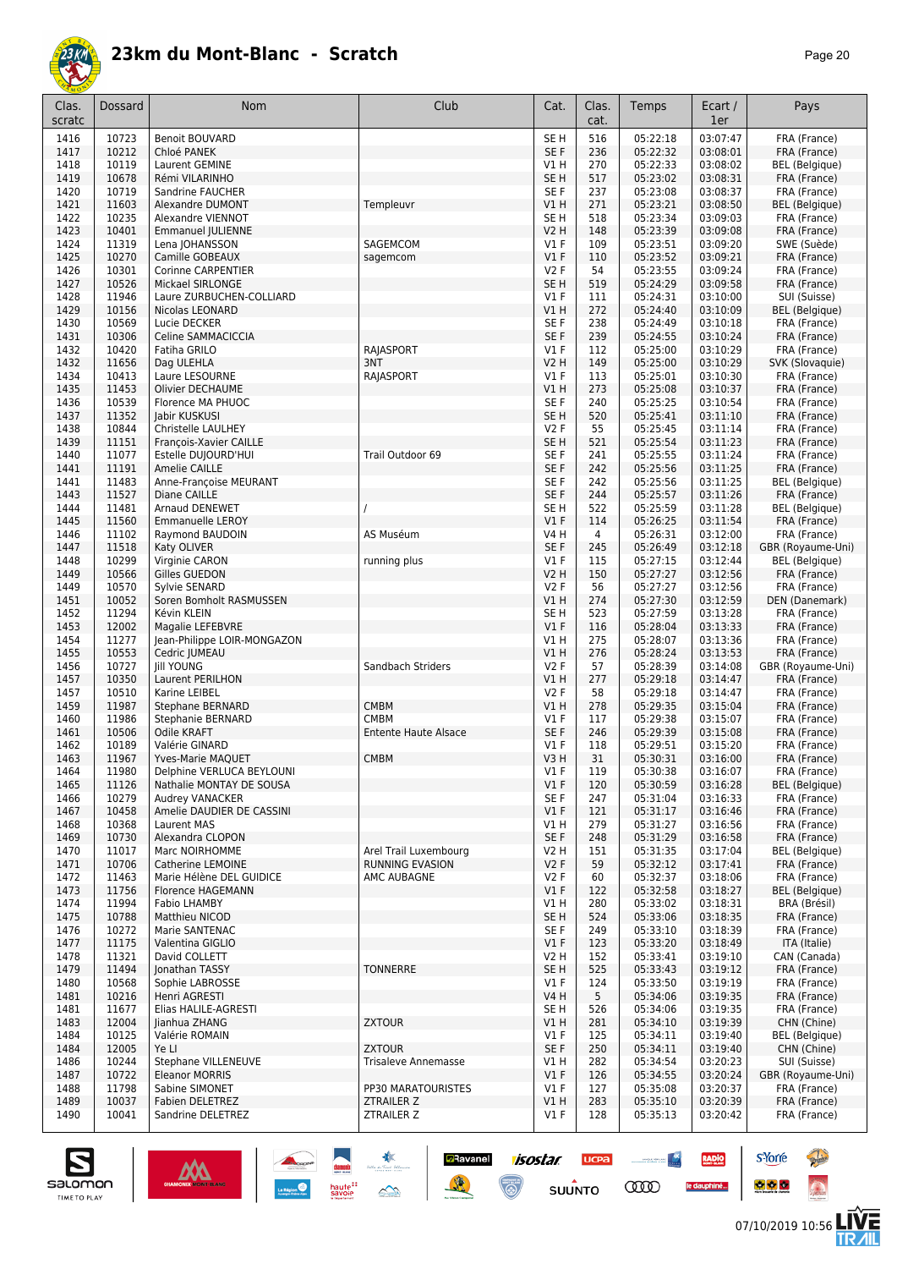

| Clas.<br>scratc | <b>Dossard</b> | Nom                                           | Club                                       | Cat.                      | Clas.<br>cat.  | Temps                | Ecart /<br>1er       | Pays                                       |
|-----------------|----------------|-----------------------------------------------|--------------------------------------------|---------------------------|----------------|----------------------|----------------------|--------------------------------------------|
| 1416            | 10723          | <b>Benoit BOUVARD</b>                         |                                            | SE H                      | 516            | 05:22:18             | 03:07:47             | FRA (France)                               |
| 1417            | 10212          | Chloé PANEK                                   |                                            | SE F                      | 236            | 05:22:32             | 03:08:01             | FRA (France)                               |
| 1418<br>1419    | 10119<br>10678 | Laurent GEMINE<br>Rémi VILARINHO              |                                            | V1 H<br>SE <sub>H</sub>   | 270<br>517     | 05:22:33<br>05:23:02 | 03:08:02<br>03:08:31 | BEL (Belgique)                             |
| 1420            | 10719          | Sandrine FAUCHER                              |                                            | SE <sub>F</sub>           | 237            | 05:23:08             | 03:08:37             | FRA (France)<br>FRA (France)               |
| 1421            | 11603          | <b>Alexandre DUMONT</b>                       | Templeuvr                                  | V1 H                      | 271            | 05:23:21             | 03:08:50             | <b>BEL</b> (Belgique)                      |
| 1422            | 10235          | Alexandre VIENNOT                             |                                            | SE H                      | 518            | 05:23:34             | 03:09:03             | FRA (France)                               |
| 1423            | 10401          | <b>Emmanuel JULIENNE</b>                      |                                            | V2 H                      | 148            | 05:23:39             | 03:09:08             | FRA (France)                               |
| 1424            | 11319          | Lena JOHANSSON                                | SAGEMCOM                                   | $VI$ F                    | 109            | 05:23:51             | 03:09:20             | SWE (Suède)                                |
| 1425<br>1426    | 10270<br>10301 | Camille GOBEAUX<br><b>Corinne CARPENTIER</b>  | sagemcom                                   | V1F<br><b>V2F</b>         | 110<br>54      | 05:23:52<br>05:23:55 | 03:09:21<br>03:09:24 | FRA (France)                               |
| 1427            | 10526          | Mickael SIRLONGE                              |                                            | SE <sub>H</sub>           | 519            | 05:24:29             | 03:09:58             | FRA (France)<br>FRA (France)               |
| 1428            | 11946          | Laure ZURBUCHEN-COLLIARD                      |                                            | $VI$ F                    | 111            | 05:24:31             | 03:10:00             | SUI (Suisse)                               |
| 1429            | 10156          | Nicolas LEONARD                               |                                            | <b>V1 H</b>               | 272            | 05:24:40             | 03:10:09             | BEL (Belgique)                             |
| 1430            | 10569          | Lucie DECKER                                  |                                            | SE <sub>F</sub>           | 238            | 05:24:49             | 03:10:18             | FRA (France)                               |
| 1431            | 10306          | Celine SAMMACICCIA                            |                                            | SE <sub>F</sub>           | 239            | 05:24:55             | 03:10:24             | FRA (France)                               |
| 1432<br>1432    | 10420<br>11656 | Fatiha GRILO<br>Dag ULEHLA                    | <b>RAJASPORT</b><br>3NT                    | $VI$ F<br>V2 H            | 112<br>149     | 05:25:00<br>05:25:00 | 03:10:29<br>03:10:29 | FRA (France)<br>SVK (Slovaquie)            |
| 1434            | 10413          | Laure LESOURNE                                | RAJASPORT                                  | $VI$ F                    | 113            | 05:25:01             | 03:10:30             | FRA (France)                               |
| 1435            | 11453          | Olivier DECHAUME                              |                                            | V1 H                      | 273            | 05:25:08             | 03:10:37             | FRA (France)                               |
| 1436            | 10539          | Florence MA PHUOC                             |                                            | SE <sub>F</sub>           | 240            | 05:25:25             | 03:10:54             | FRA (France)                               |
| 1437            | 11352          | Jabir KUSKUSI                                 |                                            | SE <sub>H</sub>           | 520            | 05:25:41             | 03:11:10             | FRA (France)                               |
| 1438            | 10844          | Christelle LAULHEY                            |                                            | <b>V2F</b>                | 55             | 05:25:45             | 03:11:14             | FRA (France)                               |
| 1439<br>1440    | 11151<br>11077 | François-Xavier CAILLE<br>Estelle DUJOURD'HUI | Trail Outdoor 69                           | SE <sub>H</sub><br>SE F   | 521<br>241     | 05:25:54<br>05:25:55 | 03:11:23<br>03:11:24 | FRA (France)<br>FRA (France)               |
| 1441            | 11191          | Amelie CAILLE                                 |                                            | SE F                      | 242            | 05:25:56             | 03:11:25             | FRA (France)                               |
| 1441            | 11483          | Anne-Françoise MEURANT                        |                                            | SE F                      | 242            | 05:25:56             | 03:11:25             | BEL (Belgique)                             |
| 1443            | 11527          | Diane CAILLE                                  |                                            | SE <sub>F</sub>           | 244            | 05:25:57             | 03:11:26             | FRA (France)                               |
| 1444            | 11481          | Arnaud DENEWET                                |                                            | SE <sub>H</sub>           | 522            | 05:25:59             | 03:11:28             | <b>BEL</b> (Belgique)                      |
| 1445            | 11560          | <b>Emmanuelle LEROY</b>                       |                                            | V1F                       | 114            | 05:26:25             | 03:11:54             | FRA (France)                               |
| 1446            | 11102<br>11518 | Raymond BAUDOIN                               | AS Muséum                                  | V4 H<br>SE <sub>F</sub>   | $\overline{4}$ | 05:26:31<br>05:26:49 | 03:12:00<br>03:12:18 | FRA (France)                               |
| 1447<br>1448    | 10299          | Katy OLIVER<br>Virginie CARON                 | running plus                               | $VI$ F                    | 245<br>115     | 05:27:15             | 03:12:44             | GBR (Royaume-Uni)<br><b>BEL</b> (Belgique) |
| 1449            | 10566          | Gilles GUEDON                                 |                                            | V2 H                      | 150            | 05:27:27             | 03:12:56             | FRA (France)                               |
| 1449            | 10570          | Sylvie SENARD                                 |                                            | <b>V2F</b>                | 56             | 05:27:27             | 03:12:56             | FRA (France)                               |
| 1451            | 10052          | Soren Bomholt RASMUSSEN                       |                                            | <b>V1 H</b>               | 274            | 05:27:30             | 03:12:59             | DEN (Danemark)                             |
| 1452            | 11294          | Kévin KLEIN                                   |                                            | SE H                      | 523            | 05:27:59             | 03:13:28             | FRA (France)                               |
| 1453            | 12002          | Magalie LEFEBVRE                              |                                            | $VI$ F                    | 116            | 05:28:04             | 03:13:33             | FRA (France)                               |
| 1454<br>1455    | 11277<br>10553 | Jean-Philippe LOIR-MONGAZON<br>Cedric JUMEAU  |                                            | V1H<br>V1H                | 275<br>276     | 05:28:07<br>05:28:24 | 03:13:36<br>03:13:53 | FRA (France)<br>FRA (France)               |
| 1456            | 10727          | <b>Jill YOUNG</b>                             | Sandbach Striders                          | <b>V2F</b>                | 57             | 05:28:39             | 03:14:08             | GBR (Royaume-Uni)                          |
| 1457            | 10350          | Laurent PERILHON                              |                                            | V1H                       | 277            | 05:29:18             | 03:14:47             | FRA (France)                               |
| 1457            | 10510          | Karine LEIBEL                                 |                                            | <b>V2F</b>                | 58             | 05:29:18             | 03:14:47             | FRA (France)                               |
| 1459            | 11987          | <b>Stephane BERNARD</b>                       | <b>CMBM</b>                                | V1H                       | 278            | 05:29:35             | 03:15:04             | FRA (France)                               |
| 1460<br>1461    | 11986<br>10506 | <b>Stephanie BERNARD</b><br>Odile KRAFT       | <b>CMBM</b><br><b>Entente Haute Alsace</b> | $VI$ F<br>SE <sub>F</sub> | 117<br>246     | 05:29:38<br>05:29:39 | 03:15:07<br>03:15:08 | FRA (France)<br>FRA (France)               |
| 1462            | 10189          | Valérie GINARD                                |                                            | $VI$ F                    | 118            | 05:29:51             | 03:15:20             | FRA (France)                               |
| 1463            | 11967          | Yves-Marie MAQUET                             | <b>CMBM</b>                                | V3H                       | 31             | 05:30:31             | 03:16:00             | FRA (France)                               |
| 1464            | 11980          | Delphine VERLUCA BEYLOUNI                     |                                            | V1 F                      | 119            | 05:30:38             | 03:16:07             | FRA (France)                               |
| 1465            | 11126          | Nathalie MONTAY DE SOUSA                      |                                            | $VI$ F                    | 120            | 05:30:59             | 03:16:28             | <b>BEL</b> (Belgique)                      |
| 1466            | 10279          | Audrey VANACKER                               |                                            | SE F                      | 247            | 05:31:04             | 03:16:33             | FRA (France)                               |
| 1467<br>1468    | 10458<br>10368 | Amelie DAUDIER DE CASSINI<br>Laurent MAS      |                                            | $VI$ F<br>V1 H            | 121<br>279     | 05:31:17<br>05:31:27 | 03:16:46<br>03:16:56 | FRA (France)<br>FRA (France)               |
| 1469            | 10730          | Alexandra CLOPON                              |                                            | SE F                      | 248            | 05:31:29             | 03:16:58             | FRA (France)                               |
| 1470            | 11017          | Marc NOIRHOMME                                | Arel Trail Luxembourg                      | V2 H                      | 151            | 05:31:35             | 03:17:04             | BEL (Belgique)                             |
| 1471            | 10706          | Catherine LEMOINE                             | <b>RUNNING EVASION</b>                     | V2F                       | 59             | 05:32:12             | 03:17:41             | FRA (France)                               |
| 1472            | 11463          | Marie Hélène DEL GUIDICE                      | AMC AUBAGNE                                | V2F                       | 60             | 05:32:37             | 03:18:06             | FRA (France)                               |
| 1473            | 11756          | <b>Florence HAGEMANN</b>                      |                                            | $VI$ F                    | 122            | 05:32:58             | 03:18:27             | <b>BEL</b> (Belgique)                      |
| 1474<br>1475    | 11994<br>10788 | Fabio LHAMBY<br>Matthieu NICOD                |                                            | V1 H<br>SE H              | 280<br>524     | 05:33:02<br>05:33:06 | 03:18:31<br>03:18:35 | BRA (Brésil)<br>FRA (France)               |
| 1476            | 10272          | Marie SANTENAC                                |                                            | SE F                      | 249            | 05:33:10             | 03:18:39             | FRA (France)                               |
| 1477            | 11175          | Valentina GIGLIO                              |                                            | $VI$ F                    | 123            | 05:33:20             | 03:18:49             | ITA (Italie)                               |
| 1478            | 11321          | David COLLETT                                 |                                            | V2 H                      | 152            | 05:33:41             | 03:19:10             | CAN (Canada)                               |
| 1479            | 11494          | Jonathan TASSY                                | <b>TONNERRE</b>                            | SE H                      | 525            | 05:33:43             | 03:19:12             | FRA (France)                               |
| 1480            | 10568          | Sophie LABROSSE<br>Henri AGRESTI              |                                            | $VI$ F<br>V4 H            | 124<br>5       | 05:33:50             | 03:19:19<br>03:19:35 | FRA (France)                               |
| 1481<br>1481    | 10216<br>11677 | Elias HALILE-AGRESTI                          |                                            | SE H                      | 526            | 05:34:06<br>05:34:06 | 03:19:35             | FRA (France)<br>FRA (France)               |
| 1483            | 12004          | Jianhua ZHANG                                 | <b>ZXTOUR</b>                              | V1 H                      | 281            | 05:34:10             | 03:19:39             | CHN (Chine)                                |
| 1484            | 10125          | Valérie ROMAIN                                |                                            | $VI$ F                    | 125            | 05:34:11             | 03:19:40             | BEL (Belgique)                             |
| 1484            | 12005          | Ye Ll                                         | <b>ZXTOUR</b>                              | SE F                      | 250            | 05:34:11             | 03:19:40             | CHN (Chine)                                |
| 1486            | 10244          | Stephane VILLENEUVE                           | <b>Trisaleve Annemasse</b>                 | V1 H                      | 282            | 05:34:54             | 03:20:23             | SUI (Suisse)                               |
| 1487<br>1488    | 10722<br>11798 | <b>Eleanor MORRIS</b><br>Sabine SIMONET       | PP30 MARATOURISTES                         | $VI$ F<br>$VI$ F          | 126<br>127     | 05:34:55<br>05:35:08 | 03:20:24<br>03:20:37 | GBR (Royaume-Uni)<br>FRA (France)          |
| 1489            | 10037          | <b>Fabien DELETREZ</b>                        | ZTRAILER Z                                 | V1 H                      | 283            | 05:35:10             | 03:20:39             | FRA (France)                               |
| 1490            | 10041          | Sandrine DELETREZ                             | ZTRAILER Z                                 | V1 F                      | 128            | 05:35:13             | 03:20:42             | FRA (France)                               |
|                 |                |                                               |                                            |                           |                |                      |                      |                                            |

**D**Ravanel

隆

**isostar** 

 $\overline{\mathbb{C}}$ 

**UCPA** 

 $su\overset{\bullet}{\mathsf{unro}}$ 

**Constitution** 

**COO** 

**RADIO** 

le dauphiné...



**s**Yorre

 $\bullet$   $\bullet$   $\bullet$ 

**There** 

 $\ddot{\Omega}$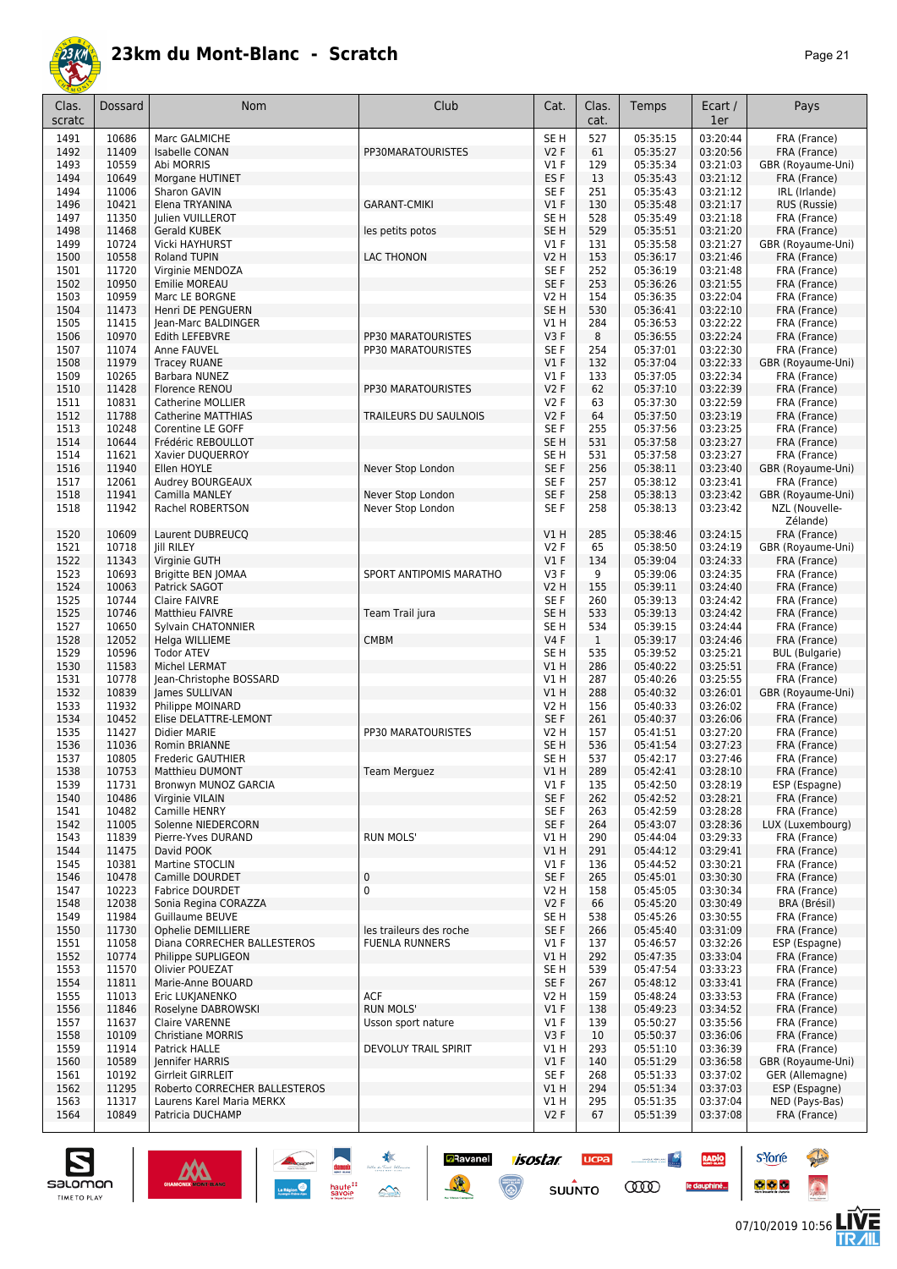

| Clas.<br>scratc | Dossard        | Nom                                            | Club                    | Cat.                               | Clas.<br>cat. | Temps                | Ecart /<br>1er       | Pays                              |
|-----------------|----------------|------------------------------------------------|-------------------------|------------------------------------|---------------|----------------------|----------------------|-----------------------------------|
| 1491            | 10686          | Marc GALMICHE                                  |                         | SE <sub>H</sub>                    | 527           | 05:35:15             | 03:20:44             | FRA (France)                      |
| 1492            | 11409          | <b>Isabelle CONAN</b>                          | PP30MARATOURISTES       | V2F                                | 61            | 05:35:27             | 03:20:56             | FRA (France)                      |
| 1493            | 10559          | Abi MORRIS                                     |                         | $VI$ F                             | 129           | 05:35:34             | 03:21:03             | GBR (Royaume-Uni)                 |
| 1494            | 10649          | Morgane HUTINET                                |                         | ES <sub>F</sub>                    | 13            | 05:35:43             | 03:21:12             | FRA (France)                      |
| 1494            | 11006          | Sharon GAVIN                                   |                         | SE <sub>F</sub>                    | 251           | 05:35:43             | 03:21:12             | IRL (Irlande)                     |
| 1496            | 10421          | Elena TRYANINA                                 | <b>GARANT-CMIKI</b>     | V1F                                | 130           | 05:35:48             | 03:21:17             | RUS (Russie)                      |
| 1497<br>1498    | 11350<br>11468 | Julien VUILLEROT<br><b>Gerald KUBEK</b>        |                         | SE <sub>H</sub><br>SE <sub>H</sub> | 528<br>529    | 05:35:49<br>05:35:51 | 03:21:18<br>03:21:20 | FRA (France)                      |
| 1499            | 10724          | Vicki HAYHURST                                 | les petits potos        | $VI$ F                             | 131           | 05:35:58             | 03:21:27             | FRA (France)<br>GBR (Royaume-Uni) |
| 1500            | 10558          | <b>Roland TUPIN</b>                            | LAC THONON              | <b>V2 H</b>                        | 153           | 05:36:17             | 03:21:46             | FRA (France)                      |
| 1501            | 11720          | Virginie MENDOZA                               |                         | SE <sub>F</sub>                    | 252           | 05:36:19             | 03:21:48             | FRA (France)                      |
| 1502            | 10950          | Emilie MOREAU                                  |                         | SE <sub>F</sub>                    | 253           | 05:36:26             | 03:21:55             | FRA (France)                      |
| 1503            | 10959          | Marc LE BORGNE                                 |                         | V2 H                               | 154           | 05:36:35             | 03:22:04             | FRA (France)                      |
| 1504            | 11473          | Henri DE PENGUERN                              |                         | SE <sub>H</sub>                    | 530           | 05:36:41             | 03:22:10             | FRA (France)                      |
| 1505            | 11415          | Jean-Marc BALDINGER                            |                         | V1 H                               | 284           | 05:36:53             | 03:22:22             | FRA (France)                      |
| 1506            | 10970          | Edith LEFEBVRE                                 | PP30 MARATOURISTES      | V3F                                | 8             | 05:36:55             | 03:22:24             | FRA (France)                      |
| 1507            | 11074          | Anne FAUVEL                                    | PP30 MARATOURISTES      | SE F                               | 254           | 05:37:01             | 03:22:30             | FRA (France)                      |
| 1508            | 11979          | <b>Tracey RUANE</b>                            |                         | V1F                                | 132           | 05:37:04             | 03:22:33             | GBR (Royaume-Uni)                 |
| 1509            | 10265<br>11428 | Barbara NUNEZ<br>Florence RENOU                | PP30 MARATOURISTES      | $VI$ F<br><b>V2F</b>               | 133<br>62     | 05:37:05<br>05:37:10 | 03:22:34<br>03:22:39 | FRA (France)                      |
| 1510<br>1511    | 10831          | Catherine MOLLIER                              |                         | <b>V2F</b>                         | 63            | 05:37:30             | 03:22:59             | FRA (France)<br>FRA (France)      |
| 1512            | 11788          | <b>Catherine MATTHIAS</b>                      | TRAILEURS DU SAULNOIS   | <b>V2F</b>                         | 64            | 05:37:50             | 03:23:19             | FRA (France)                      |
| 1513            | 10248          | Corentine LE GOFF                              |                         | SE <sub>F</sub>                    | 255           | 05:37:56             | 03:23:25             | FRA (France)                      |
| 1514            | 10644          | Frédéric REBOULLOT                             |                         | SE <sub>H</sub>                    | 531           | 05:37:58             | 03:23:27             | FRA (France)                      |
| 1514            | 11621          | Xavier DUQUERROY                               |                         | SE <sub>H</sub>                    | 531           | 05:37:58             | 03:23:27             | FRA (France)                      |
| 1516            | 11940          | Ellen HOYLE                                    | Never Stop London       | SE F                               | 256           | 05:38:11             | 03:23:40             | GBR (Royaume-Uni)                 |
| 1517            | 12061          | Audrey BOURGEAUX                               |                         | SE F                               | 257           | 05:38:12             | 03:23:41             | FRA (France)                      |
| 1518            | 11941          | Camilla MANLEY                                 | Never Stop London       | SE F                               | 258           | 05:38:13             | 03:23:42             | GBR (Royaume-Uni)                 |
| 1518            | 11942          | Rachel ROBERTSON                               | Never Stop London       | SE <sub>F</sub>                    | 258           | 05:38:13             | 03:23:42             | NZL (Nouvelle-<br>Zélande)        |
| 1520            | 10609          | Laurent DUBREUCQ                               |                         | V1H                                | 285           | 05:38:46             | 03:24:15             | FRA (France)                      |
| 1521            | 10718          | <b>Jill RILEY</b>                              |                         | <b>V2F</b>                         | 65            | 05:38:50             | 03:24:19             | GBR (Royaume-Uni)                 |
| 1522            | 11343          | Virginie GUTH                                  |                         | V1F                                | 134           | 05:39:04             | 03:24:33             | FRA (France)                      |
| 1523            | 10693          | Brigitte BEN JOMAA                             | SPORT ANTIPOMIS MARATHO | V3F                                | 9             | 05:39:06             | 03:24:35             | FRA (France)                      |
| 1524            | 10063          | Patrick SAGOT                                  |                         | V2 H                               | 155           | 05:39:11             | 03:24:40             | FRA (France)                      |
| 1525<br>1525    | 10744<br>10746 | <b>Claire FAIVRE</b><br><b>Matthieu FAIVRE</b> | Team Trail jura         | SE F<br>SE <sub>H</sub>            | 260<br>533    | 05:39:13<br>05:39:13 | 03:24:42<br>03:24:42 | FRA (France)<br>FRA (France)      |
| 1527            | 10650          | Sylvain CHATONNIER                             |                         | SE <sub>H</sub>                    | 534           | 05:39:15             | 03:24:44             | FRA (France)                      |
| 1528            | 12052          | Helga WILLIEME                                 | <b>CMBM</b>             | V4F                                | $\mathbf{1}$  | 05:39:17             | 03:24:46             | FRA (France)                      |
| 1529            | 10596          | <b>Todor ATEV</b>                              |                         | SE <sub>H</sub>                    | 535           | 05:39:52             | 03:25:21             | <b>BUL</b> (Bulgarie)             |
| 1530            | 11583          | Michel LERMAT                                  |                         | V1H                                | 286           | 05:40:22             | 03:25:51             | FRA (France)                      |
| 1531            | 10778          | Jean-Christophe BOSSARD                        |                         | V1H                                | 287           | 05:40:26             | 03:25:55             | FRA (France)                      |
| 1532            | 10839          | James SULLIVAN                                 |                         | V1H                                | 288           | 05:40:32             | 03:26:01             | GBR (Royaume-Uni)                 |
| 1533            | 11932          | Philippe MOINARD                               |                         | V2 H                               | 156           | 05:40:33             | 03:26:02             | FRA (France)                      |
| 1534            | 10452          | Elise DELATTRE-LEMONT                          |                         | SE <sub>F</sub>                    | 261           | 05:40:37             | 03:26:06             | FRA (France)                      |
| 1535            | 11427          | Didier MARIE                                   | PP30 MARATOURISTES      | V2 H                               | 157           | 05:41:51             | 03:27:20             | FRA (France)                      |
| 1536            | 11036          | Romin BRIANNE                                  |                         | SE <sub>H</sub>                    | 536           | 05:41:54             | 03:27:23             | FRA (France)                      |
| 1537            | 10805          | Frederic GAUTHIER                              |                         | SE H                               | 537           | 05:42:17             | 03:27:46             | FRA (France)                      |
| 1538<br>1539    | 10753<br>11731 | <b>Matthieu DUMONT</b>                         | Team Merguez            | V1 H<br>V1F                        | 289           | 05:42:41<br>05:42:50 | 03:28:10<br>03:28:19 | FRA (France)<br>ESP (Espagne)     |
| 1540            | 10486          | Bronwyn MUNOZ GARCIA<br>Virginie VILAIN        |                         | SE F                               | 135<br>262    | 05:42:52             | 03:28:21             | FRA (France)                      |
| 1541            | 10482          | Camille HENRY                                  |                         | SE F                               | 263           | 05:42:59             | 03:28:28             | FRA (France)                      |
| 1542            | 11005          | Solenne NIEDERCORN                             |                         | SE F                               | 264           | 05:43:07             | 03:28:36             | LUX (Luxembourg)                  |
| 1543            | 11839          | Pierre-Yves DURAND                             | <b>RUN MOLS'</b>        | V1H                                | 290           | 05:44:04             | 03:29:33             | FRA (France)                      |
| 1544            | 11475          | David POOK                                     |                         | V1H                                | 291           | 05:44:12             | 03:29:41             | FRA (France)                      |
| 1545            | 10381          | Martine STOCLIN                                |                         | $VI$ F                             | 136           | 05:44:52             | 03:30:21             | FRA (France)                      |
| 1546            | 10478          | Camille DOURDET                                | $\mathbf 0$             | SE F                               | 265           | 05:45:01             | 03:30:30             | FRA (France)                      |
| 1547            | 10223          | <b>Fabrice DOURDET</b>                         | $\mathbf 0$             | V2 H                               | 158           | 05:45:05             | 03:30:34             | FRA (France)                      |
| 1548            | 12038          | Sonia Regina CORAZZA                           |                         | V <sub>2</sub> F                   | 66            | 05:45:20             | 03:30:49             | BRA (Brésil)                      |
| 1549            | 11984          | Guillaume BEUVE                                |                         | SE H                               | 538           | 05:45:26             | 03:30:55             | FRA (France)                      |
| 1550            | 11730          | Ophelie DEMILLIERE                             | les traileurs des roche | SE F                               | 266           | 05:45:40             | 03:31:09             | FRA (France)                      |
| 1551            | 11058          | Diana CORRECHER BALLESTEROS                    | <b>FUENLA RUNNERS</b>   | $VI$ F                             | 137           | 05:46:57             | 03:32:26             | ESP (Espagne)                     |
| 1552<br>1553    | 10774<br>11570 | Philippe SUPLIGEON<br>Olivier POUEZAT          |                         | V1 H<br>SE H                       | 292<br>539    | 05:47:35<br>05:47:54 | 03:33:04<br>03:33:23 | FRA (France)<br>FRA (France)      |
| 1554            | 11811          | Marie-Anne BOUARD                              |                         | SE F                               | 267           | 05:48:12             | 03:33:41             | FRA (France)                      |
| 1555            | 11013          | Eric LUKJANENKO                                | <b>ACF</b>              | V2 H                               | 159           | 05:48:24             | 03:33:53             | FRA (France)                      |
| 1556            | 11846          | Roselyne DABROWSKI                             | <b>RUN MOLS'</b>        | $VI$ F                             | 138           | 05:49:23             | 03:34:52             | FRA (France)                      |
| 1557            | 11637          | <b>Claire VARENNE</b>                          | Usson sport nature      | $VI$ F                             | 139           | 05:50:27             | 03:35:56             | FRA (France)                      |
| 1558            | 10109          | <b>Christiane MORRIS</b>                       |                         | V3F                                | 10            | 05:50:37             | 03:36:06             | FRA (France)                      |
| 1559            | 11914          | Patrick HALLE                                  | DEVOLUY TRAIL SPIRIT    | V1 H                               | 293           | 05:51:10             | 03:36:39             | FRA (France)                      |
| 1560            | 10589          | Jennifer HARRIS                                |                         | V1F                                | 140           | 05:51:29             | 03:36:58             | GBR (Royaume-Uni)                 |
| 1561            | 10192          | Girrleit GIRRLEIT                              |                         | SE F                               | 268           | 05:51:33             | 03:37:02             | GER (Allemagne)                   |
| 1562            | 11295          | Roberto CORRECHER BALLESTEROS                  |                         | V1H                                | 294           | 05:51:34             | 03:37:03             | ESP (Espagne)                     |
| 1563            | 11317          | Laurens Karel Maria MERKX                      |                         | VIH                                | 295           | 05:51:35             | 03:37:04             | NED (Pays-Bas)                    |
| 1564            | 10849          | Patricia DUCHAMP                               |                         | V2F                                | 67            | 05:51:39             | 03:37:08             | FRA (France)                      |

**a**Ravanel

隆

isostar

 $\overline{\odot}$ 

**UCPA** 

 $s$ UUNTO

**Constitution** 

**COO** 

RADIO

le dauphiné...

salomon TIME TO PLAY

07/10/2019 10:56

**s**Yorre

 $\bullet$   $\bullet$   $\bullet$ 

**There** 

 $\ddot{\Omega}$ 

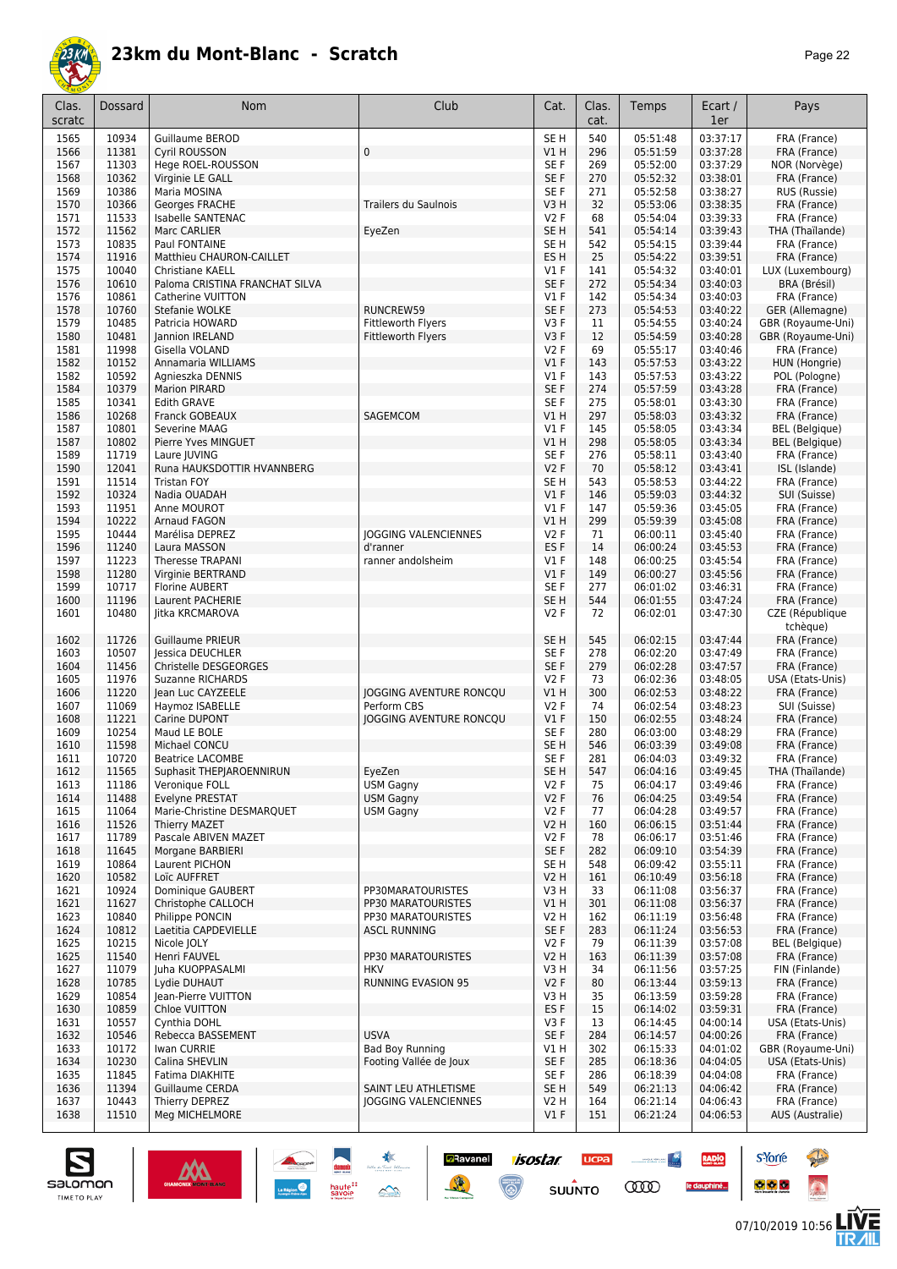

| Clas.<br>scratc | Dossard        | Nom                                          | Club                           | Cat.                    | Clas.<br>cat. | Temps                | Ecart /<br>1er       | Pays                                   |
|-----------------|----------------|----------------------------------------------|--------------------------------|-------------------------|---------------|----------------------|----------------------|----------------------------------------|
| 1565            | 10934          | <b>Guillaume BEROD</b>                       |                                | SE <sub>H</sub>         | 540           | 05:51:48             | 03:37:17             | FRA (France)                           |
| 1566            | 11381          | <b>Cyril ROUSSON</b>                         | 0                              | V1H                     | 296           | 05:51:59             | 03:37:28             | FRA (France)                           |
| 1567            | 11303          | Hege ROEL-ROUSSON                            |                                | SE F                    | 269           | 05:52:00             | 03:37:29             | NOR (Norvège)                          |
| 1568            | 10362          | Virginie LE GALL                             |                                | SE F                    | 270           | 05:52:32             | 03:38:01             | FRA (France)                           |
| 1569            | 10386<br>10366 | Maria MOSINA<br>Georges FRACHE               | <b>Trailers du Saulnois</b>    | SE F<br>V3H             | 271<br>32     | 05:52:58<br>05:53:06 | 03:38:27<br>03:38:35 | RUS (Russie)<br>FRA (France)           |
| 1570<br>1571    | 11533          | Isabelle SANTENAC                            |                                | V2F                     | 68            | 05:54:04             | 03:39:33             | FRA (France)                           |
| 1572            | 11562          | Marc CARLIER                                 | EyeZen                         | SE <sub>H</sub>         | 541           | 05:54:14             | 03:39:43             | THA (Thaïlande)                        |
| 1573            | 10835          | Paul FONTAINE                                |                                | SE H                    | 542           | 05:54:15             | 03:39:44             | FRA (France)                           |
| 1574            | 11916          | Matthieu CHAURON-CAILLET                     |                                | ES H                    | 25            | 05:54:22             | 03:39:51             | FRA (France)                           |
| 1575            | 10040          | Christiane KAELL                             |                                | $VI$ F                  | 141           | 05:54:32             | 03:40:01             | LUX (Luxembourg)                       |
| 1576            | 10610          | Paloma CRISTINA FRANCHAT SILVA               |                                | SE F                    | 272           | 05:54:34             | 03:40:03             | BRA (Brésil)                           |
| 1576            | 10861          | Catherine VUITTON                            |                                | $VI$ F                  | 142           | 05:54:34             | 03:40:03             | FRA (France)                           |
| 1578            | 10760          | Stefanie WOLKE                               | RUNCREW59                      | SE F                    | 273           | 05:54:53             | 03:40:22             | GER (Allemagne)                        |
| 1579<br>1580    | 10485<br>10481 | Patricia HOWARD<br>Jannion IRELAND           | Fittleworth Flyers             | V3F<br>V3F              | 11<br>12      | 05:54:55<br>05:54:59 | 03:40:24<br>03:40:28 | GBR (Royaume-Uni)<br>GBR (Royaume-Uni) |
| 1581            | 11998          | Gisella VOLAND                               | Fittleworth Flyers             | V2F                     | 69            | 05:55:17             | 03:40:46             | FRA (France)                           |
| 1582            | 10152          | Annamaria WILLIAMS                           |                                | V1F                     | 143           | 05:57:53             | 03:43:22             | HUN (Hongrie)                          |
| 1582            | 10592          | Agnieszka DENNIS                             |                                | $VI$ F                  | 143           | 05:57:53             | 03:43:22             | POL (Pologne)                          |
| 1584            | 10379          | <b>Marion PIRARD</b>                         |                                | SE F                    | 274           | 05:57:59             | 03:43:28             | FRA (France)                           |
| 1585            | 10341          | <b>Edith GRAVE</b>                           |                                | SE F                    | 275           | 05:58:01             | 03:43:30             | FRA (France)                           |
| 1586            | 10268          | Franck GOBEAUX                               | SAGEMCOM                       | V1H                     | 297           | 05:58:03             | 03:43:32             | FRA (France)                           |
| 1587            | 10801          | Severine MAAG                                |                                | $VI$ F                  | 145           | 05:58:05             | 03:43:34             | <b>BEL</b> (Belgique)                  |
| 1587            | 10802          | Pierre Yves MINGUET                          |                                | V1H                     | 298           | 05:58:05             | 03:43:34             | <b>BEL</b> (Belgique)                  |
| 1589<br>1590    | 11719<br>12041 | Laure JUVING<br>Runa HAUKSDOTTIR HVANNBERG   |                                | SE F<br>V2F             | 276<br>70     | 05:58:11<br>05:58:12 | 03:43:40<br>03:43:41 | FRA (France)                           |
| 1591            | 11514          | <b>Tristan FOY</b>                           |                                | SE <sub>H</sub>         | 543           | 05:58:53             | 03:44:22             | ISL (Islande)<br>FRA (France)          |
| 1592            | 10324          | Nadia OUADAH                                 |                                | V1F                     | 146           | 05:59:03             | 03:44:32             | SUI (Suisse)                           |
| 1593            | 11951          | Anne MOUROT                                  |                                | $VI$ F                  | 147           | 05:59:36             | 03:45:05             | FRA (France)                           |
| 1594            | 10222          | Arnaud FAGON                                 |                                | V1H                     | 299           | 05:59:39             | 03:45:08             | FRA (France)                           |
| 1595            | 10444          | Marélisa DEPREZ                              | JOGGING VALENCIENNES           | V2F                     | 71            | 06:00:11             | 03:45:40             | FRA (France)                           |
| 1596            | 11240          | Laura MASSON                                 | d'ranner                       | ES <sub>F</sub>         | 14            | 06:00:24             | 03:45:53             | FRA (France)                           |
| 1597            | 11223          | <b>Theresse TRAPANI</b>                      | ranner andolsheim              | $VI$ F                  | 148           | 06:00:25             | 03:45:54             | FRA (France)                           |
| 1598            | 11280          | Virginie BERTRAND                            |                                | V1F                     | 149           | 06:00:27             | 03:45:56             | FRA (France)                           |
| 1599<br>1600    | 10717<br>11196 | <b>Florine AUBERT</b><br>Laurent PACHERIE    |                                | SE F<br>SE <sub>H</sub> | 277<br>544    | 06:01:02<br>06:01:55 | 03:46:31<br>03:47:24 | FRA (France)<br>FRA (France)           |
| 1601            | 10480          | litka KRCMAROVA                              |                                | V2F                     | 72            | 06:02:01             | 03:47:30             | CZE (République                        |
|                 |                |                                              |                                |                         |               |                      |                      | tchèque)                               |
| 1602            | 11726          | <b>Guillaume PRIEUR</b>                      |                                | SE <sub>H</sub>         | 545           | 06:02:15             | 03:47:44             | FRA (France)                           |
| 1603            | 10507          | Jessica DEUCHLER                             |                                | SE F                    | 278           | 06:02:20             | 03:47:49             | FRA (France)                           |
| 1604            | 11456          | Christelle DESGEORGES                        |                                | SE F                    | 279           | 06:02:28             | 03:47:57             | FRA (France)                           |
| 1605            | 11976          | <b>Suzanne RICHARDS</b>                      |                                | V2F                     | 73            | 06:02:36             | 03:48:05             | USA (Etats-Unis)                       |
| 1606            | 11220          | Jean Luc CAYZEELE                            | <b>JOGGING AVENTURE RONCOU</b> | <b>V1 H</b>             | 300           | 06:02:53             | 03:48:22             | FRA (France)                           |
| 1607<br>1608    | 11069          | Haymoz ISABELLE                              | Perform CBS                    | V2F<br>$VI$ F           | 74<br>150     | 06:02:54             | 03:48:23             | SUI (Suisse)                           |
| 1609            | 11221<br>10254 | Carine DUPONT<br>Maud LE BOLE                | JOGGING AVENTURE RONCQU        | SE <sub>F</sub>         | 280           | 06:02:55<br>06:03:00 | 03:48:24<br>03:48:29 | FRA (France)<br>FRA (France)           |
| 1610            | 11598          | Michael CONCU                                |                                | SE <sub>H</sub>         | 546           | 06:03:39             | 03:49:08             | FRA (France)                           |
| 1611            | 10720          | <b>Beatrice LACOMBE</b>                      |                                | SE F                    | 281           | 06:04:03             | 03:49:32             | FRA (France)                           |
| 1612            | 11565          | Suphasit THEPJAROENNIRUN                     | EyeZen                         | SE H                    | 547           | 06:04:16             | 03:49:45             | THA (Thaïlande)                        |
| 1613            | 11186          | Veronique FOLL                               | <b>USM Gagny</b>               | V2F                     | 75            | 06:04:17             | 03:49:46             | FRA (France)                           |
| 1614            | 11488          | Evelyne PRESTAT                              | <b>USM Gagny</b>               | V2F                     | 76            | 06:04:25             | 03:49:54             | FRA (France)                           |
| 1615            | 11064          | Marie-Christine DESMARQUET                   | <b>USM Gagny</b>               | V2F                     | 77            | 06:04:28             | 03:49:57             | FRA (France)                           |
| 1616<br>1617    | 11526<br>11789 | <b>Thierry MAZET</b><br>Pascale ABIVEN MAZET |                                | V2 H<br>V2F             | 160<br>78     | 06:06:15<br>06:06:17 | 03:51:44<br>03:51:46 | FRA (France)<br>FRA (France)           |
| 1618            | 11645          | Morgane BARBIERI                             |                                | SE F                    | 282           | 06:09:10             | 03:54:39             | FRA (France)                           |
| 1619            | 10864          | Laurent PICHON                               |                                | SE H                    | 548           | 06:09:42             | 03:55:11             | FRA (France)                           |
| 1620            | 10582          | Loïc AUFFRET                                 |                                | V2 H                    | 161           | 06:10:49             | 03:56:18             | FRA (France)                           |
| 1621            | 10924          | Dominique GAUBERT                            | PP30MARATOURISTES              | V3 H                    | 33            | 06:11:08             | 03:56:37             | FRA (France)                           |
| 1621            | 11627          | Christophe CALLOCH                           | PP30 MARATOURISTES             | V1H                     | 301           | 06:11:08             | 03:56:37             | FRA (France)                           |
| 1623            | 10840          | Philippe PONCIN                              | PP30 MARATOURISTES             | V2 H                    | 162           | 06:11:19             | 03:56:48             | FRA (France)                           |
| 1624            | 10812          | Laetitia CAPDEVIELLE                         | <b>ASCL RUNNING</b>            | SE F                    | 283           | 06:11:24             | 03:56:53             | FRA (France)                           |
| 1625            | 10215          | Nicole JOLY<br>Henri FAUVEL                  | PP30 MARATOURISTES             | V2F                     | 79            | 06:11:39<br>06:11:39 | 03:57:08<br>03:57:08 | <b>BEL</b> (Belgique)<br>FRA (France)  |
| 1625<br>1627    | 11540<br>11079 | Juha KUOPPASALMI                             | <b>HKV</b>                     | V2 H<br>V3H             | 163<br>34     | 06:11:56             | 03:57:25             | FIN (Finlande)                         |
| 1628            | 10785          | Lydie DUHAUT                                 | RUNNING EVASION 95             | V2F                     | 80            | 06:13:44             | 03:59:13             | FRA (France)                           |
| 1629            | 10854          | Jean-Pierre VUITTON                          |                                | V3 H                    | 35            | 06:13:59             | 03:59:28             | FRA (France)                           |
| 1630            | 10859          | Chloe VUITTON                                |                                | ES <sub>F</sub>         | 15            | 06:14:02             | 03:59:31             | FRA (France)                           |
| 1631            | 10557          | Cynthia DOHL                                 |                                | V3F                     | 13            | 06:14:45             | 04:00:14             | USA (Etats-Unis)                       |
| 1632            | 10546          | Rebecca BASSEMENT                            | <b>USVA</b>                    | SE F                    | 284           | 06:14:57             | 04:00:26             | FRA (France)                           |
| 1633            | 10172          | Iwan CURRIE                                  | <b>Bad Boy Running</b>         | V1 H                    | 302           | 06:15:33             | 04:01:02             | GBR (Royaume-Uni)                      |
| 1634            | 10230          | Calina SHEVLIN                               | Footing Vallée de Joux         | SE F                    | 285           | 06:18:36             | 04:04:05             | USA (Etats-Unis)                       |
| 1635<br>1636    | 11845<br>11394 | Fatima DIAKHITE<br>Guillaume CERDA           | SAINT LEU ATHLETISME           | SE F<br>SE <sub>H</sub> | 286<br>549    | 06:18:39<br>06:21:13 | 04:04:08<br>04:06:42 | FRA (France)<br>FRA (France)           |
| 1637            | 10443          | Thierry DEPREZ                               | JOGGING VALENCIENNES           | V2 H                    | 164           | 06:21:14             | 04:06:43             | FRA (France)                           |
| 1638            | 11510          | Meg MICHELMORE                               |                                | $VI$ F                  | 151           | 06:21:24             | 04:06:53             | AUS (Australie)                        |
|                 |                |                                              |                                |                         |               |                      |                      |                                        |

**D**Ravanel

隆

*isostar* 

 $\overline{\mathbb{C}}$ 

**UCPA** 

 $su\overset{\bullet}{\mathsf{unro}}$ 

**Constitution** 

**COO** 



RADIO

le dauphiné...



**There** 

 $\ddot{\Omega}$ 

**s**Yorre

 $\bullet$   $\bullet$   $\bullet$